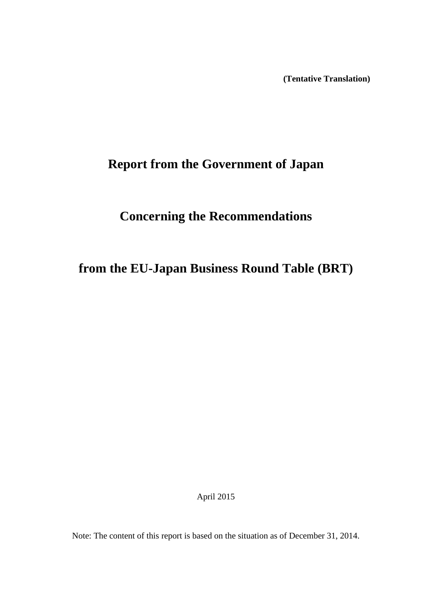**(Tentative Translation)**

# **Report from the Government of Japan**

# **Concerning the Recommendations**

# **from the EU-Japan Business Round Table (BRT)**

April 2015

Note: The content of this report is based on the situation as of December 31, 2014.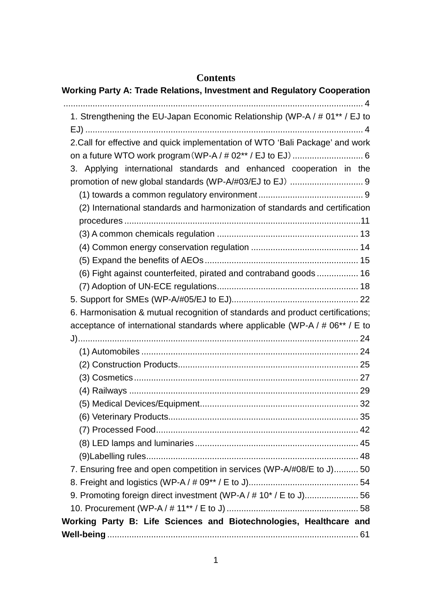# **Contents**

| <b>Working Party A: Trade Relations, Investment and Regulatory Cooperation</b> |
|--------------------------------------------------------------------------------|
| 1. Strengthening the EU-Japan Economic Relationship (WP-A / # 01** / EJ to     |
|                                                                                |
| 2. Call for effective and quick implementation of WTO 'Bali Package' and work  |
|                                                                                |
| 3. Applying international standards and enhanced cooperation in the            |
|                                                                                |
|                                                                                |
| (2) International standards and harmonization of standards and certification   |
|                                                                                |
|                                                                                |
|                                                                                |
|                                                                                |
| (6) Fight against counterfeited, pirated and contraband goods  16              |
|                                                                                |
|                                                                                |
| 6. Harmonisation & mutual recognition of standards and product certifications; |
| acceptance of international standards where applicable (WP-A / # 06** / E to   |
|                                                                                |
|                                                                                |
|                                                                                |
|                                                                                |
|                                                                                |
|                                                                                |
|                                                                                |
|                                                                                |
|                                                                                |
|                                                                                |
| 7. Ensuring free and open competition in services (WP-A/#08/E to J) 50         |
|                                                                                |
| 9. Promoting foreign direct investment (WP-A / # 10* / E to J) 56              |
|                                                                                |
| Working Party B: Life Sciences and Biotechnologies, Healthcare and             |
|                                                                                |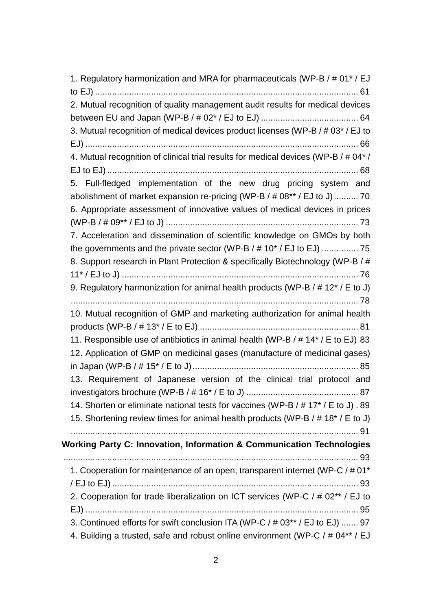[1. Regulatory harmonization and MRA for pharmaceuticals \(WP-B / # 01\\* / EJ](#page-61-1)  to EJ) [............................................................................................................](#page-61-1) 61 [2. Mutual recognition of quality management audit results for medical devices](#page-64-0)  [between EU and Japan \(WP-B / # 02\\* / EJ to EJ\)](#page-64-0) ........................................ 64 [3. Mutual recognition of medical devices product licenses \(WP-B / # 03\\* / EJ to](#page-66-0)  EJ) [................................................................................................................](#page-66-0) 66 [4. Mutual recognition of clinical trial results for medical devices \(WP-B / # 04\\* /](#page-68-0)  EJ to EJ) [.......................................................................................................](#page-68-0) 68 [5. Full-fledged implementation of the new drug pricing system and](#page-70-0)  [abolishment of market expansion re-pricing \(WP-B / # 08\\*\\* / EJ to J\)..........](#page-70-0) 70 [6. Appropriate assessment of innovative values of medical devices in prices](#page-73-0)  (WP-B / # 09\*\* / EJ to J) [...............................................................................](#page-73-0) 73 [7. Acceleration and dissemination of scientific knowledge on GMOs by both](#page-75-0)  [the governments and the private sector \(WP-B / # 10\\* / EJ to EJ\)](#page-75-0) ............... 75 8. [Support research in Plant Protection & specifically Biotechnology \(WP-B / #](#page-76-0)  11\* / EJ to J) [.................................................................................................](#page-76-0) 76 [9. Regulatory harmonization for animal health products \(WP-B / # 12\\* / E to J\)](#page-78-0) [......................................................................................................................](#page-78-0) 78 [10. Mutual recognition of GMP and marketing authorization for animal health](#page-81-0)  products (WP-B / # 13\* / E to EJ) [.................................................................](#page-81-0) 81 [11. Responsible use of antibiotics in animal health \(WP-B / # 14\\* / E to EJ\)](#page-83-0) 83 [12. Application of GMP on medicinal gases \(manufacture of medicinal gases\)](#page-85-0)  [in Japan \(WP-B / # 15\\* / E to J\)....................................................................](#page-85-0) 85 [13. Requirement of Japanese version of the clinical trial protocol and](#page-87-0)  [investigators brochure \(WP-B / # 16\\* / E to J\)](#page-87-0) .............................................. 87 [14. Shorten or eliminate national tests for vaccines \(WP-B / # 17\\* / E to J\)](#page-89-0) . 89 [15. Shortening review times for animal health products \(WP-B / # 18\\* / E to J\)](#page-91-0) [......................................................................................................................](#page-91-0) 91 **[Working Party C: Innovation, Information & Communication Technologies](#page-93-0)** [.........................................................................................................................](#page-93-0) 93 [1. Cooperation for maintenance of an open, transparent internet \(WP-C / # 01\\*](#page-93-1)  / EJ to EJ) [.....................................................................................................](#page-93-1) 93 [2. Cooperation for trade liberalization on ICT services \(WP-C / # 02\\*\\* / EJ to](#page-95-0)  EJ) [................................................................................................................](#page-95-0) 95 [3. Continued efforts for swift conclusion ITA \(WP-C / # 03\\*\\* / EJ to EJ\)](#page-97-0) ....... 97 [4. Building a trusted, safe and robust online environment \(WP-C / # 04\\*\\* / EJ](#page-99-0)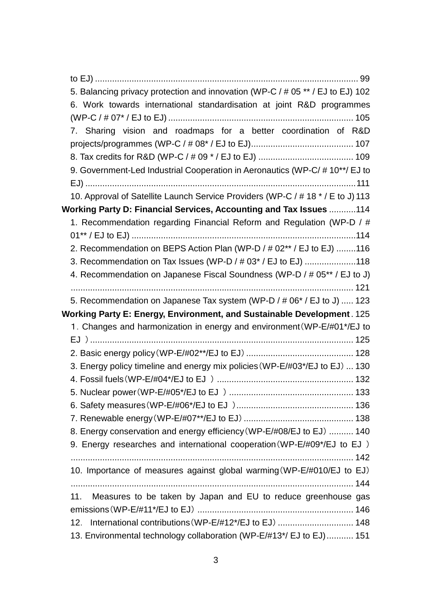| 5. Balancing privacy protection and innovation (WP-C / # 05 ** / EJ to EJ) 102  |
|---------------------------------------------------------------------------------|
| 6. Work towards international standardisation at joint R&D programmes           |
|                                                                                 |
| 7. Sharing vision and roadmaps for a better coordination of R&D                 |
|                                                                                 |
|                                                                                 |
| 9. Government-Led Industrial Cooperation in Aeronautics (WP-C/#10**/EJ to       |
|                                                                                 |
| 10. Approval of Satellite Launch Service Providers (WP-C / # 18 * / E to J) 113 |
| Working Party D: Financial Services, Accounting and Tax Issues  114             |
| 1. Recommendation regarding Financial Reform and Regulation (WP-D / #           |
|                                                                                 |
| 2. Recommendation on BEPS Action Plan (WP-D / # 02** / EJ to EJ) 116            |
| 3. Recommendation on Tax Issues (WP-D / # 03* / EJ to EJ) 118                   |
| 4. Recommendation on Japanese Fiscal Soundness (WP-D / # 05** / EJ to J)        |
|                                                                                 |
| 5. Recommendation on Japanese Tax system (WP-D / # 06* / EJ to J)  123          |
|                                                                                 |
| Working Party E: Energy, Environment, and Sustainable Development. 125          |
| 1. Changes and harmonization in energy and environment (WP-E/#01*/EJ to         |
|                                                                                 |
|                                                                                 |
| 3. Energy policy timeline and energy mix policies (WP-E/#03*/EJ to EJ)  130     |
|                                                                                 |
|                                                                                 |
|                                                                                 |
|                                                                                 |
| 8. Energy conservation and energy efficiency (WP-E/#08/EJ to EJ)  140           |
| 9. Energy researches and international cooperation (WP-E/#09*/EJ to EJ)         |
|                                                                                 |
| 10. Importance of measures against global warming (WP-E/#010/EJ to EJ)          |
|                                                                                 |
| Measures to be taken by Japan and EU to reduce greenhouse gas<br>11.            |
| International contributions (WP-E/#12*/EJ to EJ)  148<br>12.                    |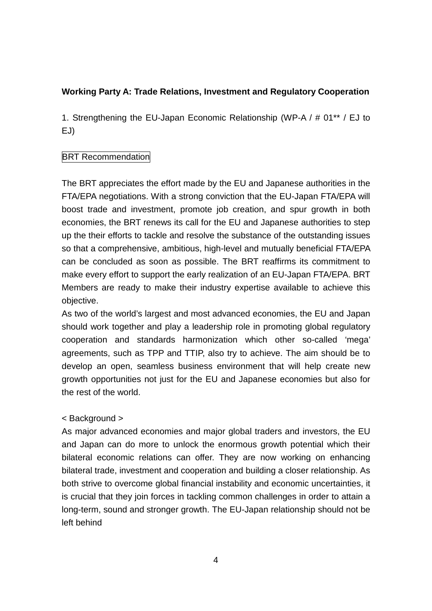# <span id="page-4-0"></span>**Working Party A: Trade Relations, Investment and Regulatory Cooperation**

<span id="page-4-1"></span>1. Strengthening the EU-Japan Economic Relationship (WP-A / # 01\*\* / EJ to EJ)

# **BRT Recommendation**

The BRT appreciates the effort made by the EU and Japanese authorities in the FTA/EPA negotiations. With a strong conviction that the EU-Japan FTA/EPA will boost trade and investment, promote job creation, and spur growth in both economies, the BRT renews its call for the EU and Japanese authorities to step up the their efforts to tackle and resolve the substance of the outstanding issues so that a comprehensive, ambitious, high-level and mutually beneficial FTA/EPA can be concluded as soon as possible. The BRT reaffirms its commitment to make every effort to support the early realization of an EU-Japan FTA/EPA. BRT Members are ready to make their industry expertise available to achieve this objective.

As two of the world's largest and most advanced economies, the EU and Japan should work together and play a leadership role in promoting global regulatory cooperation and standards harmonization which other so-called 'mega' agreements, such as TPP and TTIP, also try to achieve. The aim should be to develop an open, seamless business environment that will help create new growth opportunities not just for the EU and Japanese economies but also for the rest of the world.

# < Background >

As major advanced economies and major global traders and investors, the EU and Japan can do more to unlock the enormous growth potential which their bilateral economic relations can offer. They are now working on enhancing bilateral trade, investment and cooperation and building a closer relationship. As both strive to overcome global financial instability and economic uncertainties, it is crucial that they join forces in tackling common challenges in order to attain a long-term, sound and stronger growth. The EU-Japan relationship should not be left behind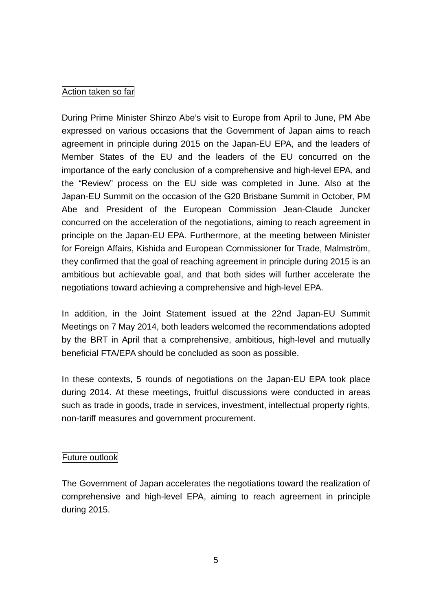### Action taken so far

During Prime Minister Shinzo Abe's visit to Europe from April to June, PM Abe expressed on various occasions that the Government of Japan aims to reach agreement in principle during 2015 on the Japan-EU EPA, and the leaders of Member States of the EU and the leaders of the EU concurred on the importance of the early conclusion of a comprehensive and high-level EPA, and the "Review" process on the EU side was completed in June. Also at the Japan-EU Summit on the occasion of the G20 Brisbane Summit in October, PM Abe and President of the European Commission Jean-Claude Juncker concurred on the acceleration of the negotiations, aiming to reach agreement in principle on the Japan-EU EPA. Furthermore, at the meeting between Minister for Foreign Affairs, Kishida and European Commissioner for Trade, Malmström, they confirmed that the goal of reaching agreement in principle during 2015 is an ambitious but achievable goal, and that both sides will further accelerate the negotiations toward achieving a comprehensive and high-level EPA.

In addition, in the Joint Statement issued at the 22nd Japan-EU Summit Meetings on 7 May 2014, both leaders welcomed the recommendations adopted by the BRT in April that a comprehensive, ambitious, high-level and mutually beneficial FTA/EPA should be concluded as soon as possible.

In these contexts, 5 rounds of negotiations on the Japan-EU EPA took place during 2014. At these meetings, fruitful discussions were conducted in areas such as trade in goods, trade in services, investment, intellectual property rights, non-tariff measures and government procurement.

### Future outlook

The Government of Japan accelerates the negotiations toward the realization of comprehensive and high-level EPA, aiming to reach agreement in principle during 2015.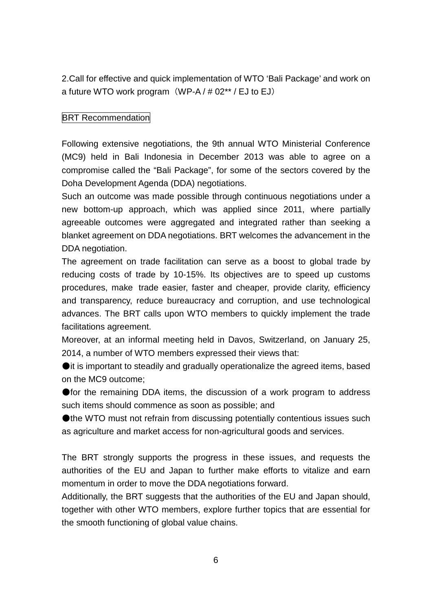<span id="page-6-0"></span>2.Call for effective and quick implementation of WTO 'Bali Package' and work on a future WTO work program  $(WP-A / # 02** / EJ$  to EJ)

# **BRT Recommendation**

Following extensive negotiations, the 9th annual WTO Ministerial Conference (MC9) held in Bali Indonesia in December 2013 was able to agree on a compromise called the "Bali Package", for some of the sectors covered by the Doha Development Agenda (DDA) negotiations.

Such an outcome was made possible through continuous negotiations under a new bottom-up approach, which was applied since 2011, where partially agreeable outcomes were aggregated and integrated rather than seeking a blanket agreement on DDA negotiations. BRT welcomes the advancement in the DDA negotiation.

The agreement on trade facilitation can serve as a boost to global trade by reducing costs of trade by 10-15%. Its objectives are to speed up customs procedures, make trade easier, faster and cheaper, provide clarity, efficiency and transparency, reduce bureaucracy and corruption, and use technological advances. The BRT calls upon WTO members to quickly implement the trade facilitations agreement.

Moreover, at an informal meeting held in Davos, Switzerland, on January 25, 2014, a number of WTO members expressed their views that:

●it is important to steadily and gradually operationalize the agreed items, based on the MC9 outcome;

● for the remaining DDA items, the discussion of a work program to address such items should commence as soon as possible; and

●the WTO must not refrain from discussing potentially contentious issues such as agriculture and market access for non-agricultural goods and services.

The BRT strongly supports the progress in these issues, and requests the authorities of the EU and Japan to further make efforts to vitalize and earn momentum in order to move the DDA negotiations forward.

Additionally, the BRT suggests that the authorities of the EU and Japan should, together with other WTO members, explore further topics that are essential for the smooth functioning of global value chains.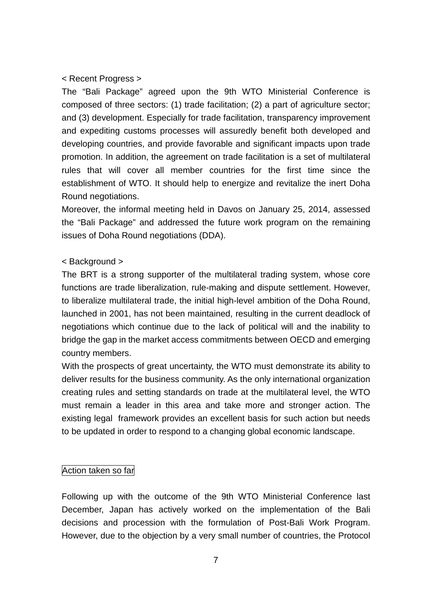### < Recent Progress >

The "Bali Package" agreed upon the 9th WTO Ministerial Conference is composed of three sectors: (1) trade facilitation; (2) a part of agriculture sector; and (3) development. Especially for trade facilitation, transparency improvement and expediting customs processes will assuredly benefit both developed and developing countries, and provide favorable and significant impacts upon trade promotion. In addition, the agreement on trade facilitation is a set of multilateral rules that will cover all member countries for the first time since the establishment of WTO. It should help to energize and revitalize the inert Doha Round negotiations.

Moreover, the informal meeting held in Davos on January 25, 2014, assessed the "Bali Package" and addressed the future work program on the remaining issues of Doha Round negotiations (DDA).

#### < Background >

The BRT is a strong supporter of the multilateral trading system, whose core functions are trade liberalization, rule-making and dispute settlement. However, to liberalize multilateral trade, the initial high-level ambition of the Doha Round, launched in 2001, has not been maintained, resulting in the current deadlock of negotiations which continue due to the lack of political will and the inability to bridge the gap in the market access commitments between OECD and emerging country members.

With the prospects of great uncertainty, the WTO must demonstrate its ability to deliver results for the business community. As the only international organization creating rules and setting standards on trade at the multilateral level, the WTO must remain a leader in this area and take more and stronger action. The existing legal framework provides an excellent basis for such action but needs to be updated in order to respond to a changing global economic landscape.

#### Action taken so far

Following up with the outcome of the 9th WTO Ministerial Conference last December, Japan has actively worked on the implementation of the Bali decisions and procession with the formulation of Post-Bali Work Program. However, due to the objection by a very small number of countries, the Protocol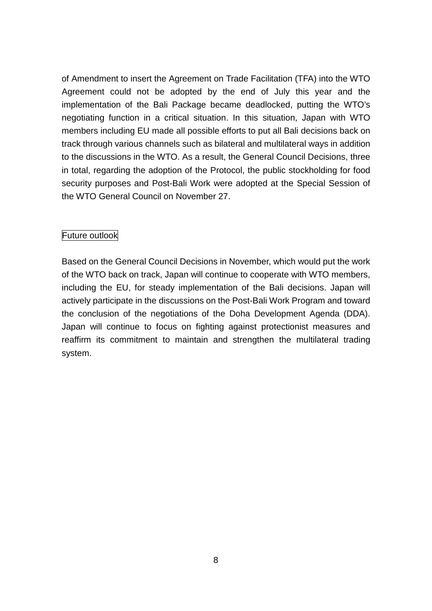of Amendment to insert the Agreement on Trade Facilitation (TFA) into the WTO Agreement could not be adopted by the end of July this year and the implementation of the Bali Package became deadlocked, putting the WTO's negotiating function in a critical situation. In this situation, Japan with WTO members including EU made all possible efforts to put all Bali decisions back on track through various channels such as bilateral and multilateral ways in addition to the discussions in the WTO. As a result, the General Council Decisions, three in total, regarding the adoption of the Protocol, the public stockholding for food security purposes and Post-Bali Work were adopted at the Special Session of the WTO General Council on November 27.

# Future outlook

Based on the General Council Decisions in November, which would put the work of the WTO back on track, Japan will continue to cooperate with WTO members, including the EU, for steady implementation of the Bali decisions. Japan will actively participate in the discussions on the Post-Bali Work Program and toward the conclusion of the negotiations of the Doha Development Agenda (DDA). Japan will continue to focus on fighting against protectionist measures and reaffirm its commitment to maintain and strengthen the multilateral trading system.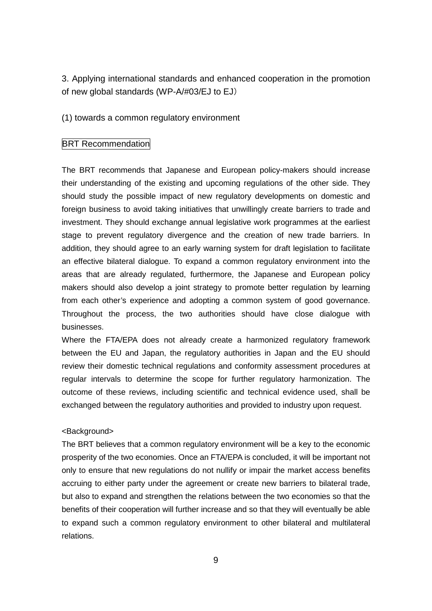<span id="page-9-0"></span>3. Applying international standards and enhanced cooperation in the promotion of new global standards (WP-A/#03/EJ to EJ)

<span id="page-9-1"></span>(1) towards a common regulatory environment

#### **BRT Recommendation**

The BRT recommends that Japanese and European policy-makers should increase their understanding of the existing and upcoming regulations of the other side. They should study the possible impact of new regulatory developments on domestic and foreign business to avoid taking initiatives that unwillingly create barriers to trade and investment. They should exchange annual legislative work programmes at the earliest stage to prevent regulatory divergence and the creation of new trade barriers. In addition, they should agree to an early warning system for draft legislation to facilitate an effective bilateral dialogue. To expand a common regulatory environment into the areas that are already regulated, furthermore, the Japanese and European policy makers should also develop a joint strategy to promote better regulation by learning from each other's experience and adopting a common system of good governance. Throughout the process, the two authorities should have close dialogue with businesses.

Where the FTA/EPA does not already create a harmonized regulatory framework between the EU and Japan, the regulatory authorities in Japan and the EU should review their domestic technical regulations and conformity assessment procedures at regular intervals to determine the scope for further regulatory harmonization. The outcome of these reviews, including scientific and technical evidence used, shall be exchanged between the regulatory authorities and provided to industry upon request.

#### <Background>

The BRT believes that a common regulatory environment will be a key to the economic prosperity of the two economies. Once an FTA/EPA is concluded, it will be important not only to ensure that new regulations do not nullify or impair the market access benefits accruing to either party under the agreement or create new barriers to bilateral trade, but also to expand and strengthen the relations between the two economies so that the benefits of their cooperation will further increase and so that they will eventually be able to expand such a common regulatory environment to other bilateral and multilateral relations.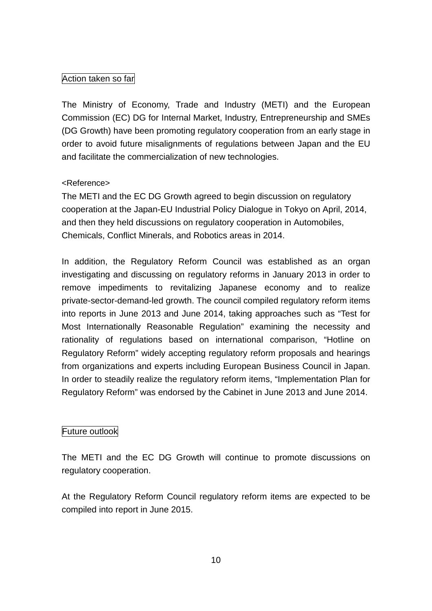# Action taken so far

The Ministry of Economy, Trade and Industry (METI) and the European Commission (EC) DG for Internal Market, Industry, Entrepreneurship and SMEs (DG Growth) have been promoting regulatory cooperation from an early stage in order to avoid future misalignments of regulations between Japan and the EU and facilitate the commercialization of new technologies.

# <Reference>

The METI and the EC DG Growth agreed to begin discussion on regulatory cooperation at the Japan-EU Industrial Policy Dialogue in Tokyo on April, 2014, and then they held discussions on regulatory cooperation in Automobiles, Chemicals, Conflict Minerals, and Robotics areas in 2014.

In addition, the Regulatory Reform Council was established as an organ investigating and discussing on regulatory reforms in January 2013 in order to remove impediments to revitalizing Japanese economy and to realize private-sector-demand-led growth. The council compiled regulatory reform items into reports in June 2013 and June 2014, taking approaches such as "Test for Most Internationally Reasonable Regulation" examining the necessity and rationality of regulations based on international comparison, "Hotline on Regulatory Reform" widely accepting regulatory reform proposals and hearings from organizations and experts including European Business Council in Japan. In order to steadily realize the regulatory reform items, "Implementation Plan for Regulatory Reform" was endorsed by the Cabinet in June 2013 and June 2014.

# Future outlook

The METI and the EC DG Growth will continue to promote discussions on regulatory cooperation.

At the Regulatory Reform Council regulatory reform items are expected to be compiled into report in June 2015.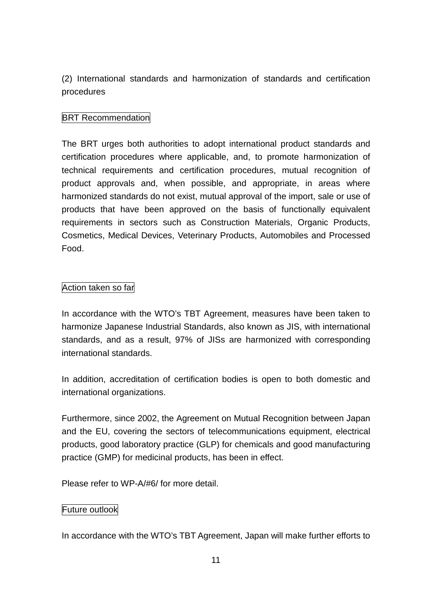<span id="page-11-0"></span>(2) International standards and harmonization of standards and certification procedures

# **BRT Recommendation**

The BRT urges both authorities to adopt international product standards and certification procedures where applicable, and, to promote harmonization of technical requirements and certification procedures, mutual recognition of product approvals and, when possible, and appropriate, in areas where harmonized standards do not exist, mutual approval of the import, sale or use of products that have been approved on the basis of functionally equivalent requirements in sectors such as Construction Materials, Organic Products, Cosmetics, Medical Devices, Veterinary Products, Automobiles and Processed Food.

# Action taken so far

In accordance with the WTO's TBT Agreement, measures have been taken to harmonize Japanese Industrial Standards, also known as JIS, with international standards, and as a result, 97% of JISs are harmonized with corresponding international standards.

In addition, accreditation of certification bodies is open to both domestic and international organizations.

Furthermore, since 2002, the Agreement on Mutual Recognition between Japan and the EU, covering the sectors of telecommunications equipment, electrical products, good laboratory practice (GLP) for chemicals and good manufacturing practice (GMP) for medicinal products, has been in effect.

Please refer to WP-A/#6/ for more detail.

# Future outlook

In accordance with the WTO's TBT Agreement, Japan will make further efforts to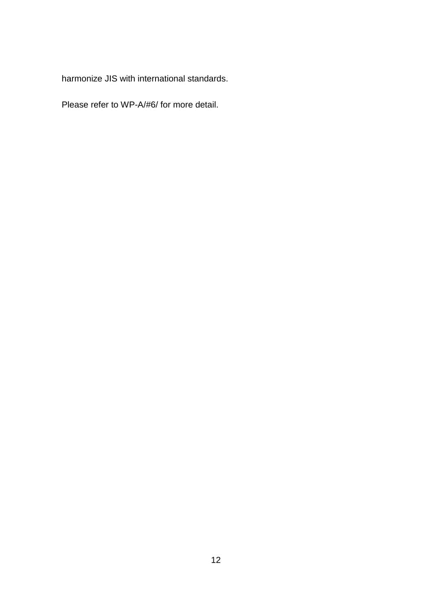harmonize JIS with international standards.

Please refer to WP-A/#6/ for more detail.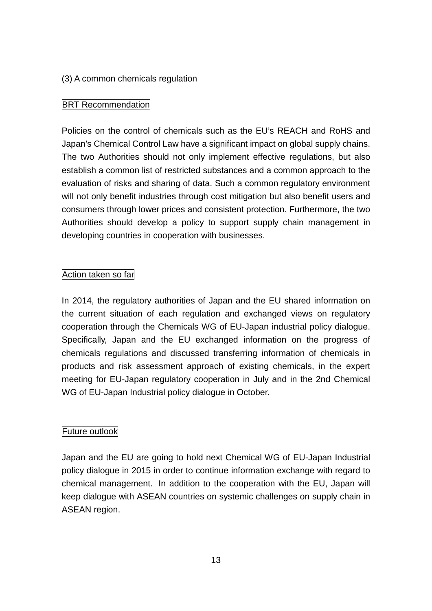# <span id="page-13-0"></span>(3) A common chemicals regulation

# **BRT Recommendation**

Policies on the control of chemicals such as the EU's REACH and RoHS and Japan's Chemical Control Law have a significant impact on global supply chains. The two Authorities should not only implement effective regulations, but also establish a common list of restricted substances and a common approach to the evaluation of risks and sharing of data. Such a common regulatory environment will not only benefit industries through cost mitigation but also benefit users and consumers through lower prices and consistent protection. Furthermore, the two Authorities should develop a policy to support supply chain management in developing countries in cooperation with businesses.

### Action taken so far

In 2014, the regulatory authorities of Japan and the EU shared information on the current situation of each regulation and exchanged views on regulatory cooperation through the Chemicals WG of EU-Japan industrial policy dialogue. Specifically, Japan and the EU exchanged information on the progress of chemicals regulations and discussed transferring information of chemicals in products and risk assessment approach of existing chemicals, in the expert meeting for EU-Japan regulatory cooperation in July and in the 2nd Chemical WG of EU-Japan Industrial policy dialogue in October.

# Future outlook

Japan and the EU are going to hold next Chemical WG of EU-Japan Industrial policy dialogue in 2015 in order to continue information exchange with regard to chemical management. In addition to the cooperation with the EU, Japan will keep dialogue with ASEAN countries on systemic challenges on supply chain in ASEAN region.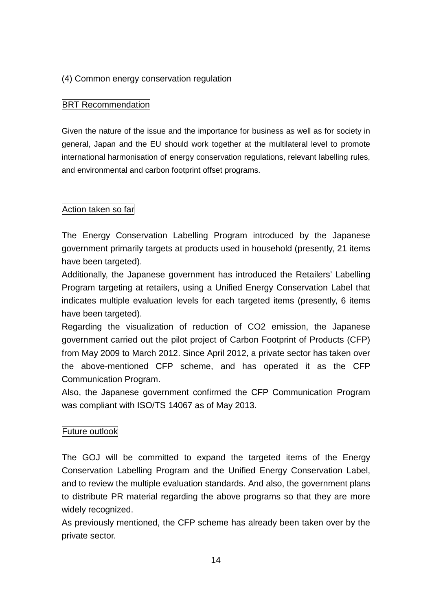# <span id="page-14-0"></span>(4) Common energy conservation regulation

# **BRT Recommendation**

Given the nature of the issue and the importance for business as well as for society in general, Japan and the EU should work together at the multilateral level to promote international harmonisation of energy conservation regulations, relevant labelling rules, and environmental and carbon footprint offset programs.

# Action taken so far

The Energy Conservation Labelling Program introduced by the Japanese government primarily targets at products used in household (presently, 21 items have been targeted).

Additionally, the Japanese government has introduced the Retailers' Labelling Program targeting at retailers, using a Unified Energy Conservation Label that indicates multiple evaluation levels for each targeted items (presently, 6 items have been targeted).

Regarding the visualization of reduction of CO2 emission, the Japanese government carried out the pilot project of Carbon Footprint of Products (CFP) from May 2009 to March 2012. Since April 2012, a private sector has taken over the above-mentioned CFP scheme, and has operated it as the CFP Communication Program.

Also, the Japanese government confirmed the CFP Communication Program was compliant with ISO/TS 14067 as of May 2013.

# Future outlook

The GOJ will be committed to expand the targeted items of the Energy Conservation Labelling Program and the Unified Energy Conservation Label, and to review the multiple evaluation standards. And also, the government plans to distribute PR material regarding the above programs so that they are more widely recognized.

As previously mentioned, the CFP scheme has already been taken over by the private sector.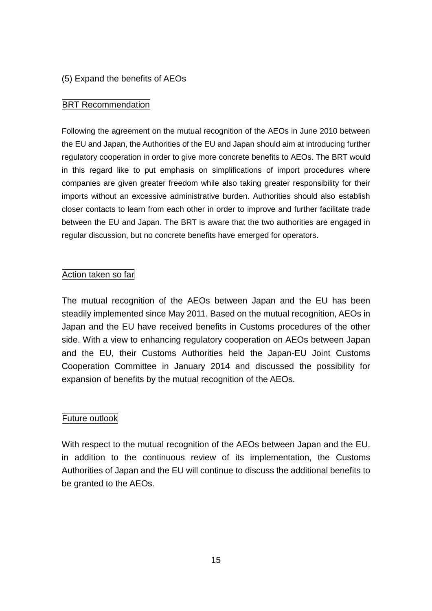# <span id="page-15-0"></span>(5) Expand the benefits of AEOs

### BRT Recommendation

Following the agreement on the mutual recognition of the AEOs in June 2010 between the EU and Japan, the Authorities of the EU and Japan should aim at introducing further regulatory cooperation in order to give more concrete benefits to AEOs. The BRT would in this regard like to put emphasis on simplifications of import procedures where companies are given greater freedom while also taking greater responsibility for their imports without an excessive administrative burden. Authorities should also establish closer contacts to learn from each other in order to improve and further facilitate trade between the EU and Japan. The BRT is aware that the two authorities are engaged in regular discussion, but no concrete benefits have emerged for operators.

### Action taken so far

The mutual recognition of the AEOs between Japan and the EU has been steadily implemented since May 2011. Based on the mutual recognition, AEOs in Japan and the EU have received benefits in Customs procedures of the other side. With a view to enhancing regulatory cooperation on AEOs between Japan and the EU, their Customs Authorities held the Japan-EU Joint Customs Cooperation Committee in January 2014 and discussed the possibility for expansion of benefits by the mutual recognition of the AEOs.

# Future outlook

With respect to the mutual recognition of the AEOs between Japan and the EU, in addition to the continuous review of its implementation, the Customs Authorities of Japan and the EU will continue to discuss the additional benefits to be granted to the AEOs.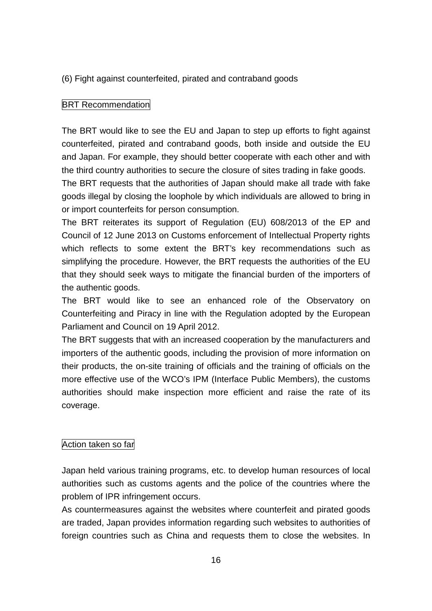<span id="page-16-0"></span>(6) Fight against counterfeited, pirated and contraband goods

### BRT Recommendation

The BRT would like to see the EU and Japan to step up efforts to fight against counterfeited, pirated and contraband goods, both inside and outside the EU and Japan. For example, they should better cooperate with each other and with the third country authorities to secure the closure of sites trading in fake goods.

The BRT requests that the authorities of Japan should make all trade with fake goods illegal by closing the loophole by which individuals are allowed to bring in or import counterfeits for person consumption.

The BRT reiterates its support of Regulation (EU) 608/2013 of the EP and Council of 12 June 2013 on Customs enforcement of Intellectual Property rights which reflects to some extent the BRT's key recommendations such as simplifying the procedure. However, the BRT requests the authorities of the EU that they should seek ways to mitigate the financial burden of the importers of the authentic goods.

The BRT would like to see an enhanced role of the Observatory on Counterfeiting and Piracy in line with the Regulation adopted by the European Parliament and Council on 19 April 2012.

The BRT suggests that with an increased cooperation by the manufacturers and importers of the authentic goods, including the provision of more information on their products, the on-site training of officials and the training of officials on the more effective use of the WCO's IPM (Interface Public Members), the customs authorities should make inspection more efficient and raise the rate of its coverage.

### Action taken so far

Japan held various training programs, etc. to develop human resources of local authorities such as customs agents and the police of the countries where the problem of IPR infringement occurs.

As countermeasures against the websites where counterfeit and pirated goods are traded, Japan provides information regarding such websites to authorities of foreign countries such as China and requests them to close the websites. In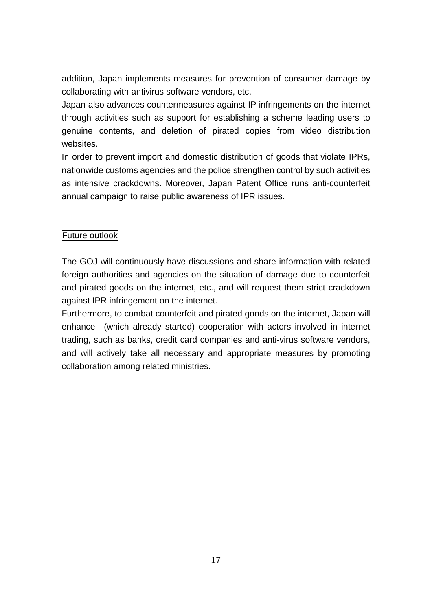addition, Japan implements measures for prevention of consumer damage by collaborating with antivirus software vendors, etc.

Japan also advances countermeasures against IP infringements on the internet through activities such as support for establishing a scheme leading users to genuine contents, and deletion of pirated copies from video distribution websites.

In order to prevent import and domestic distribution of goods that violate IPRs, nationwide customs agencies and the police strengthen control by such activities as intensive crackdowns. Moreover, Japan Patent Office runs anti-counterfeit annual campaign to raise public awareness of IPR issues.

# Future outlook

The GOJ will continuously have discussions and share information with related foreign authorities and agencies on the situation of damage due to counterfeit and pirated goods on the internet, etc., and will request them strict crackdown against IPR infringement on the internet.

Furthermore, to combat counterfeit and pirated goods on the internet, Japan will enhance (which already started) cooperation with actors involved in internet trading, such as banks, credit card companies and anti-virus software vendors, and will actively take all necessary and appropriate measures by promoting collaboration among related ministries.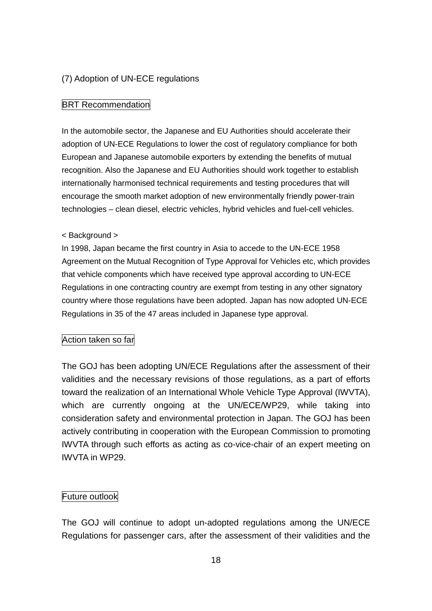### <span id="page-18-0"></span>(7) Adoption of UN-ECE regulations

#### **BRT Recommendation**

In the automobile sector, the Japanese and EU Authorities should accelerate their adoption of UN-ECE Regulations to lower the cost of regulatory compliance for both European and Japanese automobile exporters by extending the benefits of mutual recognition. Also the Japanese and EU Authorities should work together to establish internationally harmonised technical requirements and testing procedures that will encourage the smooth market adoption of new environmentally friendly power-train technologies – clean diesel, electric vehicles, hybrid vehicles and fuel-cell vehicles.

#### < Background >

In 1998, Japan became the first country in Asia to accede to the UN-ECE 1958 Agreement on the Mutual Recognition of Type Approval for Vehicles etc, which provides that vehicle components which have received type approval according to UN-ECE Regulations in one contracting country are exempt from testing in any other signatory country where those regulations have been adopted. Japan has now adopted UN-ECE Regulations in 35 of the 47 areas included in Japanese type approval.

#### Action taken so far

The GOJ has been adopting UN/ECE Regulations after the assessment of their validities and the necessary revisions of those regulations, as a part of efforts toward the realization of an International Whole Vehicle Type Approval (IWVTA), which are currently ongoing at the UN/ECE/WP29, while taking into consideration safety and environmental protection in Japan. The GOJ has been actively contributing in cooperation with the European Commission to promoting IWVTA through such efforts as acting as co-vice-chair of an expert meeting on IWVTA in WP29.

#### Future outlook

The GOJ will continue to adopt un-adopted regulations among the UN/ECE Regulations for passenger cars, after the assessment of their validities and the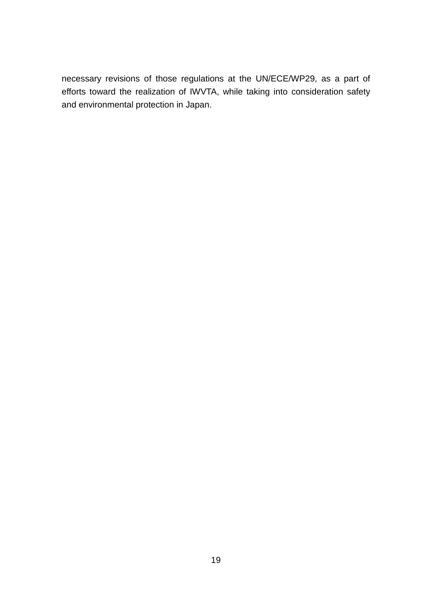necessary revisions of those regulations at the UN/ECE/WP29, as a part of efforts toward the realization of IWVTA, while taking into consideration safety and environmental protection in Japan.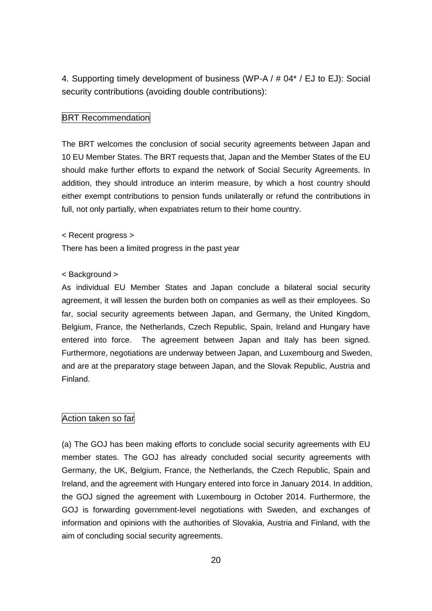4. Supporting timely development of business (WP-A / # 04\* / EJ to EJ): Social security contributions (avoiding double contributions):

#### **BRT Recommendation**

The BRT welcomes the conclusion of social security agreements between Japan and 10 EU Member States. The BRT requests that, Japan and the Member States of the EU should make further efforts to expand the network of Social Security Agreements. In addition, they should introduce an interim measure, by which a host country should either exempt contributions to pension funds unilaterally or refund the contributions in full, not only partially, when expatriates return to their home country.

#### < Recent progress >

There has been a limited progress in the past year

#### < Background >

As individual EU Member States and Japan conclude a bilateral social security agreement, it will lessen the burden both on companies as well as their employees. So far, social security agreements between Japan, and Germany, the United Kingdom, Belgium, France, the Netherlands, Czech Republic, Spain, Ireland and Hungary have entered into force. The agreement between Japan and Italy has been signed. Furthermore, negotiations are underway between Japan, and Luxembourg and Sweden, and are at the preparatory stage between Japan, and the Slovak Republic, Austria and Finland.

#### Action taken so far

(a) The GOJ has been making efforts to conclude social security agreements with EU member states. The GOJ has already concluded social security agreements with Germany, the UK, Belgium, France, the Netherlands, the Czech Republic, Spain and Ireland, and the agreement with Hungary entered into force in January 2014. In addition, the GOJ signed the agreement with Luxembourg in October 2014. Furthermore, the GOJ is forwarding government-level negotiations with Sweden, and exchanges of information and opinions with the authorities of Slovakia, Austria and Finland, with the aim of concluding social security agreements.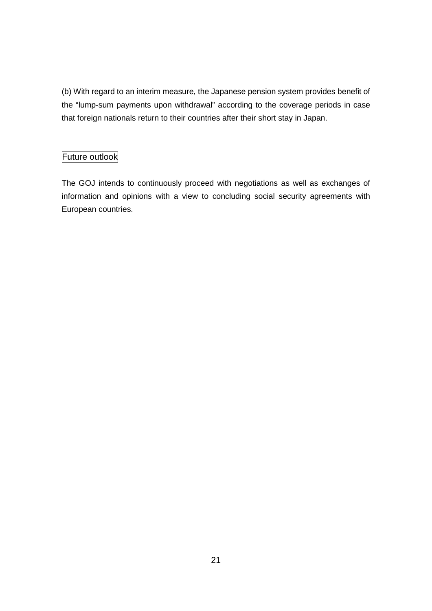(b) With regard to an interim measure, the Japanese pension system provides benefit of the "lump-sum payments upon withdrawal" according to the coverage periods in case that foreign nationals return to their countries after their short stay in Japan.

# Future outlook

The GOJ intends to continuously proceed with negotiations as well as exchanges of information and opinions with a view to concluding social security agreements with European countries.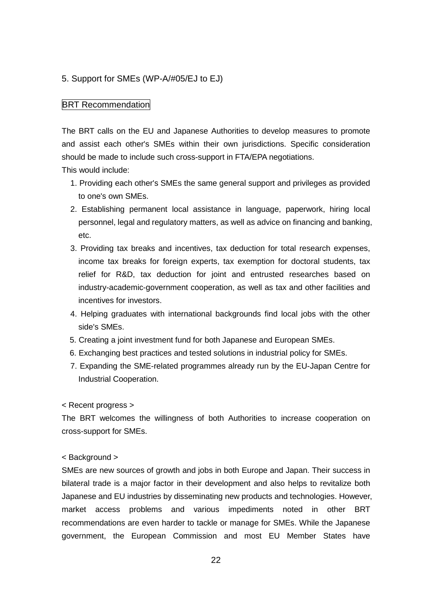#### <span id="page-22-0"></span>5. Support for SMEs (WP-A/#05/EJ to EJ)

#### **BRT Recommendation**

The BRT calls on the EU and Japanese Authorities to develop measures to promote and assist each other's SMEs within their own jurisdictions. Specific consideration should be made to include such cross-support in FTA/EPA negotiations.

This would include:

- 1. Providing each other's SMEs the same general support and privileges as provided to one's own SMEs.
- 2. Establishing permanent local assistance in language, paperwork, hiring local personnel, legal and regulatory matters, as well as advice on financing and banking, etc.
- 3. Providing tax breaks and incentives, tax deduction for total research expenses, income tax breaks for foreign experts, tax exemption for doctoral students, tax relief for R&D, tax deduction for joint and entrusted researches based on industry-academic-government cooperation, as well as tax and other facilities and incentives for investors.
- 4. Helping graduates with international backgrounds find local jobs with the other side's SMEs.
- 5. Creating a joint investment fund for both Japanese and European SMEs.
- 6. Exchanging best practices and tested solutions in industrial policy for SMEs.
- 7. Expanding the SME-related programmes already run by the EU-Japan Centre for Industrial Cooperation.

#### < Recent progress >

The BRT welcomes the willingness of both Authorities to increase cooperation on cross-support for SMEs.

#### < Background >

SMEs are new sources of growth and jobs in both Europe and Japan. Their success in bilateral trade is a major factor in their development and also helps to revitalize both Japanese and EU industries by disseminating new products and technologies. However, market access problems and various impediments noted in other BRT recommendations are even harder to tackle or manage for SMEs. While the Japanese government, the European Commission and most EU Member States have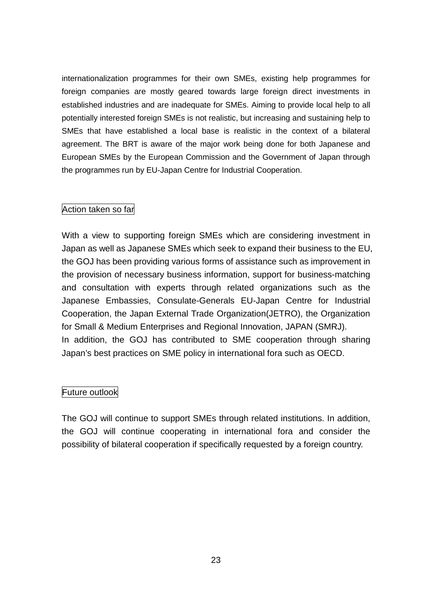internationalization programmes for their own SMEs, existing help programmes for foreign companies are mostly geared towards large foreign direct investments in established industries and are inadequate for SMEs. Aiming to provide local help to all potentially interested foreign SMEs is not realistic, but increasing and sustaining help to SMEs that have established a local base is realistic in the context of a bilateral agreement. The BRT is aware of the major work being done for both Japanese and European SMEs by the European Commission and the Government of Japan through the programmes run by EU-Japan Centre for Industrial Cooperation.

### Action taken so far

With a view to supporting foreign SMEs which are considering investment in Japan as well as Japanese SMEs which seek to expand their business to the EU, the GOJ has been providing various forms of assistance such as improvement in the provision of necessary business information, support for business-matching and consultation with experts through related organizations such as the Japanese Embassies, Consulate-Generals EU-Japan Centre for Industrial Cooperation, the Japan External Trade Organization(JETRO), the Organization for Small & Medium Enterprises and Regional Innovation, JAPAN (SMRJ). In addition, the GOJ has contributed to SME cooperation through sharing Japan's best practices on SME policy in international fora such as OECD.

# Future outlook

The GOJ will continue to support SMEs through related institutions. In addition, the GOJ will continue cooperating in international fora and consider the possibility of bilateral cooperation if specifically requested by a foreign country.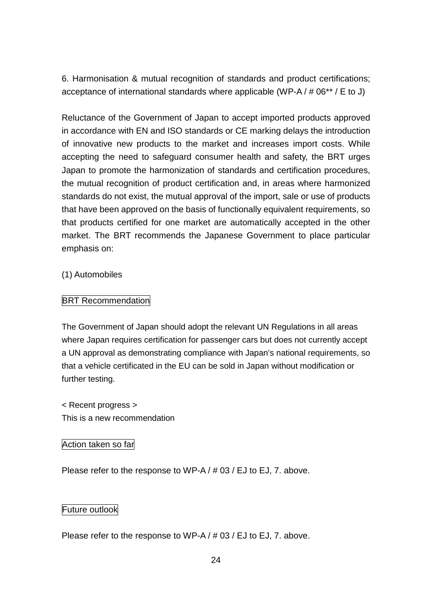<span id="page-24-0"></span>6. Harmonisation & mutual recognition of standards and product certifications; acceptance of international standards where applicable (WP-A / # 06\*\* / E to J)

Reluctance of the Government of Japan to accept imported products approved in accordance with EN and ISO standards or CE marking delays the introduction of innovative new products to the market and increases import costs. While accepting the need to safeguard consumer health and safety, the BRT urges Japan to promote the harmonization of standards and certification procedures, the mutual recognition of product certification and, in areas where harmonized standards do not exist, the mutual approval of the import, sale or use of products that have been approved on the basis of functionally equivalent requirements, so that products certified for one market are automatically accepted in the other market. The BRT recommends the Japanese Government to place particular emphasis on:

# <span id="page-24-1"></span>(1) Automobiles

### BRT Recommendation

The Government of Japan should adopt the relevant UN Regulations in all areas where Japan requires certification for passenger cars but does not currently accept a UN approval as demonstrating compliance with Japan's national requirements, so that a vehicle certificated in the EU can be sold in Japan without modification or further testing.

< Recent progress > This is a new recommendation

### Action taken so far

Please refer to the response to WP-A / # 03 / EJ to EJ, 7. above.

### Future outlook

Please refer to the response to WP-A / # 03 / EJ to EJ, 7. above.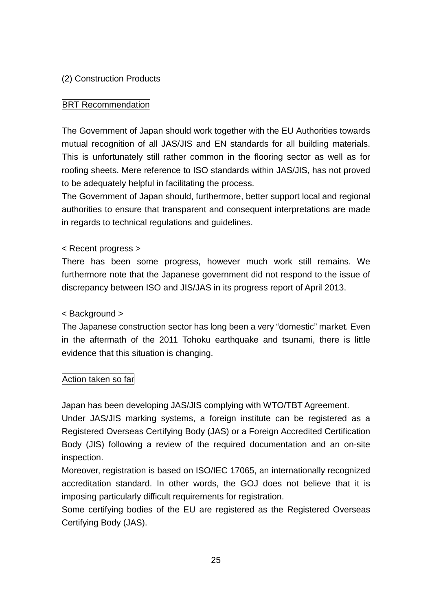# <span id="page-25-0"></span>(2) Construction Products

# **BRT Recommendation**

The Government of Japan should work together with the EU Authorities towards mutual recognition of all JAS/JIS and EN standards for all building materials. This is unfortunately still rather common in the flooring sector as well as for roofing sheets. Mere reference to ISO standards within JAS/JIS, has not proved to be adequately helpful in facilitating the process.

The Government of Japan should, furthermore, better support local and regional authorities to ensure that transparent and consequent interpretations are made in regards to technical regulations and guidelines.

# < Recent progress >

There has been some progress, however much work still remains. We furthermore note that the Japanese government did not respond to the issue of discrepancy between ISO and JIS/JAS in its progress report of April 2013.

# < Background >

The Japanese construction sector has long been a very "domestic" market. Even in the aftermath of the 2011 Tohoku earthquake and tsunami, there is little evidence that this situation is changing.

# Action taken so far

Japan has been developing JAS/JIS complying with WTO/TBT Agreement.

Under JAS/JIS marking systems, a foreign institute can be registered as a Registered Overseas Certifying Body (JAS) or a Foreign Accredited Certification Body (JIS) following a review of the required documentation and an on-site inspection.

Moreover, registration is based on ISO/IEC 17065, an internationally recognized accreditation standard. In other words, the GOJ does not believe that it is imposing particularly difficult requirements for registration.

Some certifying bodies of the EU are registered as the Registered Overseas Certifying Body (JAS).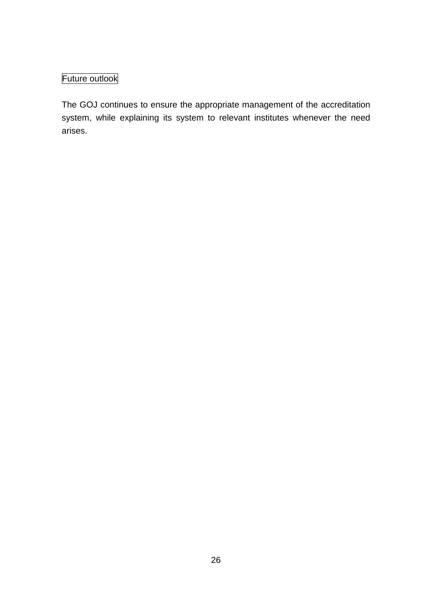# Future outlook

The GOJ continues to ensure the appropriate management of the accreditation system, while explaining its system to relevant institutes whenever the need arises.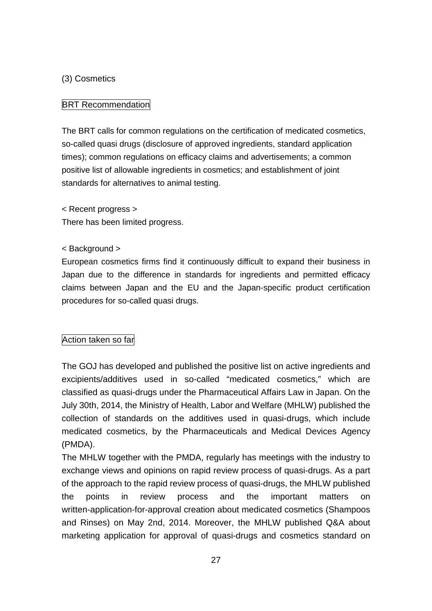# <span id="page-27-0"></span>(3) Cosmetics

# BRT Recommendation

The BRT calls for common regulations on the certification of medicated cosmetics, so-called quasi drugs (disclosure of approved ingredients, standard application times); common regulations on efficacy claims and advertisements; a common positive list of allowable ingredients in cosmetics; and establishment of joint standards for alternatives to animal testing.

< Recent progress >

There has been limited progress.

### < Background >

European cosmetics firms find it continuously difficult to expand their business in Japan due to the difference in standards for ingredients and permitted efficacy claims between Japan and the EU and the Japan-specific product certification procedures for so-called quasi drugs.

# Action taken so far

The GOJ has developed and published the positive list on active ingredients and excipients/additives used in so-called "medicated cosmetics," which are classified as quasi-drugs under the Pharmaceutical Affairs Law in Japan. On the July 30th, 2014, the Ministry of Health, Labor and Welfare (MHLW) published the collection of standards on the additives used in quasi-drugs, which include medicated cosmetics, by the Pharmaceuticals and Medical Devices Agency (PMDA).

The MHLW together with the PMDA, regularly has meetings with the industry to exchange views and opinions on rapid review process of quasi-drugs. As a part of the approach to the rapid review process of quasi-drugs, the MHLW published the points in review process and the important matters on written-application-for-approval creation about medicated cosmetics (Shampoos and Rinses) on May 2nd, 2014. Moreover, the MHLW published Q&A about marketing application for approval of quasi-drugs and cosmetics standard on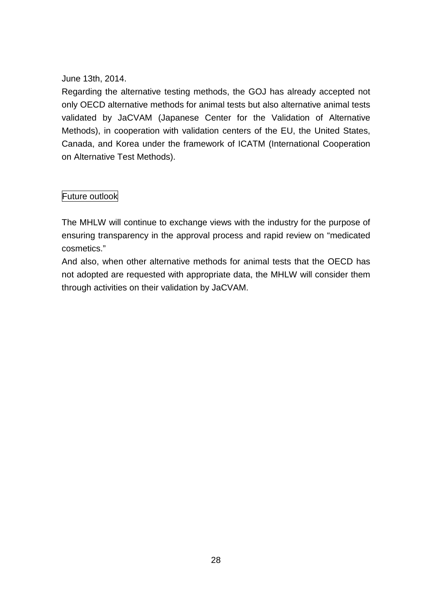# June 13th, 2014.

Regarding the alternative testing methods, the GOJ has already accepted not only OECD alternative methods for animal tests but also alternative animal tests validated by JaCVAM (Japanese Center for the Validation of Alternative Methods), in cooperation with validation centers of the EU, the United States, Canada, and Korea under the framework of ICATM (International Cooperation on Alternative Test Methods).

# Future outlook

The MHLW will continue to exchange views with the industry for the purpose of ensuring transparency in the approval process and rapid review on "medicated cosmetics."

And also, when other alternative methods for animal tests that the OECD has not adopted are requested with appropriate data, the MHLW will consider them through activities on their validation by JaCVAM.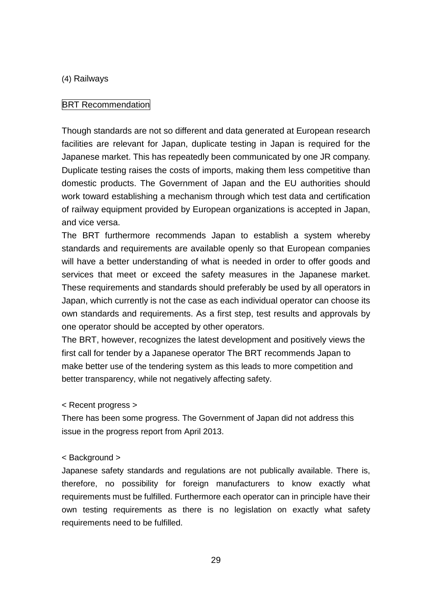#### <span id="page-29-0"></span>(4) Railways

#### **BRT Recommendation**

Though standards are not so different and data generated at European research facilities are relevant for Japan, duplicate testing in Japan is required for the Japanese market. This has repeatedly been communicated by one JR company. Duplicate testing raises the costs of imports, making them less competitive than domestic products. The Government of Japan and the EU authorities should work toward establishing a mechanism through which test data and certification of railway equipment provided by European organizations is accepted in Japan, and vice versa.

The BRT furthermore recommends Japan to establish a system whereby standards and requirements are available openly so that European companies will have a better understanding of what is needed in order to offer goods and services that meet or exceed the safety measures in the Japanese market. These requirements and standards should preferably be used by all operators in Japan, which currently is not the case as each individual operator can choose its own standards and requirements. As a first step, test results and approvals by one operator should be accepted by other operators.

The BRT, however, recognizes the latest development and positively views the first call for tender by a Japanese operator The BRT recommends Japan to make better use of the tendering system as this leads to more competition and better transparency, while not negatively affecting safety.

#### < Recent progress >

There has been some progress. The Government of Japan did not address this issue in the progress report from April 2013.

#### < Background >

Japanese safety standards and regulations are not publically available. There is, therefore, no possibility for foreign manufacturers to know exactly what requirements must be fulfilled. Furthermore each operator can in principle have their own testing requirements as there is no legislation on exactly what safety requirements need to be fulfilled.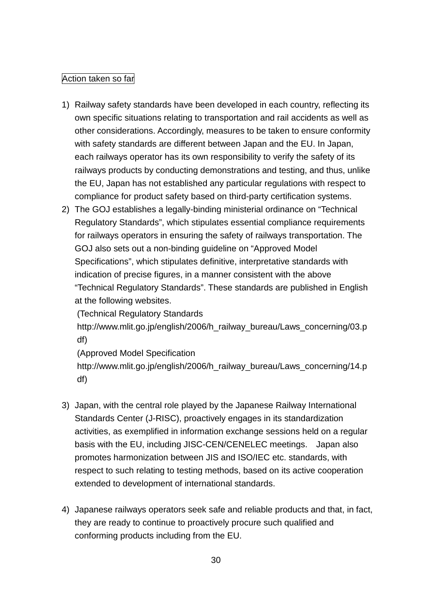### Action taken so far

- 1) Railway safety standards have been developed in each country, reflecting its own specific situations relating to transportation and rail accidents as well as other considerations. Accordingly, measures to be taken to ensure conformity with safety standards are different between Japan and the EU. In Japan, each railways operator has its own responsibility to verify the safety of its railways products by conducting demonstrations and testing, and thus, unlike the EU, Japan has not established any particular regulations with respect to compliance for product safety based on third-party certification systems.
- 2) The GOJ establishes a legally-binding ministerial ordinance on "Technical Regulatory Standards", which stipulates essential compliance requirements for railways operators in ensuring the safety of railways transportation. The GOJ also sets out a non-binding guideline on "Approved Model Specifications", which stipulates definitive, interpretative standards with indication of precise figures, in a manner consistent with the above "Technical Regulatory Standards". These standards are published in English at the following websites.

(Technical Regulatory Standards

http://www.mlit.go.jp/english/2006/h\_railway\_bureau/Laws\_concerning/03.p df)

(Approved Model Specification

http://www.mlit.go.jp/english/2006/h\_railway\_bureau/Laws\_concerning/14.p df)

- 3) Japan, with the central role played by the Japanese Railway International Standards Center (J-RISC), proactively engages in its standardization activities, as exemplified in information exchange sessions held on a regular basis with the EU, including JISC-CEN/CENELEC meetings. Japan also promotes harmonization between JIS and ISO/IEC etc. standards, with respect to such relating to testing methods, based on its active cooperation extended to development of international standards.
- 4) Japanese railways operators seek safe and reliable products and that, in fact, they are ready to continue to proactively procure such qualified and conforming products including from the EU.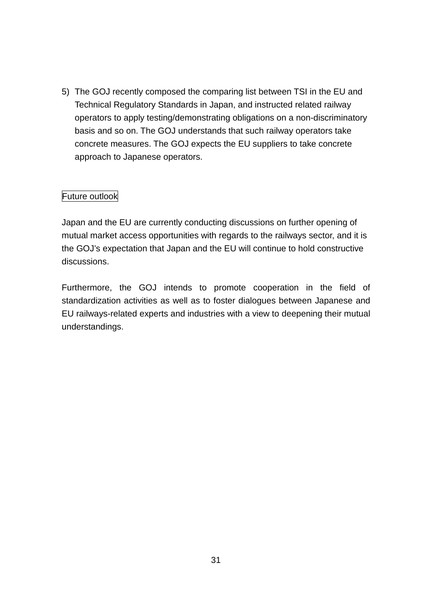5) The GOJ recently composed the comparing list between TSI in the EU and Technical Regulatory Standards in Japan, and instructed related railway operators to apply testing/demonstrating obligations on a non-discriminatory basis and so on. The GOJ understands that such railway operators take concrete measures. The GOJ expects the EU suppliers to take concrete approach to Japanese operators.

### Future outlook

Japan and the EU are currently conducting discussions on further opening of mutual market access opportunities with regards to the railways sector, and it is the GOJ's expectation that Japan and the EU will continue to hold constructive discussions.

Furthermore, the GOJ intends to promote cooperation in the field of standardization activities as well as to foster dialogues between Japanese and EU railways-related experts and industries with a view to deepening their mutual understandings.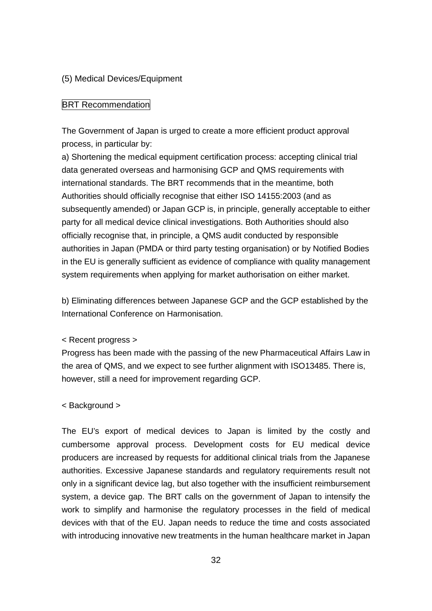#### <span id="page-32-0"></span>(5) Medical Devices/Equipment

#### **BRT Recommendation**

The Government of Japan is urged to create a more efficient product approval process, in particular by:

a) Shortening the medical equipment certification process: accepting clinical trial data generated overseas and harmonising GCP and QMS requirements with international standards. The BRT recommends that in the meantime, both Authorities should officially recognise that either ISO 14155:2003 (and as subsequently amended) or Japan GCP is, in principle, generally acceptable to either party for all medical device clinical investigations. Both Authorities should also officially recognise that, in principle, a QMS audit conducted by responsible authorities in Japan (PMDA or third party testing organisation) or by Notified Bodies in the EU is generally sufficient as evidence of compliance with quality management system requirements when applying for market authorisation on either market.

b) Eliminating differences between Japanese GCP and the GCP established by the International Conference on Harmonisation.

< Recent progress >

Progress has been made with the passing of the new Pharmaceutical Affairs Law in the area of QMS, and we expect to see further alignment with ISO13485. There is, however, still a need for improvement regarding GCP.

< Background >

The EU's export of medical devices to Japan is limited by the costly and cumbersome approval process. Development costs for EU medical device producers are increased by requests for additional clinical trials from the Japanese authorities. Excessive Japanese standards and regulatory requirements result not only in a significant device lag, but also together with the insufficient reimbursement system, a device gap. The BRT calls on the government of Japan to intensify the work to simplify and harmonise the regulatory processes in the field of medical devices with that of the EU. Japan needs to reduce the time and costs associated with introducing innovative new treatments in the human healthcare market in Japan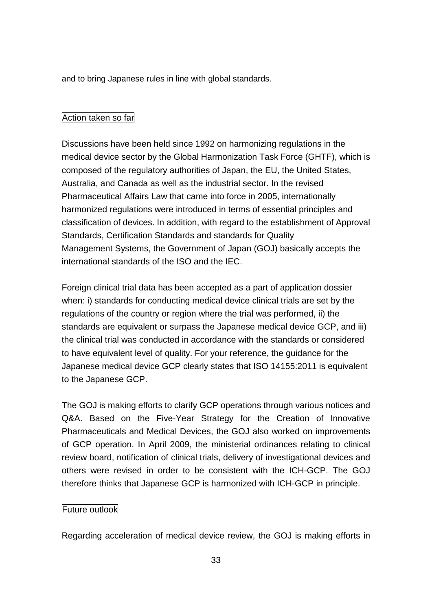and to bring Japanese rules in line with global standards.

# Action taken so far

Discussions have been held since 1992 on harmonizing regulations in the medical device sector by the Global Harmonization Task Force (GHTF), which is composed of the regulatory authorities of Japan, the EU, the United States, Australia, and Canada as well as the industrial sector. In the revised Pharmaceutical Affairs Law that came into force in 2005, internationally harmonized regulations were introduced in terms of essential principles and classification of devices. In addition, with regard to the establishment of Approval Standards, Certification Standards and standards for Quality Management Systems, the Government of Japan (GOJ) basically accepts the international standards of the ISO and the IEC.

Foreign clinical trial data has been accepted as a part of application dossier when: i) standards for conducting medical device clinical trials are set by the regulations of the country or region where the trial was performed, ii) the standards are equivalent or surpass the Japanese medical device GCP, and iii) the clinical trial was conducted in accordance with the standards or considered to have equivalent level of quality. For your reference, the guidance for the Japanese medical device GCP clearly states that ISO 14155:2011 is equivalent to the Japanese GCP.

The GOJ is making efforts to clarify GCP operations through various notices and Q&A. Based on the Five-Year Strategy for the Creation of Innovative Pharmaceuticals and Medical Devices, the GOJ also worked on improvements of GCP operation. In April 2009, the ministerial ordinances relating to clinical review board, notification of clinical trials, delivery of investigational devices and others were revised in order to be consistent with the ICH-GCP. The GOJ therefore thinks that Japanese GCP is harmonized with ICH-GCP in principle.

### Future outlook

Regarding acceleration of medical device review, the GOJ is making efforts in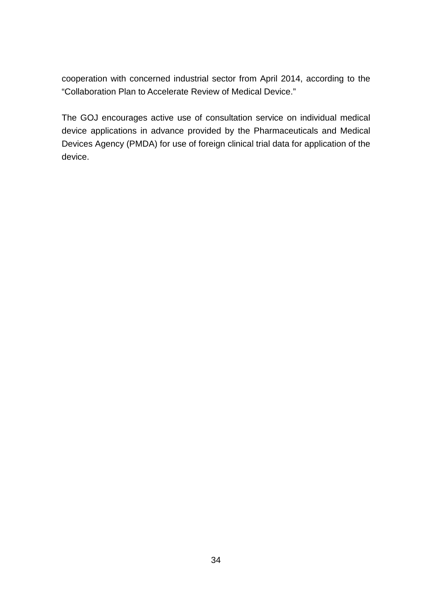cooperation with concerned industrial sector from April 2014, according to the "Collaboration Plan to Accelerate Review of Medical Device."

The GOJ encourages active use of consultation service on individual medical device applications in advance provided by the Pharmaceuticals and Medical Devices Agency (PMDA) for use of foreign clinical trial data for application of the device.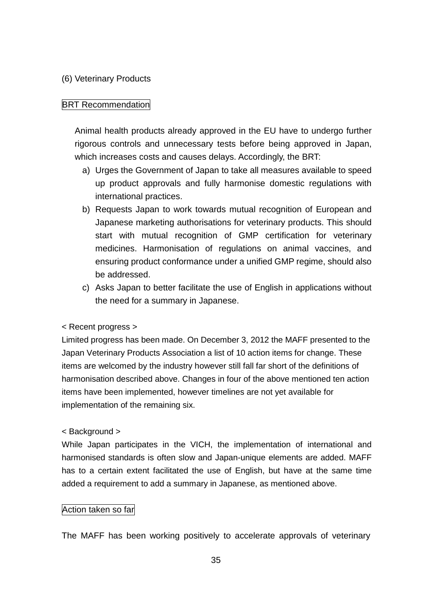### <span id="page-35-0"></span>(6) Veterinary Products

# **BRT Recommendation**

Animal health products already approved in the EU have to undergo further rigorous controls and unnecessary tests before being approved in Japan, which increases costs and causes delays. Accordingly, the BRT:

- a) Urges the Government of Japan to take all measures available to speed up product approvals and fully harmonise domestic regulations with international practices.
- b) Requests Japan to work towards mutual recognition of European and Japanese marketing authorisations for veterinary products. This should start with mutual recognition of GMP certification for veterinary medicines. Harmonisation of regulations on animal vaccines, and ensuring product conformance under a unified GMP regime, should also be addressed.
- c) Asks Japan to better facilitate the use of English in applications without the need for a summary in Japanese.

### < Recent progress >

Limited progress has been made. On December 3, 2012 the MAFF presented to the Japan Veterinary Products Association a list of 10 action items for change. These items are welcomed by the industry however still fall far short of the definitions of harmonisation described above. Changes in four of the above mentioned ten action items have been implemented, however timelines are not yet available for implementation of the remaining six.

### < Background >

While Japan participates in the VICH, the implementation of international and harmonised standards is often slow and Japan-unique elements are added. MAFF has to a certain extent facilitated the use of English, but have at the same time added a requirement to add a summary in Japanese, as mentioned above.

### Action taken so far

The MAFF has been working positively to accelerate approvals of veterinary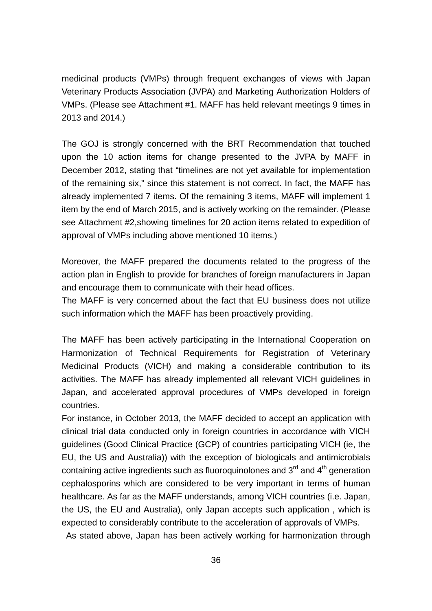medicinal products (VMPs) through frequent exchanges of views with Japan Veterinary Products Association (JVPA) and Marketing Authorization Holders of VMPs. (Please see Attachment #1. MAFF has held relevant meetings 9 times in 2013 and 2014.)

The GOJ is strongly concerned with the BRT Recommendation that touched upon the 10 action items for change presented to the JVPA by MAFF in December 2012, stating that "timelines are not yet available for implementation of the remaining six," since this statement is not correct. In fact, the MAFF has already implemented 7 items. Of the remaining 3 items, MAFF will implement 1 item by the end of March 2015, and is actively working on the remainder. (Please see Attachment #2,showing timelines for 20 action items related to expedition of approval of VMPs including above mentioned 10 items.)

Moreover, the MAFF prepared the documents related to the progress of the action plan in English to provide for branches of foreign manufacturers in Japan and encourage them to communicate with their head offices.

The MAFF is very concerned about the fact that EU business does not utilize such information which the MAFF has been proactively providing.

The MAFF has been actively participating in the International Cooperation on Harmonization of Technical Requirements for Registration of Veterinary Medicinal Products (VICH) and making a considerable contribution to its activities. The MAFF has already implemented all relevant VICH guidelines in Japan, and accelerated approval procedures of VMPs developed in foreign countries.

For instance, in October 2013, the MAFF decided to accept an application with clinical trial data conducted only in foreign countries in accordance with VICH guidelines (Good Clinical Practice (GCP) of countries participating VICH (ie, the EU, the US and Australia)) with the exception of biologicals and antimicrobials containing active ingredients such as fluoroquinolones and  $3^{\text{rd}}$  and  $4^{\text{th}}$  generation cephalosporins which are considered to be very important in terms of human healthcare. As far as the MAFF understands, among VICH countries (i.e. Japan, the US, the EU and Australia), only Japan accepts such application , which is expected to considerably contribute to the acceleration of approvals of VMPs.

As stated above, Japan has been actively working for harmonization through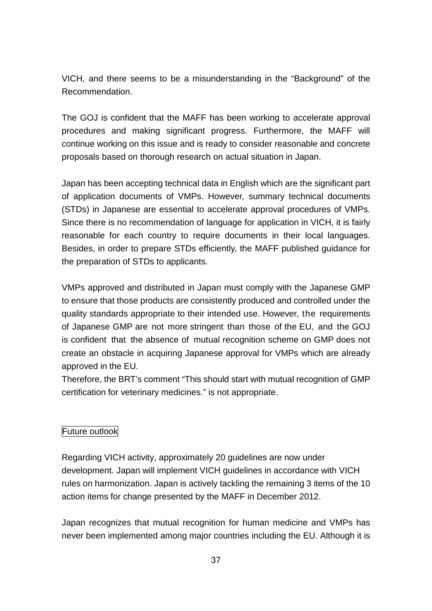VICH, and there seems to be a misunderstanding in the "Background" of the Recommendation.

The GOJ is confident that the MAFF has been working to accelerate approval procedures and making significant progress. Furthermore, the MAFF will continue working on this issue and is ready to consider reasonable and concrete proposals based on thorough research on actual situation in Japan.

Japan has been accepting technical data in English which are the significant part of application documents of VMPs. However, summary technical documents (STDs) in Japanese are essential to accelerate approval procedures of VMPs. Since there is no recommendation of language for application in VICH, it is fairly reasonable for each country to require documents in their local languages. Besides, in order to prepare STDs efficiently, the MAFF published guidance for the preparation of STDs to applicants.

VMPs approved and distributed in Japan must comply with the Japanese GMP to ensure that those products are consistently produced and controlled under the quality standards appropriate to their intended use. However, the requirements of Japanese GMP are not more stringent than those of the EU, and the GOJ is confident that the absence of mutual recognition scheme on GMP does not create an obstacle in acquiring Japanese approval for VMPs which are already approved in the EU.

Therefore, the BRT's comment "This should start with mutual recognition of GMP certification for veterinary medicines." is not appropriate.

# Future outlook

Regarding VICH activity, approximately 20 guidelines are now under development. Japan will implement VICH guidelines in accordance with VICH rules on harmonization. Japan is actively tackling the remaining 3 items of the 10 action items for change presented by the MAFF in December 2012.

Japan recognizes that mutual recognition for human medicine and VMPs has never been implemented among major countries including the EU. Although it is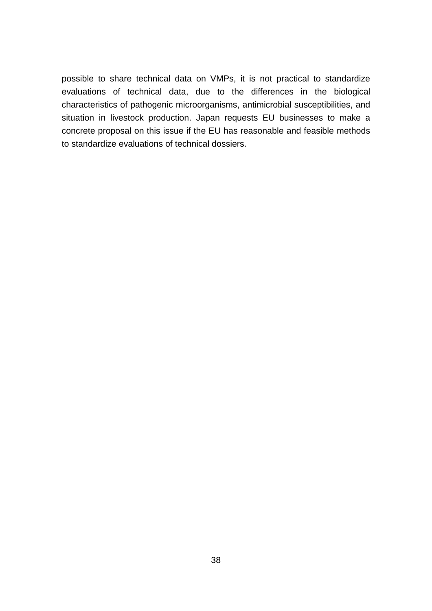possible to share technical data on VMPs, it is not practical to standardize evaluations of technical data, due to the differences in the biological characteristics of pathogenic microorganisms, antimicrobial susceptibilities, and situation in livestock production. Japan requests EU businesses to make a concrete proposal on this issue if the EU has reasonable and feasible methods to standardize evaluations of technical dossiers.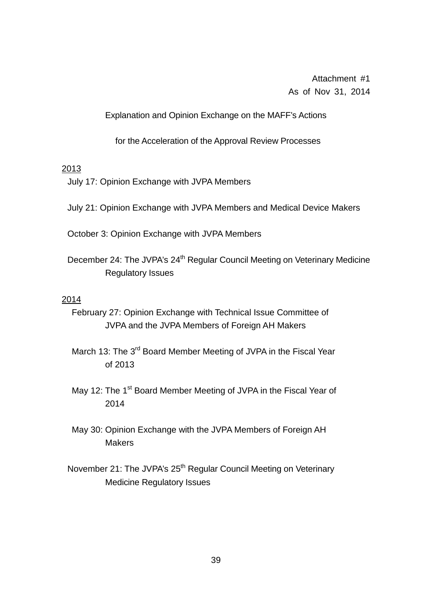Attachment #1 As of Nov 31, 2014

Explanation and Opinion Exchange on the MAFF's Actions

for the Acceleration of the Approval Review Processes

#### 2013

July 17: Opinion Exchange with JVPA Members

July 21: Opinion Exchange with JVPA Members and Medical Device Makers

October 3: Opinion Exchange with JVPA Members

December 24: The JVPA's 24<sup>th</sup> Regular Council Meeting on Veterinary Medicine Regulatory Issues

#### 2014

- February 27: Opinion Exchange with Technical Issue Committee of JVPA and the JVPA Members of Foreign AH Makers
- March 13: The 3<sup>rd</sup> Board Member Meeting of JVPA in the Fiscal Year of 2013
- May 12: The 1<sup>st</sup> Board Member Meeting of JVPA in the Fiscal Year of 2014
- May 30: Opinion Exchange with the JVPA Members of Foreign AH **Makers**
- November 21: The JVPA's 25<sup>th</sup> Regular Council Meeting on Veterinary Medicine Regulatory Issues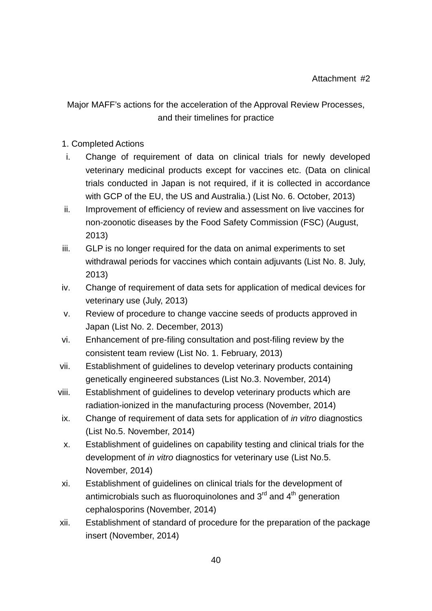# Major MAFF's actions for the acceleration of the Approval Review Processes, and their timelines for practice

## 1. Completed Actions

- i. Change of requirement of data on clinical trials for newly developed veterinary medicinal products except for vaccines etc. (Data on clinical trials conducted in Japan is not required, if it is collected in accordance with GCP of the EU, the US and Australia.) (List No. 6. October, 2013)
- ii. Improvement of efficiency of review and assessment on live vaccines for non-zoonotic diseases by the Food Safety Commission (FSC) (August, 2013)
- iii. GLP is no longer required for the data on animal experiments to set withdrawal periods for vaccines which contain adjuvants (List No. 8. July, 2013)
- iv. Change of requirement of data sets for application of medical devices for veterinary use (July, 2013)
- v. Review of procedure to change vaccine seeds of products approved in Japan (List No. 2. December, 2013)
- vi. Enhancement of pre-filing consultation and post-filing review by the consistent team review (List No. 1. February, 2013)
- vii. Establishment of guidelines to develop veterinary products containing genetically engineered substances (List No.3. November, 2014)
- viii. Establishment of guidelines to develop veterinary products which are radiation-ionized in the manufacturing process (November, 2014)
- ix. Change of requirement of data sets for application of *in vitro* diagnostics (List No.5. November, 2014)
- x. Establishment of guidelines on capability testing and clinical trials for the development of *in vitro* diagnostics for veterinary use (List No.5. November, 2014)
- xi. Establishment of guidelines on clinical trials for the development of antimicrobials such as fluoroquinolones and  $3<sup>rd</sup>$  and  $4<sup>th</sup>$  generation cephalosporins (November, 2014)
- xii. Establishment of standard of procedure for the preparation of the package insert (November, 2014)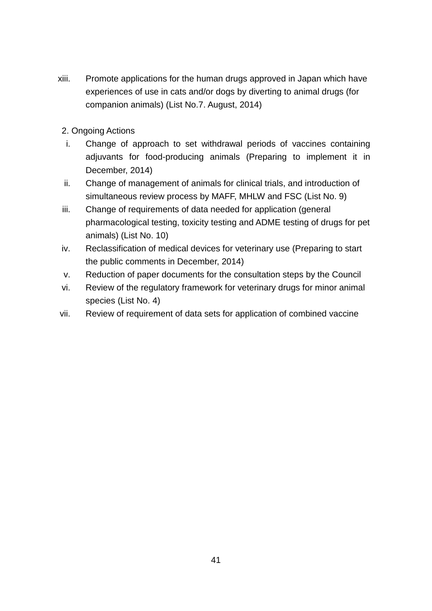- xiii. Promote applications for the human drugs approved in Japan which have experiences of use in cats and/or dogs by diverting to animal drugs (for companion animals) (List No.7. August, 2014)
- 2. Ongoing Actions
- i. Change of approach to set withdrawal periods of vaccines containing adjuvants for food-producing animals (Preparing to implement it in December, 2014)
- ii. Change of management of animals for clinical trials, and introduction of simultaneous review process by MAFF, MHLW and FSC (List No. 9)
- iii. Change of requirements of data needed for application (general pharmacological testing, toxicity testing and ADME testing of drugs for pet animals) (List No. 10)
- iv. Reclassification of medical devices for veterinary use (Preparing to start the public comments in December, 2014)
- v. Reduction of paper documents for the consultation steps by the Council
- vi. Review of the regulatory framework for veterinary drugs for minor animal species (List No. 4)
- vii. Review of requirement of data sets for application of combined vaccine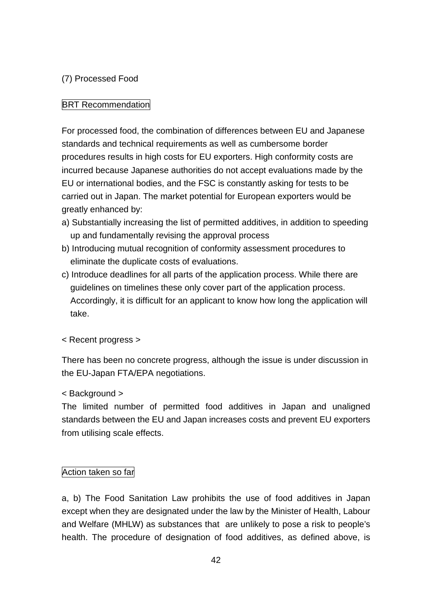# (7) Processed Food

## **BRT Recommendation**

For processed food, the combination of differences between EU and Japanese standards and technical requirements as well as cumbersome border procedures results in high costs for EU exporters. High conformity costs are incurred because Japanese authorities do not accept evaluations made by the EU or international bodies, and the FSC is constantly asking for tests to be carried out in Japan. The market potential for European exporters would be greatly enhanced by:

- a) Substantially increasing the list of permitted additives, in addition to speeding up and fundamentally revising the approval process
- b) Introducing mutual recognition of conformity assessment procedures to eliminate the duplicate costs of evaluations.
- c) Introduce deadlines for all parts of the application process. While there are guidelines on timelines these only cover part of the application process. Accordingly, it is difficult for an applicant to know how long the application will take.

< Recent progress >

There has been no concrete progress, although the issue is under discussion in the EU-Japan FTA/EPA negotiations.

## < Background >

The limited number of permitted food additives in Japan and unaligned standards between the EU and Japan increases costs and prevent EU exporters from utilising scale effects.

## Action taken so far

a, b) The Food Sanitation Law prohibits the use of food additives in Japan except when they are designated under the law by the Minister of Health, Labour and Welfare (MHLW) as substances that are unlikely to pose a risk to people's health. The procedure of designation of food additives, as defined above, is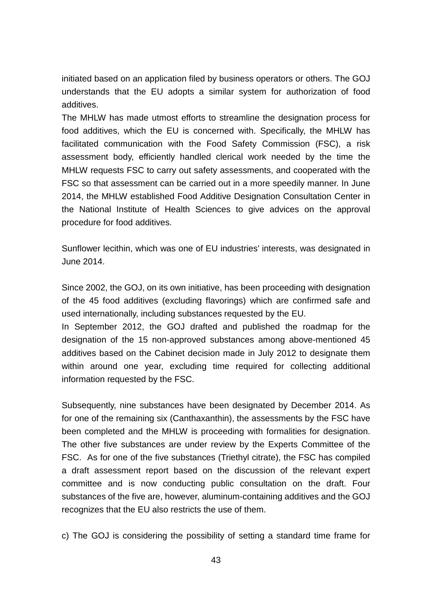initiated based on an application filed by business operators or others. The GOJ understands that the EU adopts a similar system for authorization of food additives.

The MHLW has made utmost efforts to streamline the designation process for food additives, which the EU is concerned with. Specifically, the MHLW has facilitated communication with the Food Safety Commission (FSC), a risk assessment body, efficiently handled clerical work needed by the time the MHLW requests FSC to carry out safety assessments, and cooperated with the FSC so that assessment can be carried out in a more speedily manner. In June 2014, the MHLW established Food Additive Designation Consultation Center in the National Institute of Health Sciences to give advices on the approval procedure for food additives.

Sunflower lecithin, which was one of EU industries' interests, was designated in June 2014.

Since 2002, the GOJ, on its own initiative, has been proceeding with designation of the 45 food additives (excluding flavorings) which are confirmed safe and used internationally, including substances requested by the EU.

In September 2012, the GOJ drafted and published the roadmap for the designation of the 15 non-approved substances among above-mentioned 45 additives based on the Cabinet decision made in July 2012 to designate them within around one year, excluding time required for collecting additional information requested by the FSC.

Subsequently, nine substances have been designated by December 2014. As for one of the remaining six (Canthaxanthin), the assessments by the FSC have been completed and the MHLW is proceeding with formalities for designation. The other five substances are under review by the Experts Committee of the FSC. As for one of the five substances (Triethyl citrate), the FSC has compiled a draft assessment report based on the discussion of the relevant expert committee and is now conducting public consultation on the draft. Four substances of the five are, however, aluminum-containing additives and the GOJ recognizes that the EU also restricts the use of them.

c) The GOJ is considering the possibility of setting a standard time frame for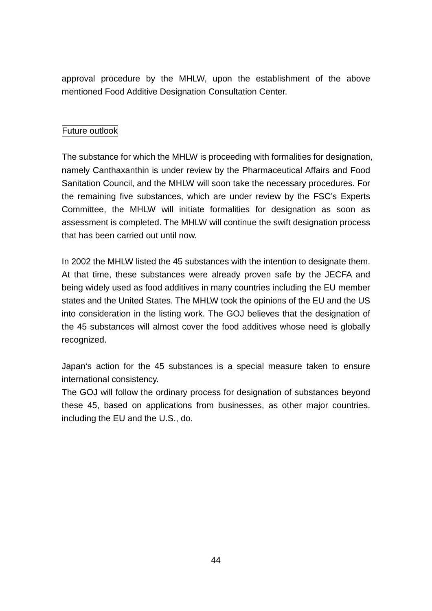approval procedure by the MHLW, upon the establishment of the above mentioned Food Additive Designation Consultation Center.

# Future outlook

The substance for which the MHLW is proceeding with formalities for designation, namely Canthaxanthin is under review by the Pharmaceutical Affairs and Food Sanitation Council, and the MHLW will soon take the necessary procedures. For the remaining five substances, which are under review by the FSC's Experts Committee, the MHLW will initiate formalities for designation as soon as assessment is completed. The MHLW will continue the swift designation process that has been carried out until now.

In 2002 the MHLW listed the 45 substances with the intention to designate them. At that time, these substances were already proven safe by the JECFA and being widely used as food additives in many countries including the EU member states and the United States. The MHLW took the opinions of the EU and the US into consideration in the listing work. The GOJ believes that the designation of the 45 substances will almost cover the food additives whose need is globally recognized.

Japan's action for the 45 substances is a special measure taken to ensure international consistency.

The GOJ will follow the ordinary process for designation of substances beyond these 45, based on applications from businesses, as other major countries, including the EU and the U.S., do.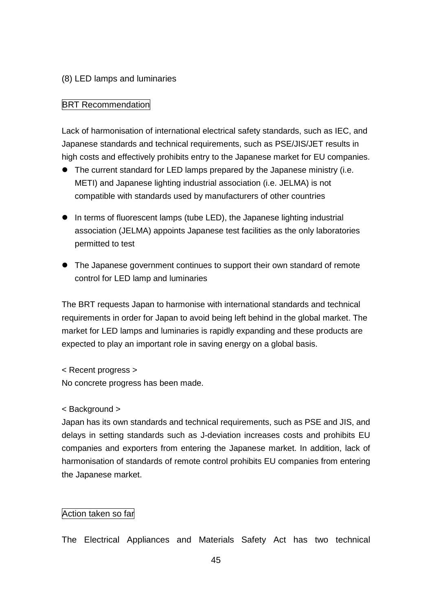## (8) LED lamps and luminaries

## **BRT Recommendation**

Lack of harmonisation of international electrical safety standards, such as IEC, and Japanese standards and technical requirements, such as PSE/JIS/JET results in high costs and effectively prohibits entry to the Japanese market for EU companies.

- The current standard for LED lamps prepared by the Japanese ministry (i.e. METI) and Japanese lighting industrial association (i.e. JELMA) is not compatible with standards used by manufacturers of other countries
- In terms of fluorescent lamps (tube LED), the Japanese lighting industrial association (JELMA) appoints Japanese test facilities as the only laboratories permitted to test
- The Japanese government continues to support their own standard of remote control for LED lamp and luminaries

The BRT requests Japan to harmonise with international standards and technical requirements in order for Japan to avoid being left behind in the global market. The market for LED lamps and luminaries is rapidly expanding and these products are expected to play an important role in saving energy on a global basis.

< Recent progress > No concrete progress has been made.

< Background >

Japan has its own standards and technical requirements, such as PSE and JIS, and delays in setting standards such as J-deviation increases costs and prohibits EU companies and exporters from entering the Japanese market. In addition, lack of harmonisation of standards of remote control prohibits EU companies from entering the Japanese market.

## Action taken so far

The Electrical Appliances and Materials Safety Act has two technical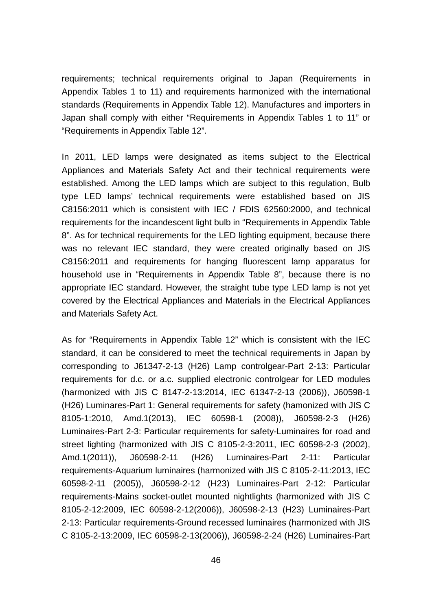requirements; technical requirements original to Japan (Requirements in Appendix Tables 1 to 11) and requirements harmonized with the international standards (Requirements in Appendix Table 12). Manufactures and importers in Japan shall comply with either "Requirements in Appendix Tables 1 to 11" or "Requirements in Appendix Table 12".

In 2011, LED lamps were designated as items subject to the Electrical Appliances and Materials Safety Act and their technical requirements were established. Among the LED lamps which are subject to this regulation, Bulb type LED lamps' technical requirements were established based on JIS C8156:2011 which is consistent with IEC / FDIS 62560:2000, and technical requirements for the incandescent light bulb in "Requirements in Appendix Table 8". As for technical requirements for the LED lighting equipment, because there was no relevant IEC standard, they were created originally based on JIS C8156:2011 and requirements for hanging fluorescent lamp apparatus for household use in "Requirements in Appendix Table 8", because there is no appropriate IEC standard. However, the straight tube type LED lamp is not yet covered by the Electrical Appliances and Materials in the Electrical Appliances and Materials Safety Act.

As for "Requirements in Appendix Table 12" which is consistent with the IEC standard, it can be considered to meet the technical requirements in Japan by corresponding to J61347-2-13 (H26) Lamp controlgear-Part 2-13: Particular requirements for d.c. or a.c. supplied electronic controlgear for LED modules (harmonized with JIS C 8147-2-13:2014, IEC 61347-2-13 (2006)), J60598-1 (H26) Luminares-Part 1: General requirements for safety (hamonized with JIS C 8105-1:2010, Amd.1(2013), IEC 60598-1 (2008)), J60598-2-3 (H26) Luminaires-Part 2-3: Particular requirements for safety-Luminaires for road and street lighting (harmonized with JIS C 8105-2-3:2011, IEC 60598-2-3 (2002), Amd.1(2011)), J60598-2-11 (H26) Luminaires-Part 2-11: Particular requirements-Aquarium luminaires (harmonized with JIS C 8105-2-11:2013, IEC 60598-2-11 (2005)), J60598-2-12 (H23) Luminaires-Part 2-12: Particular requirements-Mains socket-outlet mounted nightlights (harmonized with JIS C 8105-2-12:2009, IEC 60598-2-12(2006)), J60598-2-13 (H23) Luminaires-Part 2-13: Particular requirements-Ground recessed luminaires (harmonized with JIS C 8105-2-13:2009, IEC 60598-2-13(2006)), J60598-2-24 (H26) Luminaires-Part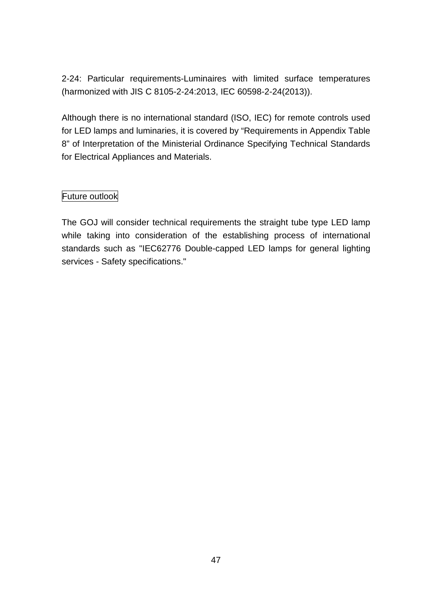2-24: Particular requirements-Luminaires with limited surface temperatures (harmonized with JIS C 8105-2-24:2013, IEC 60598-2-24(2013)).

Although there is no international standard (ISO, IEC) for remote controls used for LED lamps and luminaries, it is covered by "Requirements in Appendix Table 8" of Interpretation of the Ministerial Ordinance Specifying Technical Standards for Electrical Appliances and Materials.

## Future outlook

The GOJ will consider technical requirements the straight tube type LED lamp while taking into consideration of the establishing process of international standards such as "IEC62776 Double-capped LED lamps for general lighting services - Safety specifications."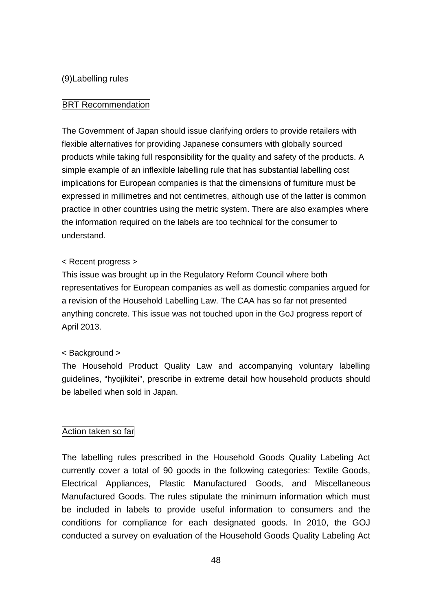### (9)Labelling rules

#### **BRT Recommendation**

The Government of Japan should issue clarifying orders to provide retailers with flexible alternatives for providing Japanese consumers with globally sourced products while taking full responsibility for the quality and safety of the products. A simple example of an inflexible labelling rule that has substantial labelling cost implications for European companies is that the dimensions of furniture must be expressed in millimetres and not centimetres, although use of the latter is common practice in other countries using the metric system. There are also examples where the information required on the labels are too technical for the consumer to understand.

#### < Recent progress >

This issue was brought up in the Regulatory Reform Council where both representatives for European companies as well as domestic companies argued for a revision of the Household Labelling Law. The CAA has so far not presented anything concrete. This issue was not touched upon in the GoJ progress report of April 2013.

#### < Background >

The Household Product Quality Law and accompanying voluntary labelling guidelines, "hyojikitei", prescribe in extreme detail how household products should be labelled when sold in Japan.

#### Action taken so far

The labelling rules prescribed in the Household Goods Quality Labeling Act currently cover a total of 90 goods in the following categories: Textile Goods, Electrical Appliances, Plastic Manufactured Goods, and Miscellaneous Manufactured Goods. The rules stipulate the minimum information which must be included in labels to provide useful information to consumers and the conditions for compliance for each designated goods. In 2010, the GOJ conducted a survey on evaluation of the Household Goods Quality Labeling Act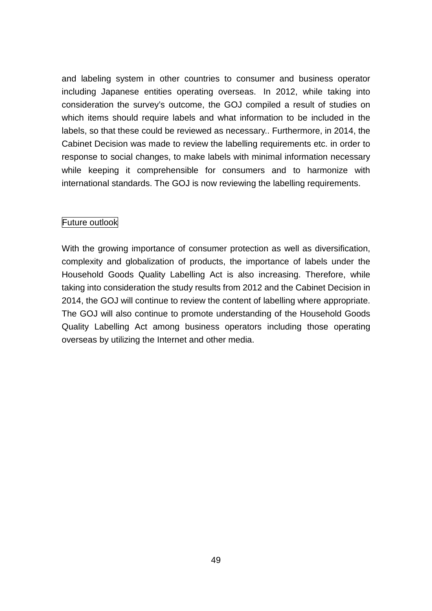and labeling system in other countries to consumer and business operator including Japanese entities operating overseas. In 2012, while taking into consideration the survey's outcome, the GOJ compiled a result of studies on which items should require labels and what information to be included in the labels, so that these could be reviewed as necessary.. Furthermore, in 2014, the Cabinet Decision was made to review the labelling requirements etc. in order to response to social changes, to make labels with minimal information necessary while keeping it comprehensible for consumers and to harmonize with international standards. The GOJ is now reviewing the labelling requirements.

## Future outlook

With the growing importance of consumer protection as well as diversification, complexity and globalization of products, the importance of labels under the Household Goods Quality Labelling Act is also increasing. Therefore, while taking into consideration the study results from 2012 and the Cabinet Decision in 2014, the GOJ will continue to review the content of labelling where appropriate. The GOJ will also continue to promote understanding of the Household Goods Quality Labelling Act among business operators including those operating overseas by utilizing the Internet and other media.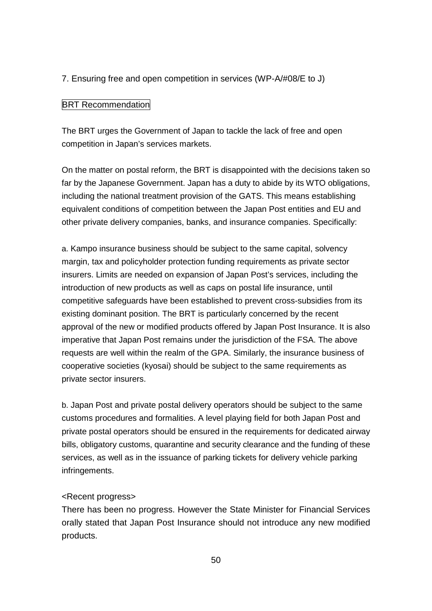## 7. Ensuring free and open competition in services (WP-A/#08/E to J)

### **BRT Recommendation**

The BRT urges the Government of Japan to tackle the lack of free and open competition in Japan's services markets.

On the matter on postal reform, the BRT is disappointed with the decisions taken so far by the Japanese Government. Japan has a duty to abide by its WTO obligations, including the national treatment provision of the GATS. This means establishing equivalent conditions of competition between the Japan Post entities and EU and other private delivery companies, banks, and insurance companies. Specifically:

a. Kampo insurance business should be subject to the same capital, solvency margin, tax and policyholder protection funding requirements as private sector insurers. Limits are needed on expansion of Japan Post's services, including the introduction of new products as well as caps on postal life insurance, until competitive safeguards have been established to prevent cross-subsidies from its existing dominant position. The BRT is particularly concerned by the recent approval of the new or modified products offered by Japan Post Insurance. It is also imperative that Japan Post remains under the jurisdiction of the FSA. The above requests are well within the realm of the GPA. Similarly, the insurance business of cooperative societies (kyosai) should be subject to the same requirements as private sector insurers.

b. Japan Post and private postal delivery operators should be subject to the same customs procedures and formalities. A level playing field for both Japan Post and private postal operators should be ensured in the requirements for dedicated airway bills, obligatory customs, quarantine and security clearance and the funding of these services, as well as in the issuance of parking tickets for delivery vehicle parking infringements.

#### <Recent progress>

There has been no progress. However the State Minister for Financial Services orally stated that Japan Post Insurance should not introduce any new modified products.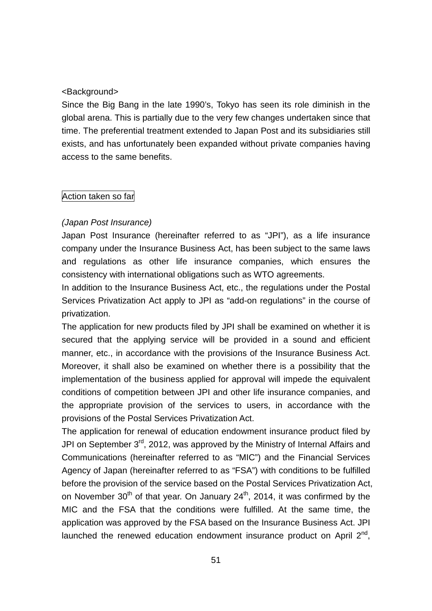### <Background>

Since the Big Bang in the late 1990's, Tokyo has seen its role diminish in the global arena. This is partially due to the very few changes undertaken since that time. The preferential treatment extended to Japan Post and its subsidiaries still exists, and has unfortunately been expanded without private companies having access to the same benefits.

#### Action taken so far

## *(Japan Post Insurance)*

Japan Post Insurance (hereinafter referred to as "JPI"), as a life insurance company under the Insurance Business Act, has been subject to the same laws and regulations as other life insurance companies, which ensures the consistency with international obligations such as WTO agreements.

In addition to the Insurance Business Act, etc., the regulations under the Postal Services Privatization Act apply to JPI as "add-on regulations" in the course of privatization.

The application for new products filed by JPI shall be examined on whether it is secured that the applying service will be provided in a sound and efficient manner, etc., in accordance with the provisions of the Insurance Business Act. Moreover, it shall also be examined on whether there is a possibility that the implementation of the business applied for approval will impede the equivalent conditions of competition between JPI and other life insurance companies, and the appropriate provision of the services to users, in accordance with the provisions of the Postal Services Privatization Act.

The application for renewal of education endowment insurance product filed by JPI on September 3<sup>rd</sup>, 2012, was approved by the Ministry of Internal Affairs and Communications (hereinafter referred to as "MIC") and the Financial Services Agency of Japan (hereinafter referred to as "FSA") with conditions to be fulfilled before the provision of the service based on the Postal Services Privatization Act, on November 30<sup>th</sup> of that year. On January 24<sup>th</sup>, 2014, it was confirmed by the MIC and the FSA that the conditions were fulfilled. At the same time, the application was approved by the FSA based on the Insurance Business Act. JPI launched the renewed education endowment insurance product on April  $2^{nd}$ .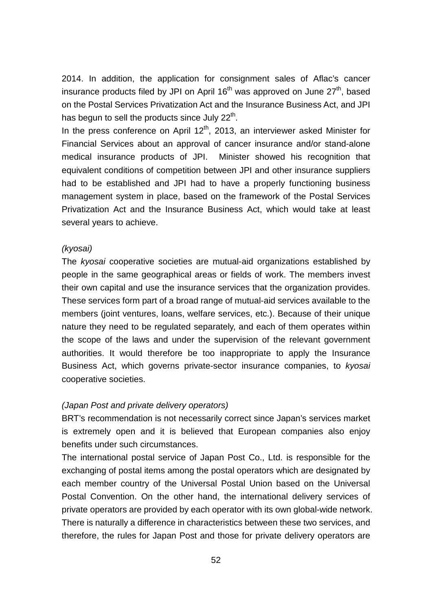2014. In addition, the application for consignment sales of Aflac's cancer insurance products filed by JPI on April  $16<sup>th</sup>$  was approved on June  $27<sup>th</sup>$ , based on the Postal Services Privatization Act and the Insurance Business Act, and JPI has begun to sell the products since July  $22<sup>th</sup>$ .

In the press conference on April  $12<sup>th</sup>$ , 2013, an interviewer asked Minister for Financial Services about an approval of cancer insurance and/or stand-alone medical insurance products of JPI. Minister showed his recognition that equivalent conditions of competition between JPI and other insurance suppliers had to be established and JPI had to have a properly functioning business management system in place, based on the framework of the Postal Services Privatization Act and the Insurance Business Act, which would take at least several years to achieve.

#### *(kyosai)*

The *kyosai* cooperative societies are mutual-aid organizations established by people in the same geographical areas or fields of work. The members invest their own capital and use the insurance services that the organization provides. These services form part of a broad range of mutual-aid services available to the members (joint ventures, loans, welfare services, etc.). Because of their unique nature they need to be regulated separately, and each of them operates within the scope of the laws and under the supervision of the relevant government authorities. It would therefore be too inappropriate to apply the Insurance Business Act, which governs private-sector insurance companies, to *kyosai* cooperative societies.

#### *(Japan Post and private delivery operators)*

BRT's recommendation is not necessarily correct since Japan's services market is extremely open and it is believed that European companies also enjoy benefits under such circumstances.

The international postal service of Japan Post Co., Ltd. is responsible for the exchanging of postal items among the postal operators which are designated by each member country of the Universal Postal Union based on the Universal Postal Convention. On the other hand, the international delivery services of private operators are provided by each operator with its own global-wide network. There is naturally a difference in characteristics between these two services, and therefore, the rules for Japan Post and those for private delivery operators are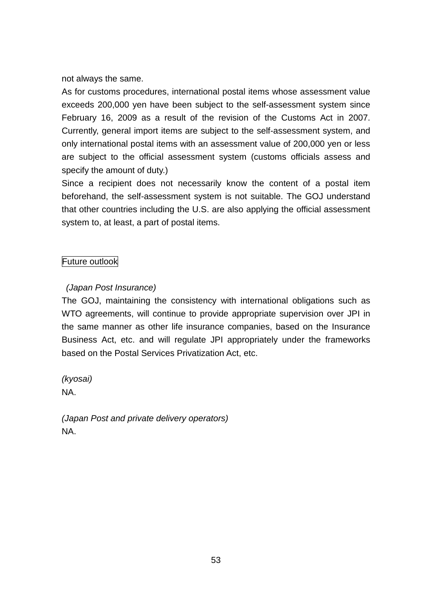not always the same.

As for customs procedures, international postal items whose assessment value exceeds 200,000 yen have been subject to the self-assessment system since February 16, 2009 as a result of the revision of the Customs Act in 2007. Currently, general import items are subject to the self-assessment system, and only international postal items with an assessment value of 200,000 yen or less are subject to the official assessment system (customs officials assess and specify the amount of duty.)

Since a recipient does not necessarily know the content of a postal item beforehand, the self-assessment system is not suitable. The GOJ understand that other countries including the U.S. are also applying the official assessment system to, at least, a part of postal items.

# Future outlook

# *(Japan Post Insurance)*

The GOJ, maintaining the consistency with international obligations such as WTO agreements, will continue to provide appropriate supervision over JPI in the same manner as other life insurance companies, based on the Insurance Business Act, etc. and will regulate JPI appropriately under the frameworks based on the Postal Services Privatization Act, etc.

*(kyosai)* NA.

*(Japan Post and private delivery operators)* NA.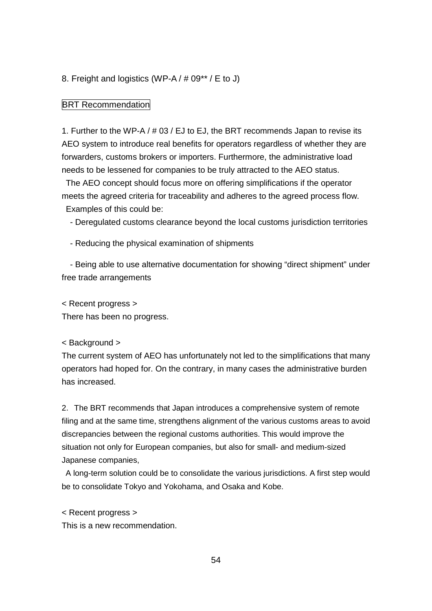#### 8. Freight and logistics (WP-A / # 09\*\* / E to J)

#### **BRT Recommendation**

1. Further to the WP-A / # 03 / EJ to EJ, the BRT recommends Japan to revise its AEO system to introduce real benefits for operators regardless of whether they are forwarders, customs brokers or importers. Furthermore, the administrative load needs to be lessened for companies to be truly attracted to the AEO status.

The AEO concept should focus more on offering simplifications if the operator meets the agreed criteria for traceability and adheres to the agreed process flow. Examples of this could be:

- Deregulated customs clearance beyond the local customs jurisdiction territories

- Reducing the physical examination of shipments

- Being able to use alternative documentation for showing "direct shipment" under free trade arrangements

< Recent progress >

There has been no progress.

#### < Background >

The current system of AEO has unfortunately not led to the simplifications that many operators had hoped for. On the contrary, in many cases the administrative burden has increased.

2.The BRT recommends that Japan introduces a comprehensive system of remote filing and at the same time, strengthens alignment of the various customs areas to avoid discrepancies between the regional customs authorities. This would improve the situation not only for European companies, but also for small- and medium-sized Japanese companies,

A long-term solution could be to consolidate the various jurisdictions. A first step would be to consolidate Tokyo and Yokohama, and Osaka and Kobe.

< Recent progress >

This is a new recommendation.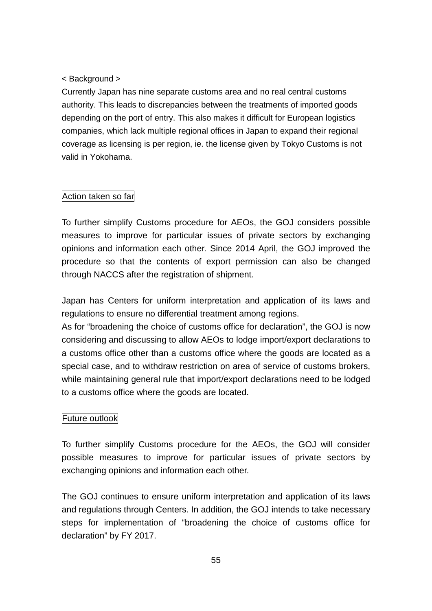## < Background >

Currently Japan has nine separate customs area and no real central customs authority. This leads to discrepancies between the treatments of imported goods depending on the port of entry. This also makes it difficult for European logistics companies, which lack multiple regional offices in Japan to expand their regional coverage as licensing is per region, ie. the license given by Tokyo Customs is not valid in Yokohama.

## Action taken so far

To further simplify Customs procedure for AEOs, the GOJ considers possible measures to improve for particular issues of private sectors by exchanging opinions and information each other. Since 2014 April, the GOJ improved the procedure so that the contents of export permission can also be changed through NACCS after the registration of shipment.

Japan has Centers for uniform interpretation and application of its laws and regulations to ensure no differential treatment among regions.

As for "broadening the choice of customs office for declaration", the GOJ is now considering and discussing to allow AEOs to lodge import/export declarations to a customs office other than a customs office where the goods are located as a special case, and to withdraw restriction on area of service of customs brokers, while maintaining general rule that import/export declarations need to be lodged to a customs office where the goods are located.

## Future outlook

To further simplify Customs procedure for the AEOs, the GOJ will consider possible measures to improve for particular issues of private sectors by exchanging opinions and information each other.

The GOJ continues to ensure uniform interpretation and application of its laws and regulations through Centers. In addition, the GOJ intends to take necessary steps for implementation of "broadening the choice of customs office for declaration" by FY 2017.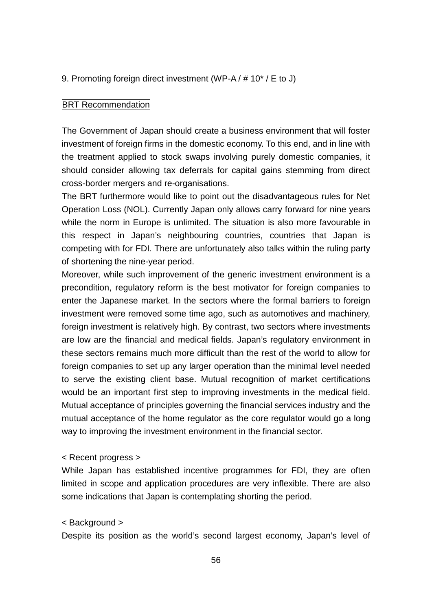### 9. Promoting foreign direct investment (WP-A / # 10\* / E to J)

#### **BRT Recommendation**

The Government of Japan should create a business environment that will foster investment of foreign firms in the domestic economy. To this end, and in line with the treatment applied to stock swaps involving purely domestic companies, it should consider allowing tax deferrals for capital gains stemming from direct cross-border mergers and re-organisations.

The BRT furthermore would like to point out the disadvantageous rules for Net Operation Loss (NOL). Currently Japan only allows carry forward for nine years while the norm in Europe is unlimited. The situation is also more favourable in this respect in Japan's neighbouring countries, countries that Japan is competing with for FDI. There are unfortunately also talks within the ruling party of shortening the nine-year period.

Moreover, while such improvement of the generic investment environment is a precondition, regulatory reform is the best motivator for foreign companies to enter the Japanese market. In the sectors where the formal barriers to foreign investment were removed some time ago, such as automotives and machinery, foreign investment is relatively high. By contrast, two sectors where investments are low are the financial and medical fields. Japan's regulatory environment in these sectors remains much more difficult than the rest of the world to allow for foreign companies to set up any larger operation than the minimal level needed to serve the existing client base. Mutual recognition of market certifications would be an important first step to improving investments in the medical field. Mutual acceptance of principles governing the financial services industry and the mutual acceptance of the home regulator as the core regulator would go a long way to improving the investment environment in the financial sector.

#### < Recent progress >

While Japan has established incentive programmes for FDI, they are often limited in scope and application procedures are very inflexible. There are also some indications that Japan is contemplating shorting the period.

#### < Background >

Despite its position as the world's second largest economy, Japan's level of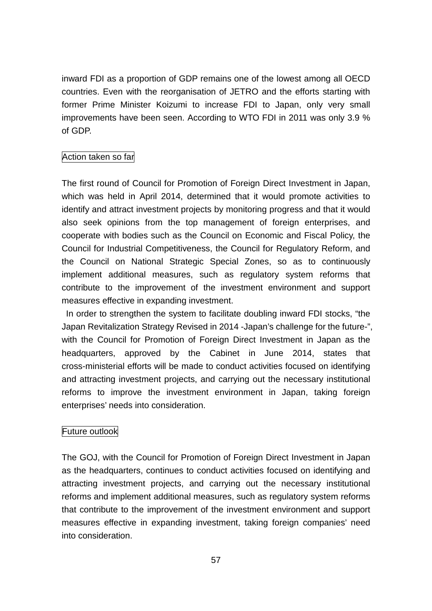inward FDI as a proportion of GDP remains one of the lowest among all OECD countries. Even with the reorganisation of JETRO and the efforts starting with former Prime Minister Koizumi to increase FDI to Japan, only very small improvements have been seen. According to WTO FDI in 2011 was only 3.9 % of GDP.

## Action taken so far

The first round of Council for Promotion of Foreign Direct Investment in Japan, which was held in April 2014, determined that it would promote activities to identify and attract investment projects by monitoring progress and that it would also seek opinions from the top management of foreign enterprises, and cooperate with bodies such as the Council on Economic and Fiscal Policy, the Council for Industrial Competitiveness, the Council for Regulatory Reform, and the Council on National Strategic Special Zones, so as to continuously implement additional measures, such as regulatory system reforms that contribute to the improvement of the investment environment and support measures effective in expanding investment.

In order to strengthen the system to facilitate doubling inward FDI stocks, "the Japan Revitalization Strategy Revised in 2014 -Japan's challenge for the future-", with the Council for Promotion of Foreign Direct Investment in Japan as the headquarters, approved by the Cabinet in June 2014, states that cross-ministerial efforts will be made to conduct activities focused on identifying and attracting investment projects, and carrying out the necessary institutional reforms to improve the investment environment in Japan, taking foreign enterprises' needs into consideration.

## Future outlook

The GOJ, with the Council for Promotion of Foreign Direct Investment in Japan as the headquarters, continues to conduct activities focused on identifying and attracting investment projects, and carrying out the necessary institutional reforms and implement additional measures, such as regulatory system reforms that contribute to the improvement of the investment environment and support measures effective in expanding investment, taking foreign companies' need into consideration.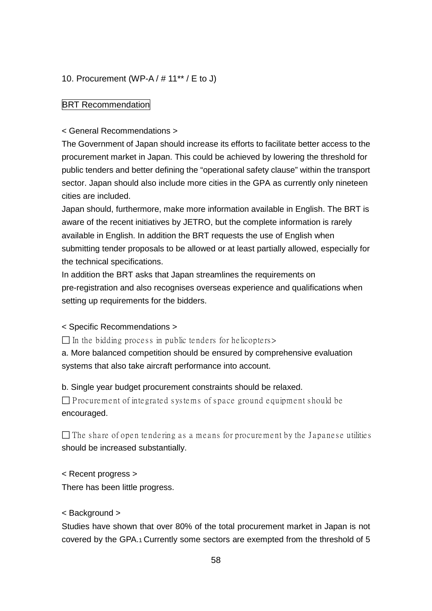## 10. Procurement (WP-A / # 11\*\* / E to J)

## **BRT Recommendation**

< General Recommendations >

The Government of Japan should increase its efforts to facilitate better access to the procurement market in Japan. This could be achieved by lowering the threshold for public tenders and better defining the "operational safety clause" within the transport sector. Japan should also include more cities in the GPA as currently only nineteen cities are included.

Japan should, furthermore, make more information available in English. The BRT is aware of the recent initiatives by JETRO, but the complete information is rarely available in English. In addition the BRT requests the use of English when submitting tender proposals to be allowed or at least partially allowed, especially for the technical specifications.

In addition the BRT asks that Japan streamlines the requirements on pre-registration and also recognises overseas experience and qualifications when setting up requirements for the bidders.

## < Specific Recommendations >

 $\Box$  In the bidding process in public tenders for helicopters >

a. More balanced competition should be ensured by comprehensive evaluation systems that also take aircraft performance into account.

b. Single year budget procurement constraints should be relaxed.

 $\Box$  P rocurement of integrated systems of space ground equipment should be encouraged.

 $\Box$  The share of open tendering as a means for procurement by the Japanese utilities should be increased substantially.

< Recent progress > There has been little progress.

< Background >

Studies have shown that over 80% of the total procurement market in Japan is not covered by the GPA.1 Currently some sectors are exempted from the threshold of 5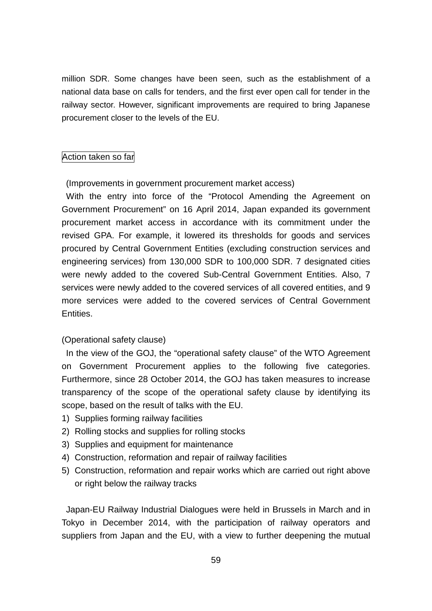million SDR. Some changes have been seen, such as the establishment of a national data base on calls for tenders, and the first ever open call for tender in the railway sector. However, significant improvements are required to bring Japanese procurement closer to the levels of the EU.

#### Action taken so far

(Improvements in government procurement market access)

With the entry into force of the "Protocol Amending the Agreement on Government Procurement" on 16 April 2014, Japan expanded its government procurement market access in accordance with its commitment under the revised GPA. For example, it lowered its thresholds for goods and services procured by Central Government Entities (excluding construction services and engineering services) from 130,000 SDR to 100,000 SDR. 7 designated cities were newly added to the covered Sub-Central Government Entities. Also, 7 services were newly added to the covered services of all covered entities, and 9 more services were added to the covered services of Central Government Entities.

#### (Operational safety clause)

In the view of the GOJ, the "operational safety clause" of the WTO Agreement on Government Procurement applies to the following five categories. Furthermore, since 28 October 2014, the GOJ has taken measures to increase transparency of the scope of the operational safety clause by identifying its scope, based on the result of talks with the EU.

- 1) Supplies forming railway facilities
- 2) Rolling stocks and supplies for rolling stocks
- 3) Supplies and equipment for maintenance
- 4) Construction, reformation and repair of railway facilities
- 5) Construction, reformation and repair works which are carried out right above or right below the railway tracks

Japan-EU Railway Industrial Dialogues were held in Brussels in March and in Tokyo in December 2014, with the participation of railway operators and suppliers from Japan and the EU, with a view to further deepening the mutual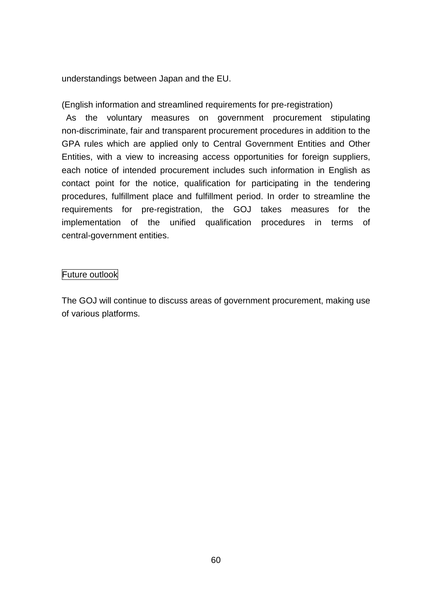understandings between Japan and the EU.

(English information and streamlined requirements for pre-registration)

As the voluntary measures on government procurement stipulating non-discriminate, fair and transparent procurement procedures in addition to the GPA rules which are applied only to Central Government Entities and Other Entities, with a view to increasing access opportunities for foreign suppliers, each notice of intended procurement includes such information in English as contact point for the notice, qualification for participating in the tendering procedures, fulfillment place and fulfillment period. In order to streamline the requirements for pre-registration, the GOJ takes measures for the implementation of the unified qualification procedures in terms of central-government entities.

#### Future outlook

The GOJ will continue to discuss areas of government procurement, making use of various platforms.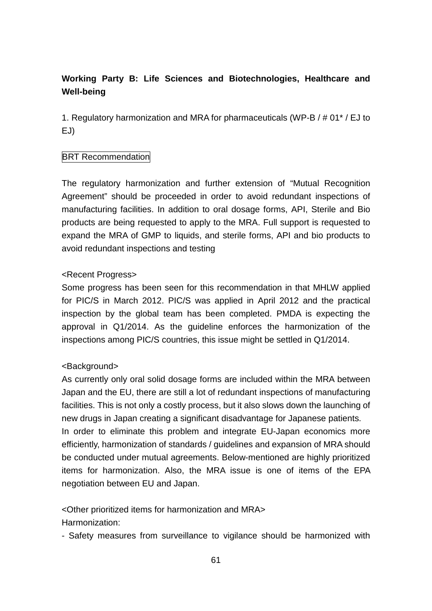# **Working Party B: Life Sciences and Biotechnologies, Healthcare and Well-being**

1. Regulatory harmonization and MRA for pharmaceuticals (WP-B / # 01\* / EJ to EJ)

## **BRT Recommendation**

The regulatory harmonization and further extension of "Mutual Recognition Agreement" should be proceeded in order to avoid redundant inspections of manufacturing facilities. In addition to oral dosage forms, API, Sterile and Bio products are being requested to apply to the MRA. Full support is requested to expand the MRA of GMP to liquids, and sterile forms. API and bio products to avoid redundant inspections and testing

## <Recent Progress>

Some progress has been seen for this recommendation in that MHLW applied for PIC/S in March 2012. PIC/S was applied in April 2012 and the practical inspection by the global team has been completed. PMDA is expecting the approval in Q1/2014. As the guideline enforces the harmonization of the inspections among PIC/S countries, this issue might be settled in Q1/2014.

## <Background>

As currently only oral solid dosage forms are included within the MRA between Japan and the EU, there are still a lot of redundant inspections of manufacturing facilities. This is not only a costly process, but it also slows down the launching of new drugs in Japan creating a significant disadvantage for Japanese patients. In order to eliminate this problem and integrate EU-Japan economics more efficiently, harmonization of standards / guidelines and expansion of MRA should be conducted under mutual agreements. Below-mentioned are highly prioritized items for harmonization. Also, the MRA issue is one of items of the EPA negotiation between EU and Japan.

## <Other prioritized items for harmonization and MRA>

Harmonization:

- Safety measures from surveillance to vigilance should be harmonized with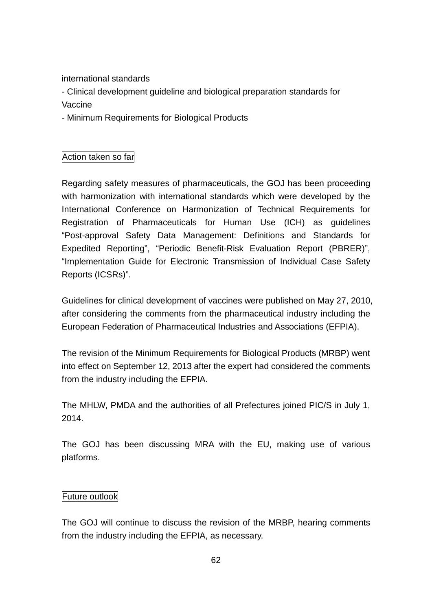international standards

- Clinical development guideline and biological preparation standards for Vaccine

- Minimum Requirements for Biological Products

# Action taken so far

Regarding safety measures of pharmaceuticals, the GOJ has been proceeding with harmonization with international standards which were developed by the International Conference on Harmonization of Technical Requirements for Registration of Pharmaceuticals for Human Use (ICH) as guidelines "Post-approval Safety Data Management: Definitions and Standards for Expedited Reporting", "Periodic Benefit-Risk Evaluation Report (PBRER)", "Implementation Guide for Electronic Transmission of Individual Case Safety Reports (ICSRs)".

Guidelines for clinical development of vaccines were published on May 27, 2010, after considering the comments from the pharmaceutical industry including the European Federation of Pharmaceutical Industries and Associations (EFPIA).

The revision of the Minimum Requirements for Biological Products (MRBP) went into effect on September 12, 2013 after the expert had considered the comments from the industry including the EFPIA.

The MHLW, PMDA and the authorities of all Prefectures joined PIC/S in July 1, 2014.

The GOJ has been discussing MRA with the EU, making use of various platforms.

## Future outlook

The GOJ will continue to discuss the revision of the MRBP, hearing comments from the industry including the EFPIA, as necessary.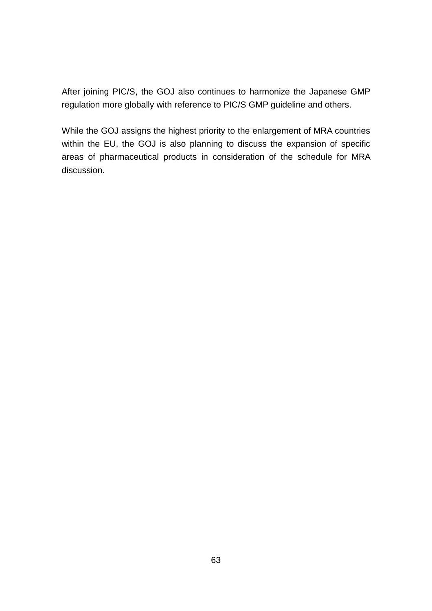After joining PIC/S, the GOJ also continues to harmonize the Japanese GMP regulation more globally with reference to PIC/S GMP guideline and others.

While the GOJ assigns the highest priority to the enlargement of MRA countries within the EU, the GOJ is also planning to discuss the expansion of specific areas of pharmaceutical products in consideration of the schedule for MRA discussion.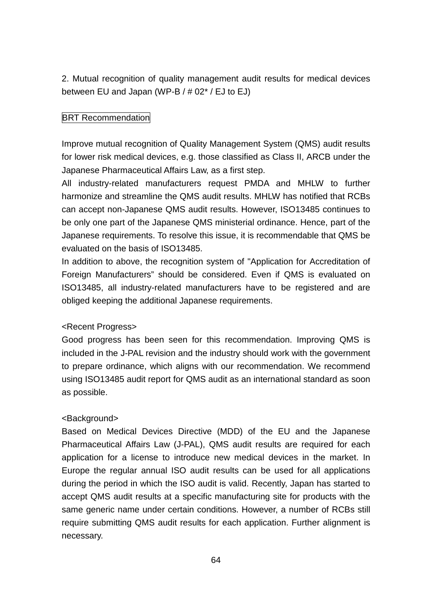2. Mutual recognition of quality management audit results for medical devices between EU and Japan (WP-B / # 02\* / EJ to EJ)

# **BRT Recommendation**

Improve mutual recognition of Quality Management System (QMS) audit results for lower risk medical devices, e.g. those classified as Class II, ARCB under the Japanese Pharmaceutical Affairs Law, as a first step.

All industry-related manufacturers request PMDA and MHLW to further harmonize and streamline the QMS audit results. MHLW has notified that RCBs can accept non-Japanese QMS audit results. However, ISO13485 continues to be only one part of the Japanese QMS ministerial ordinance. Hence, part of the Japanese requirements. To resolve this issue, it is recommendable that QMS be evaluated on the basis of ISO13485.

In addition to above, the recognition system of "Application for Accreditation of Foreign Manufacturers" should be considered. Even if QMS is evaluated on ISO13485, all industry-related manufacturers have to be registered and are obliged keeping the additional Japanese requirements.

## <Recent Progress>

Good progress has been seen for this recommendation. Improving QMS is included in the J-PAL revision and the industry should work with the government to prepare ordinance, which aligns with our recommendation. We recommend using ISO13485 audit report for QMS audit as an international standard as soon as possible.

## <Background>

Based on Medical Devices Directive (MDD) of the EU and the Japanese Pharmaceutical Affairs Law (J-PAL), QMS audit results are required for each application for a license to introduce new medical devices in the market. In Europe the regular annual ISO audit results can be used for all applications during the period in which the ISO audit is valid. Recently, Japan has started to accept QMS audit results at a specific manufacturing site for products with the same generic name under certain conditions. However, a number of RCBs still require submitting QMS audit results for each application. Further alignment is necessary.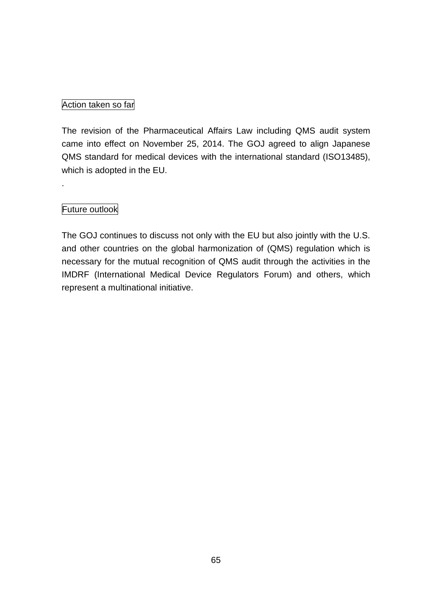## Action taken so far

The revision of the Pharmaceutical Affairs Law including QMS audit system came into effect on November 25, 2014. The GOJ agreed to align Japanese QMS standard for medical devices with the international standard (ISO13485), which is adopted in the EU.

# Future outlook

.

The GOJ continues to discuss not only with the EU but also jointly with the U.S. and other countries on the global harmonization of (QMS) regulation which is necessary for the mutual recognition of QMS audit through the activities in the IMDRF (International Medical Device Regulators Forum) and others, which represent a multinational initiative.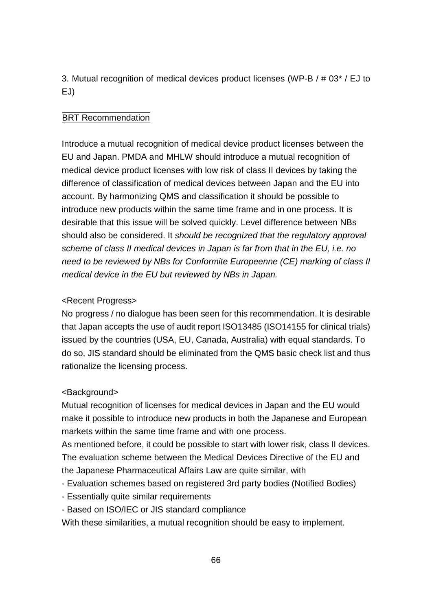3. Mutual recognition of medical devices product licenses (WP-B / # 03\* / EJ to EJ)

# **BRT Recommendation**

Introduce a mutual recognition of medical device product licenses between the EU and Japan. PMDA and MHLW should introduce a mutual recognition of medical device product licenses with low risk of class II devices by taking the difference of classification of medical devices between Japan and the EU into account. By harmonizing QMS and classification it should be possible to introduce new products within the same time frame and in one process. It is desirable that this issue will be solved quickly. Level difference between NBs should also be considered. It *should be recognized that the regulatory approval scheme of class II medical devices in Japan is far from that in the EU, i.e. no need to be reviewed by NBs for Conformite Europeenne (CE) marking of class II medical device in the EU but reviewed by NBs in Japan.* 

# <Recent Progress>

No progress / no dialogue has been seen for this recommendation. It is desirable that Japan accepts the use of audit report ISO13485 (ISO14155 for clinical trials) issued by the countries (USA, EU, Canada, Australia) with equal standards. To do so, JIS standard should be eliminated from the QMS basic check list and thus rationalize the licensing process.

## <Background>

Mutual recognition of licenses for medical devices in Japan and the EU would make it possible to introduce new products in both the Japanese and European markets within the same time frame and with one process.

As mentioned before, it could be possible to start with lower risk, class II devices. The evaluation scheme between the Medical Devices Directive of the EU and the Japanese Pharmaceutical Affairs Law are quite similar, with

- Evaluation schemes based on registered 3rd party bodies (Notified Bodies)
- Essentially quite similar requirements
- Based on ISO/IEC or JIS standard compliance

With these similarities, a mutual recognition should be easy to implement.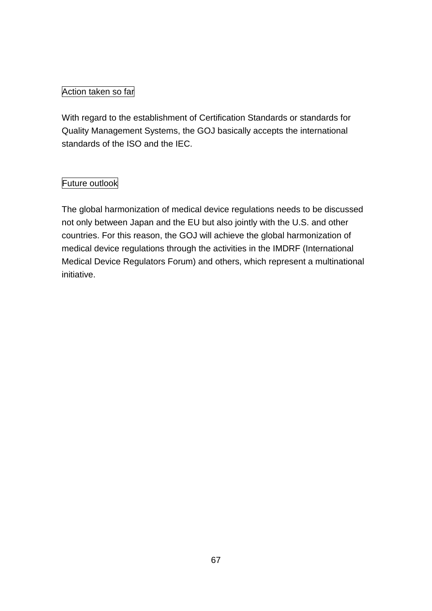# Action taken so far

With regard to the establishment of Certification Standards or standards for Quality Management Systems, the GOJ basically accepts the international standards of the ISO and the IEC.

# Future outlook

The global harmonization of medical device regulations needs to be discussed not only between Japan and the EU but also jointly with the U.S. and other countries. For this reason, the GOJ will achieve the global harmonization of medical device regulations through the activities in the IMDRF (International Medical Device Regulators Forum) and others, which represent a multinational initiative.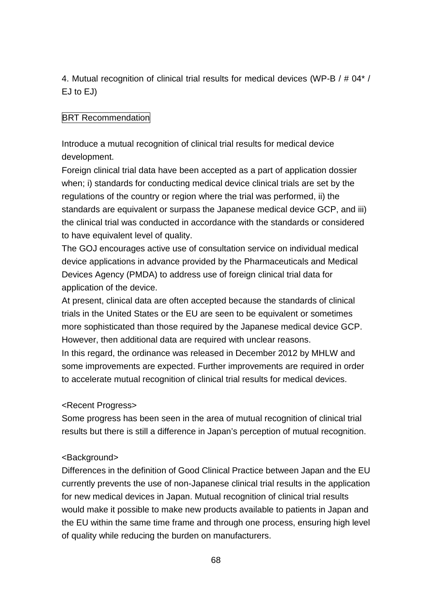4. Mutual recognition of clinical trial results for medical devices (WP-B / # 04\* / EJ to EJ)

# **BRT Recommendation**

Introduce a mutual recognition of clinical trial results for medical device development.

Foreign clinical trial data have been accepted as a part of application dossier when; i) standards for conducting medical device clinical trials are set by the regulations of the country or region where the trial was performed, ii) the standards are equivalent or surpass the Japanese medical device GCP, and iii) the clinical trial was conducted in accordance with the standards or considered to have equivalent level of quality.

The GOJ encourages active use of consultation service on individual medical device applications in advance provided by the Pharmaceuticals and Medical Devices Agency (PMDA) to address use of foreign clinical trial data for application of the device.

At present, clinical data are often accepted because the standards of clinical trials in the United States or the EU are seen to be equivalent or sometimes more sophisticated than those required by the Japanese medical device GCP. However, then additional data are required with unclear reasons. In this regard, the ordinance was released in December 2012 by MHLW and

some improvements are expected. Further improvements are required in order to accelerate mutual recognition of clinical trial results for medical devices.

## <Recent Progress>

Some progress has been seen in the area of mutual recognition of clinical trial results but there is still a difference in Japan's perception of mutual recognition.

## <Background>

Differences in the definition of Good Clinical Practice between Japan and the EU currently prevents the use of non-Japanese clinical trial results in the application for new medical devices in Japan. Mutual recognition of clinical trial results would make it possible to make new products available to patients in Japan and the EU within the same time frame and through one process, ensuring high level of quality while reducing the burden on manufacturers.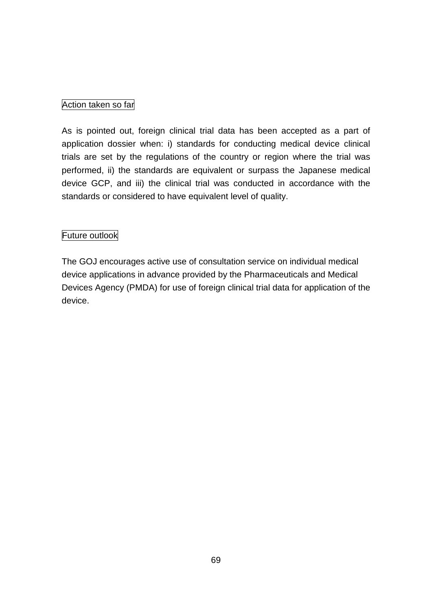## Action taken so far

As is pointed out, foreign clinical trial data has been accepted as a part of application dossier when: i) standards for conducting medical device clinical trials are set by the regulations of the country or region where the trial was performed, ii) the standards are equivalent or surpass the Japanese medical device GCP, and iii) the clinical trial was conducted in accordance with the standards or considered to have equivalent level of quality.

## Future outlook

The GOJ encourages active use of consultation service on individual medical device applications in advance provided by the Pharmaceuticals and Medical Devices Agency (PMDA) for use of foreign clinical trial data for application of the device.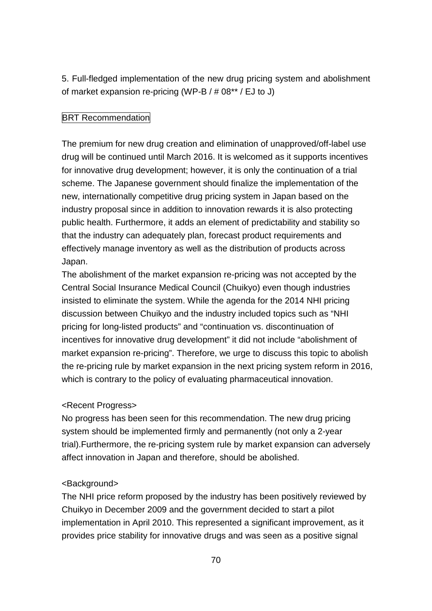5. Full-fledged implementation of the new drug pricing system and abolishment of market expansion re-pricing (WP-B / # 08\*\* / EJ to J)

## **BRT Recommendation**

The premium for new drug creation and elimination of unapproved/off-label use drug will be continued until March 2016. It is welcomed as it supports incentives for innovative drug development; however, it is only the continuation of a trial scheme. The Japanese government should finalize the implementation of the new, internationally competitive drug pricing system in Japan based on the industry proposal since in addition to innovation rewards it is also protecting public health. Furthermore, it adds an element of predictability and stability so that the industry can adequately plan, forecast product requirements and effectively manage inventory as well as the distribution of products across Japan.

The abolishment of the market expansion re-pricing was not accepted by the Central Social Insurance Medical Council (Chuikyo) even though industries insisted to eliminate the system. While the agenda for the 2014 NHI pricing discussion between Chuikyo and the industry included topics such as "NHI pricing for long-listed products" and "continuation vs. discontinuation of incentives for innovative drug development" it did not include "abolishment of market expansion re-pricing". Therefore, we urge to discuss this topic to abolish the re-pricing rule by market expansion in the next pricing system reform in 2016, which is contrary to the policy of evaluating pharmaceutical innovation.

## <Recent Progress>

No progress has been seen for this recommendation. The new drug pricing system should be implemented firmly and permanently (not only a 2-year trial).Furthermore, the re-pricing system rule by market expansion can adversely affect innovation in Japan and therefore, should be abolished.

## <Background>

The NHI price reform proposed by the industry has been positively reviewed by Chuikyo in December 2009 and the government decided to start a pilot implementation in April 2010. This represented a significant improvement, as it provides price stability for innovative drugs and was seen as a positive signal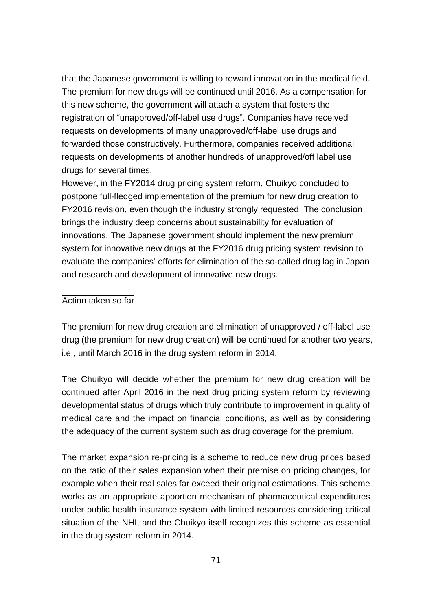that the Japanese government is willing to reward innovation in the medical field. The premium for new drugs will be continued until 2016. As a compensation for this new scheme, the government will attach a system that fosters the registration of "unapproved/off-label use drugs". Companies have received requests on developments of many unapproved/off-label use drugs and forwarded those constructively. Furthermore, companies received additional requests on developments of another hundreds of unapproved/off label use drugs for several times.

However, in the FY2014 drug pricing system reform, Chuikyo concluded to postpone full-fledged implementation of the premium for new drug creation to FY2016 revision, even though the industry strongly requested. The conclusion brings the industry deep concerns about sustainability for evaluation of innovations. The Japanese government should implement the new premium system for innovative new drugs at the FY2016 drug pricing system revision to evaluate the companies' efforts for elimination of the so-called drug lag in Japan and research and development of innovative new drugs.

#### Action taken so far

The premium for new drug creation and elimination of unapproved / off-label use drug (the premium for new drug creation) will be continued for another two years, i.e., until March 2016 in the drug system reform in 2014.

The Chuikyo will decide whether the premium for new drug creation will be continued after April 2016 in the next drug pricing system reform by reviewing developmental status of drugs which truly contribute to improvement in quality of medical care and the impact on financial conditions, as well as by considering the adequacy of the current system such as drug coverage for the premium.

The market expansion re-pricing is a scheme to reduce new drug prices based on the ratio of their sales expansion when their premise on pricing changes, for example when their real sales far exceed their original estimations. This scheme works as an appropriate apportion mechanism of pharmaceutical expenditures under public health insurance system with limited resources considering critical situation of the NHI, and the Chuikyo itself recognizes this scheme as essential in the drug system reform in 2014.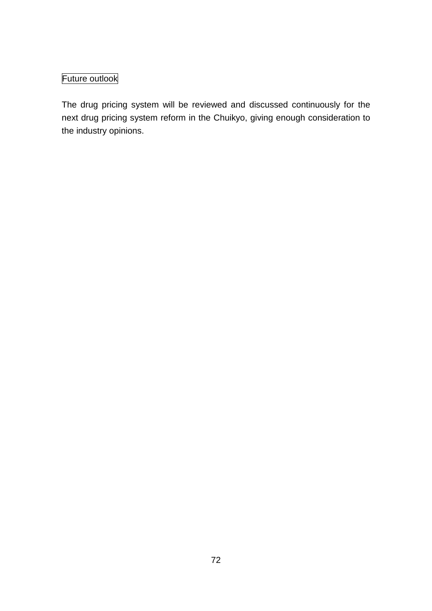# Future outlook

The drug pricing system will be reviewed and discussed continuously for the next drug pricing system reform in the Chuikyo, giving enough consideration to the industry opinions.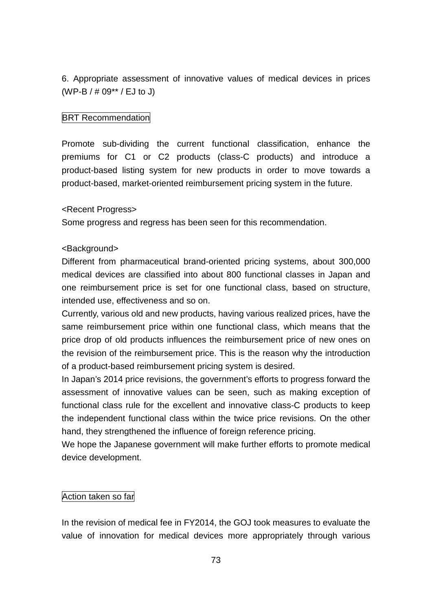6. Appropriate assessment of innovative values of medical devices in prices (WP-B / # 09\*\* / EJ to J)

## BRT Recommendation

Promote sub-dividing the current functional classification, enhance the premiums for C1 or C2 products (class-C products) and introduce a product-based listing system for new products in order to move towards a product-based, market-oriented reimbursement pricing system in the future.

### <Recent Progress>

Some progress and regress has been seen for this recommendation.

### <Background>

Different from pharmaceutical brand-oriented pricing systems, about 300,000 medical devices are classified into about 800 functional classes in Japan and one reimbursement price is set for one functional class, based on structure, intended use, effectiveness and so on.

Currently, various old and new products, having various realized prices, have the same reimbursement price within one functional class, which means that the price drop of old products influences the reimbursement price of new ones on the revision of the reimbursement price. This is the reason why the introduction of a product-based reimbursement pricing system is desired.

In Japan's 2014 price revisions, the government's efforts to progress forward the assessment of innovative values can be seen, such as making exception of functional class rule for the excellent and innovative class-C products to keep the independent functional class within the twice price revisions. On the other hand, they strengthened the influence of foreign reference pricing.

We hope the Japanese government will make further efforts to promote medical device development.

### Action taken so far

In the revision of medical fee in FY2014, the GOJ took measures to evaluate the value of innovation for medical devices more appropriately through various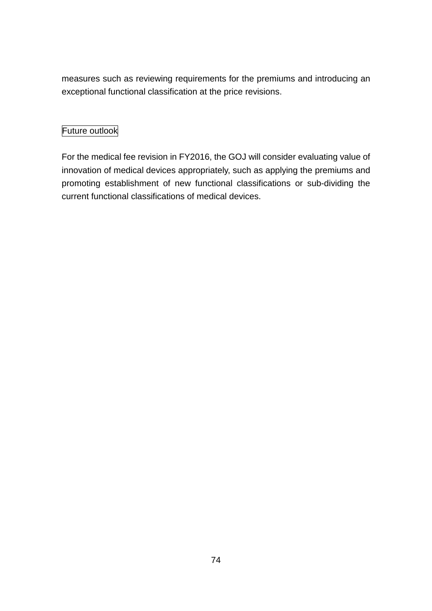measures such as reviewing requirements for the premiums and introducing an exceptional functional classification at the price revisions.

## Future outlook

For the medical fee revision in FY2016, the GOJ will consider evaluating value of innovation of medical devices appropriately, such as applying the premiums and promoting establishment of new functional classifications or sub-dividing the current functional classifications of medical devices.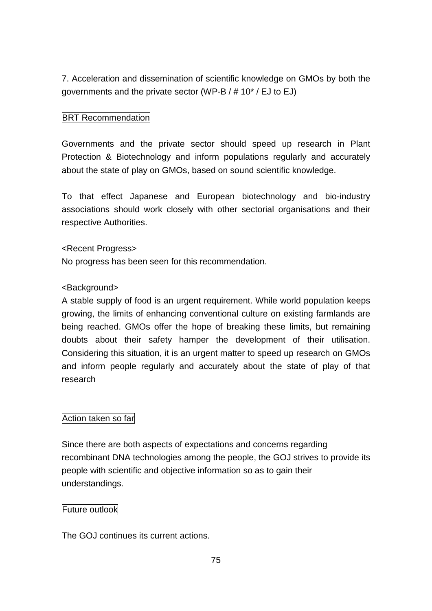7. Acceleration and dissemination of scientific knowledge on GMOs by both the governments and the private sector (WP-B / # 10\* / EJ to EJ)

## **BRT** Recommendation

Governments and the private sector should speed up research in Plant Protection & Biotechnology and inform populations regularly and accurately about the state of play on GMOs, based on sound scientific knowledge.

To that effect Japanese and European biotechnology and bio-industry associations should work closely with other sectorial organisations and their respective Authorities.

## <Recent Progress>

No progress has been seen for this recommendation.

## <Background>

A stable supply of food is an urgent requirement. While world population keeps growing, the limits of enhancing conventional culture on existing farmlands are being reached. GMOs offer the hope of breaking these limits, but remaining doubts about their safety hamper the development of their utilisation. Considering this situation, it is an urgent matter to speed up research on GMOs and inform people regularly and accurately about the state of play of that research

## Action taken so far

Since there are both aspects of expectations and concerns regarding recombinant DNA technologies among the people, the GOJ strives to provide its people with scientific and objective information so as to gain their understandings.

### Future outlook

The GOJ continues its current actions.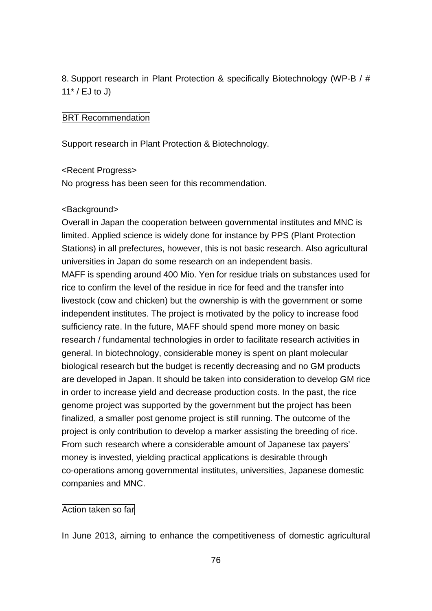8. Support research in Plant Protection & specifically Biotechnology (WP-B / #  $11^*$  / EJ to J)

### BRT Recommendation

Support research in Plant Protection & Biotechnology.

### <Recent Progress>

No progress has been seen for this recommendation.

#### <Background>

Overall in Japan the cooperation between governmental institutes and MNC is limited. Applied science is widely done for instance by PPS (Plant Protection Stations) in all prefectures, however, this is not basic research. Also agricultural universities in Japan do some research on an independent basis.

MAFF is spending around 400 Mio. Yen for residue trials on substances used for rice to confirm the level of the residue in rice for feed and the transfer into livestock (cow and chicken) but the ownership is with the government or some independent institutes. The project is motivated by the policy to increase food sufficiency rate. In the future, MAFF should spend more money on basic research / fundamental technologies in order to facilitate research activities in general. In biotechnology, considerable money is spent on plant molecular biological research but the budget is recently decreasing and no GM products are developed in Japan. It should be taken into consideration to develop GM rice in order to increase yield and decrease production costs. In the past, the rice genome project was supported by the government but the project has been finalized, a smaller post genome project is still running. The outcome of the project is only contribution to develop a marker assisting the breeding of rice. From such research where a considerable amount of Japanese tax payers' money is invested, yielding practical applications is desirable through co-operations among governmental institutes, universities, Japanese domestic companies and MNC.

### Action taken so far

In June 2013, aiming to enhance the competitiveness of domestic agricultural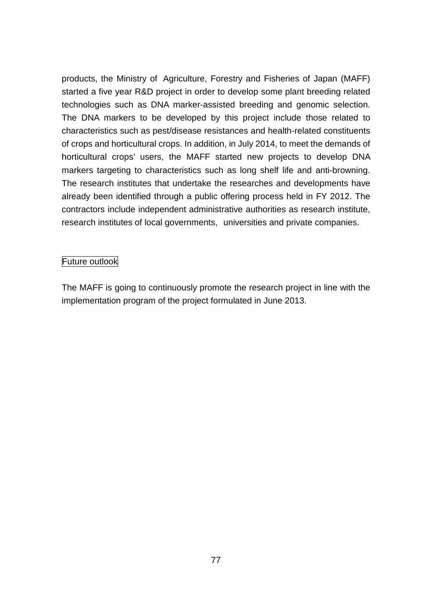products, the Ministry of Agriculture, Forestry and Fisheries of Japan (MAFF) started a five year R&D project in order to develop some plant breeding related technologies such as DNA marker-assisted breeding and genomic selection. The DNA markers to be developed by this project include those related to characteristics such as pest/disease resistances and health-related constituents of crops and horticultural crops. In addition, in July 2014, to meet the demands of horticultural crops' users, the MAFF started new projects to develop DNA markers targeting to characteristics such as long shelf life and anti-browning. The research institutes that undertake the researches and developments have already been identified through a public offering process held in FY 2012. The contractors include independent administrative authorities as research institute, research institutes of local governments, universities and private companies.

## Future outlook

The MAFF is going to continuously promote the research project in line with the implementation program of the project formulated in June 2013.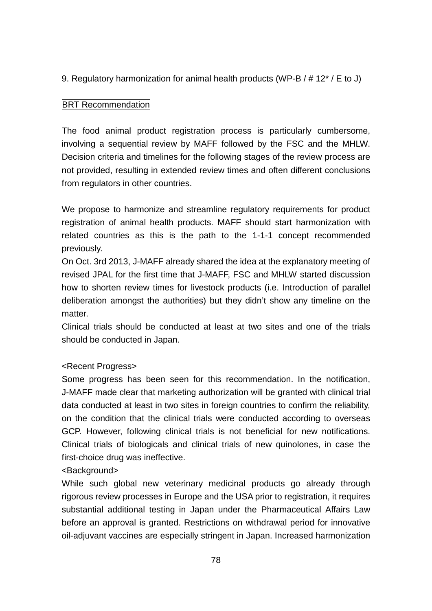9. Regulatory harmonization for animal health products (WP-B / # 12\* / E to J)

## **BRT Recommendation**

The food animal product registration process is particularly cumbersome, involving a sequential review by MAFF followed by the FSC and the MHLW. Decision criteria and timelines for the following stages of the review process are not provided, resulting in extended review times and often different conclusions from regulators in other countries.

We propose to harmonize and streamline regulatory requirements for product registration of animal health products. MAFF should start harmonization with related countries as this is the path to the 1-1-1 concept recommended previously.

On Oct. 3rd 2013, J-MAFF already shared the idea at the explanatory meeting of revised JPAL for the first time that J-MAFF, FSC and MHLW started discussion how to shorten review times for livestock products (i.e. Introduction of parallel deliberation amongst the authorities) but they didn't show any timeline on the matter.

Clinical trials should be conducted at least at two sites and one of the trials should be conducted in Japan.

## <Recent Progress>

Some progress has been seen for this recommendation. In the notification, J-MAFF made clear that marketing authorization will be granted with clinical trial data conducted at least in two sites in foreign countries to confirm the reliability, on the condition that the clinical trials were conducted according to overseas GCP. However, following clinical trials is not beneficial for new notifications. Clinical trials of biologicals and clinical trials of new quinolones, in case the first-choice drug was ineffective.

## <Background>

While such global new veterinary medicinal products go already through rigorous review processes in Europe and the USA prior to registration, it requires substantial additional testing in Japan under the Pharmaceutical Affairs Law before an approval is granted. Restrictions on withdrawal period for innovative oil-adjuvant vaccines are especially stringent in Japan. Increased harmonization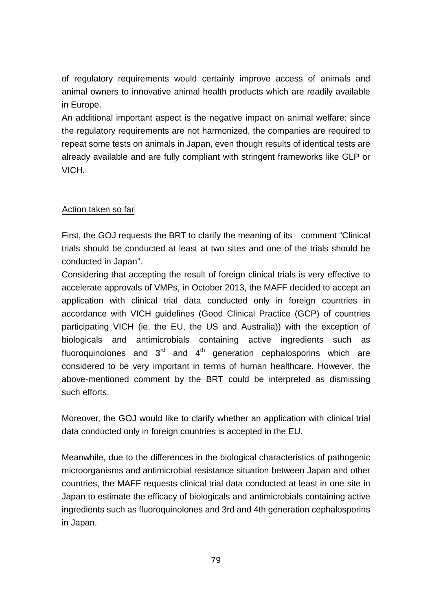of regulatory requirements would certainly improve access of animals and animal owners to innovative animal health products which are readily available in Europe.

An additional important aspect is the negative impact on animal welfare: since the regulatory requirements are not harmonized, the companies are required to repeat some tests on animals in Japan, even though results of identical tests are already available and are fully compliant with stringent frameworks like GLP or VICH.

## Action taken so far

First, the GOJ requests the BRT to clarify the meaning of its comment "Clinical trials should be conducted at least at two sites and one of the trials should be conducted in Japan".

Considering that accepting the result of foreign clinical trials is very effective to accelerate approvals of VMPs, in October 2013, the MAFF decided to accept an application with clinical trial data conducted only in foreign countries in accordance with VICH guidelines (Good Clinical Practice (GCP) of countries participating VICH (ie, the EU, the US and Australia)) with the exception of biologicals and antimicrobials containing active ingredients such as fluoroquinolones and  $3<sup>rd</sup>$  and  $4<sup>th</sup>$  generation cephalosporins which are considered to be very important in terms of human healthcare. However, the above-mentioned comment by the BRT could be interpreted as dismissing such efforts.

Moreover, the GOJ would like to clarify whether an application with clinical trial data conducted only in foreign countries is accepted in the EU.

Meanwhile, due to the differences in the biological characteristics of pathogenic microorganisms and antimicrobial resistance situation between Japan and other countries, the MAFF requests clinical trial data conducted at least in one site in Japan to estimate the efficacy of biologicals and antimicrobials containing active ingredients such as fluoroquinolones and 3rd and 4th generation cephalosporins in Japan.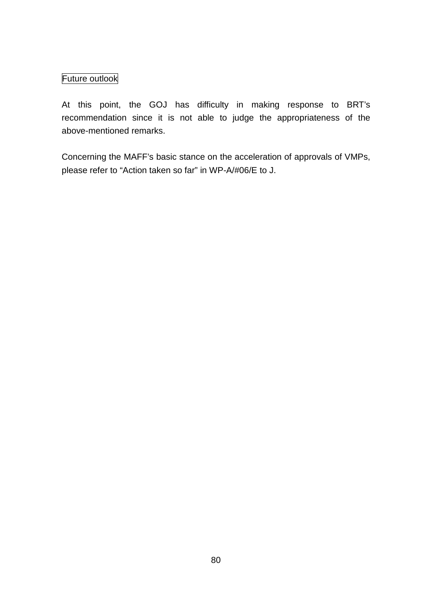# Future outlook

At this point, the GOJ has difficulty in making response to BRT's recommendation since it is not able to judge the appropriateness of the above-mentioned remarks.

Concerning the MAFF's basic stance on the acceleration of approvals of VMPs, please refer to "Action taken so far" in WP-A/#06/E to J.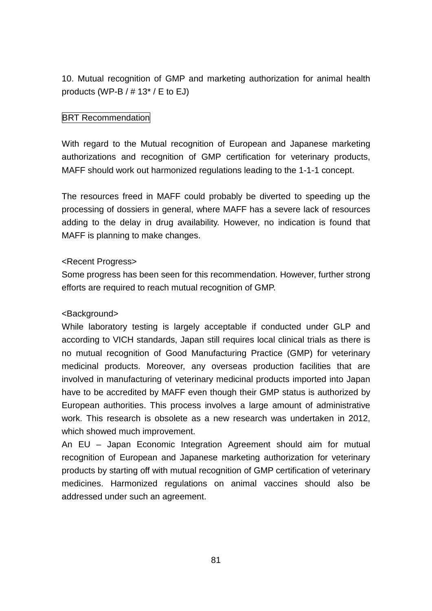10. Mutual recognition of GMP and marketing authorization for animal health products (WP-B  $/$  # 13 $^*$  / E to EJ)

## **BRT Recommendation**

With regard to the Mutual recognition of European and Japanese marketing authorizations and recognition of GMP certification for veterinary products, MAFF should work out harmonized regulations leading to the 1-1-1 concept.

The resources freed in MAFF could probably be diverted to speeding up the processing of dossiers in general, where MAFF has a severe lack of resources adding to the delay in drug availability. However, no indication is found that MAFF is planning to make changes.

### <Recent Progress>

Some progress has been seen for this recommendation. However, further strong efforts are required to reach mutual recognition of GMP.

## <Background>

While laboratory testing is largely acceptable if conducted under GLP and according to VICH standards, Japan still requires local clinical trials as there is no mutual recognition of Good Manufacturing Practice (GMP) for veterinary medicinal products. Moreover, any overseas production facilities that are involved in manufacturing of veterinary medicinal products imported into Japan have to be accredited by MAFF even though their GMP status is authorized by European authorities. This process involves a large amount of administrative work. This research is obsolete as a new research was undertaken in 2012, which showed much improvement.

An EU – Japan Economic Integration Agreement should aim for mutual recognition of European and Japanese marketing authorization for veterinary products by starting off with mutual recognition of GMP certification of veterinary medicines. Harmonized regulations on animal vaccines should also be addressed under such an agreement.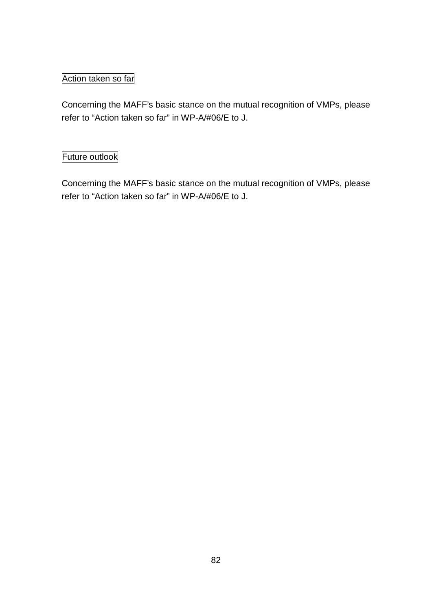# Action taken so far

Concerning the MAFF's basic stance on the mutual recognition of VMPs, please refer to "Action taken so far" in WP-A/#06/E to J.

# Future outlook

Concerning the MAFF's basic stance on the mutual recognition of VMPs, please refer to "Action taken so far" in WP-A/#06/E to J.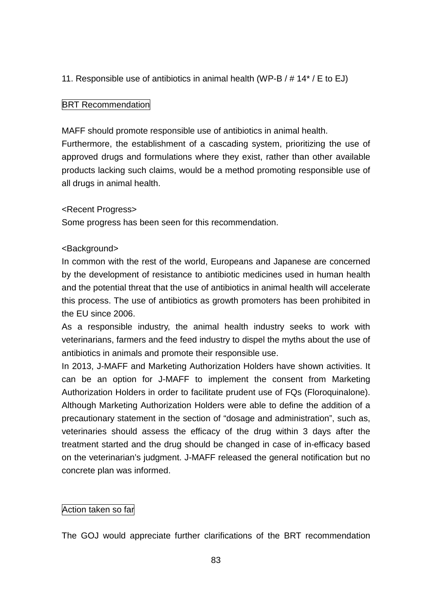11. Responsible use of antibiotics in animal health (WP-B / # 14\* / E to EJ)

### **BRT Recommendation**

MAFF should promote responsible use of antibiotics in animal health.

Furthermore, the establishment of a cascading system, prioritizing the use of approved drugs and formulations where they exist, rather than other available products lacking such claims, would be a method promoting responsible use of all drugs in animal health.

### <Recent Progress>

Some progress has been seen for this recommendation.

### <Background>

In common with the rest of the world, Europeans and Japanese are concerned by the development of resistance to antibiotic medicines used in human health and the potential threat that the use of antibiotics in animal health will accelerate this process. The use of antibiotics as growth promoters has been prohibited in the EU since 2006.

As a responsible industry, the animal health industry seeks to work with veterinarians, farmers and the feed industry to dispel the myths about the use of antibiotics in animals and promote their responsible use.

In 2013, J-MAFF and Marketing Authorization Holders have shown activities. It can be an option for J-MAFF to implement the consent from Marketing Authorization Holders in order to facilitate prudent use of FQs (Floroquinalone). Although Marketing Authorization Holders were able to define the addition of a precautionary statement in the section of "dosage and administration", such as, veterinaries should assess the efficacy of the drug within 3 days after the treatment started and the drug should be changed in case of in-efficacy based on the veterinarian's judgment. J-MAFF released the general notification but no concrete plan was informed.

### Action taken so far

The GOJ would appreciate further clarifications of the BRT recommendation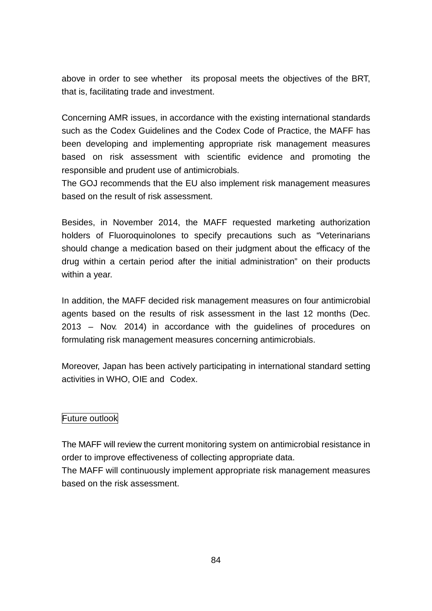above in order to see whether its proposal meets the objectives of the BRT, that is, facilitating trade and investment.

Concerning AMR issues, in accordance with the existing international standards such as the Codex Guidelines and the Codex Code of Practice, the MAFF has been developing and implementing appropriate risk management measures based on risk assessment with scientific evidence and promoting the responsible and prudent use of antimicrobials.

The GOJ recommends that the EU also implement risk management measures based on the result of risk assessment.

Besides, in November 2014, the MAFF requested marketing authorization holders of Fluoroquinolones to specify precautions such as "Veterinarians should change a medication based on their judgment about the efficacy of the drug within a certain period after the initial administration" on their products within a year.

In addition, the MAFF decided risk management measures on four antimicrobial agents based on the results of risk assessment in the last 12 months (Dec. 2013 – Nov. 2014) in accordance with the guidelines of procedures on formulating risk management measures concerning antimicrobials.

Moreover, Japan has been actively participating in international standard setting activities in WHO, OIE and Codex.

## Future outlook

The MAFF will review the current monitoring system on antimicrobial resistance in order to improve effectiveness of collecting appropriate data.

The MAFF will continuously implement appropriate risk management measures based on the risk assessment.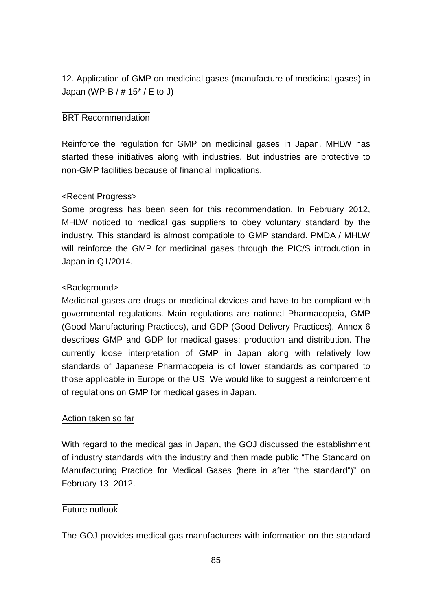12. Application of GMP on medicinal gases (manufacture of medicinal gases) in Japan (WP-B /  $\#$  15<sup>\*</sup> / E to J)

## **BRT Recommendation**

Reinforce the regulation for GMP on medicinal gases in Japan. MHLW has started these initiatives along with industries. But industries are protective to non-GMP facilities because of financial implications.

## <Recent Progress>

Some progress has been seen for this recommendation. In February 2012, MHLW noticed to medical gas suppliers to obey voluntary standard by the industry. This standard is almost compatible to GMP standard. PMDA / MHLW will reinforce the GMP for medicinal gases through the PIC/S introduction in Japan in Q1/2014.

## <Background>

Medicinal gases are drugs or medicinal devices and have to be compliant with governmental regulations. Main regulations are national Pharmacopeia, GMP (Good Manufacturing Practices), and GDP (Good Delivery Practices). Annex 6 describes GMP and GDP for medical gases: production and distribution. The currently loose interpretation of GMP in Japan along with relatively low standards of Japanese Pharmacopeia is of lower standards as compared to those applicable in Europe or the US. We would like to suggest a reinforcement of regulations on GMP for medical gases in Japan.

## Action taken so far

With regard to the medical gas in Japan, the GOJ discussed the establishment of industry standards with the industry and then made public "The Standard on Manufacturing Practice for Medical Gases (here in after "the standard")" on February 13, 2012.

## Future outlook

The GOJ provides medical gas manufacturers with information on the standard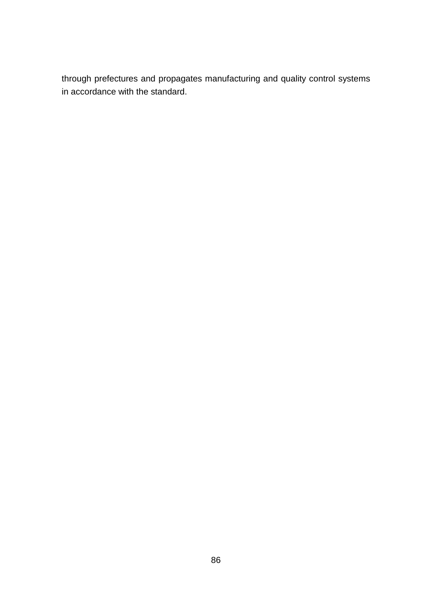through prefectures and propagates manufacturing and quality control systems in accordance with the standard.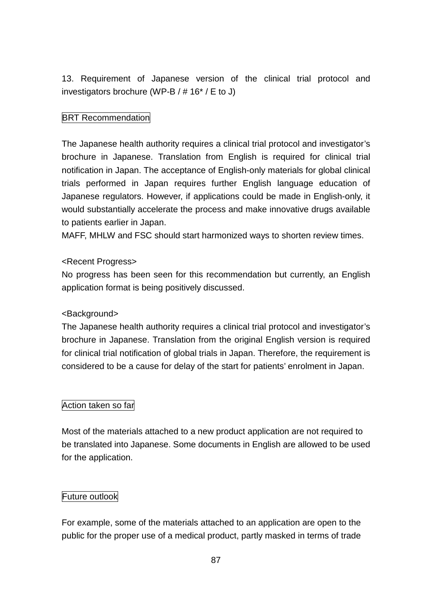13. Requirement of Japanese version of the clinical trial protocol and investigators brochure (WP-B / # 16\* / E to J)

## **BRT Recommendation**

The Japanese health authority requires a clinical trial protocol and investigator's brochure in Japanese. Translation from English is required for clinical trial notification in Japan. The acceptance of English-only materials for global clinical trials performed in Japan requires further English language education of Japanese regulators. However, if applications could be made in English-only, it would substantially accelerate the process and make innovative drugs available to patients earlier in Japan.

MAFF, MHLW and FSC should start harmonized ways to shorten review times.

## <Recent Progress>

No progress has been seen for this recommendation but currently, an English application format is being positively discussed.

## <Background>

The Japanese health authority requires a clinical trial protocol and investigator's brochure in Japanese. Translation from the original English version is required for clinical trial notification of global trials in Japan. Therefore, the requirement is considered to be a cause for delay of the start for patients' enrolment in Japan.

## Action taken so far

Most of the materials attached to a new product application are not required to be translated into Japanese. Some documents in English are allowed to be used for the application.

## Future outlook

For example, some of the materials attached to an application are open to the public for the proper use of a medical product, partly masked in terms of trade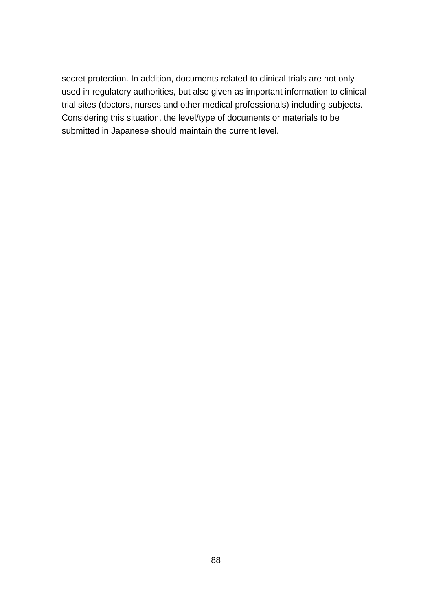secret protection. In addition, documents related to clinical trials are not only used in regulatory authorities, but also given as important information to clinical trial sites (doctors, nurses and other medical professionals) including subjects. Considering this situation, the level/type of documents or materials to be submitted in Japanese should maintain the current level.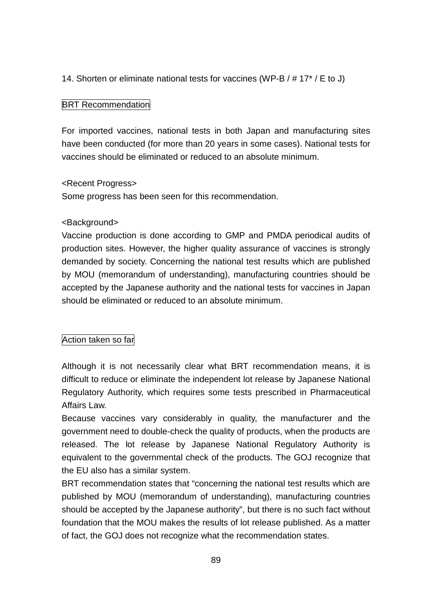## 14. Shorten or eliminate national tests for vaccines (WP-B / # 17\* / E to J)

## **BRT Recommendation**

For imported vaccines, national tests in both Japan and manufacturing sites have been conducted (for more than 20 years in some cases). National tests for vaccines should be eliminated or reduced to an absolute minimum.

### <Recent Progress>

Some progress has been seen for this recommendation.

## <Background>

Vaccine production is done according to GMP and PMDA periodical audits of production sites. However, the higher quality assurance of vaccines is strongly demanded by society. Concerning the national test results which are published by MOU (memorandum of understanding), manufacturing countries should be accepted by the Japanese authority and the national tests for vaccines in Japan should be eliminated or reduced to an absolute minimum.

## Action taken so far

Although it is not necessarily clear what BRT recommendation means, it is difficult to reduce or eliminate the independent lot release by Japanese National Regulatory Authority, which requires some tests prescribed in Pharmaceutical Affairs Law.

Because vaccines vary considerably in quality, the manufacturer and the government need to double-check the quality of products, when the products are released. The lot release by Japanese National Regulatory Authority is equivalent to the governmental check of the products. The GOJ recognize that the EU also has a similar system.

BRT recommendation states that "concerning the national test results which are published by MOU (memorandum of understanding), manufacturing countries should be accepted by the Japanese authority", but there is no such fact without foundation that the MOU makes the results of lot release published. As a matter of fact, the GOJ does not recognize what the recommendation states.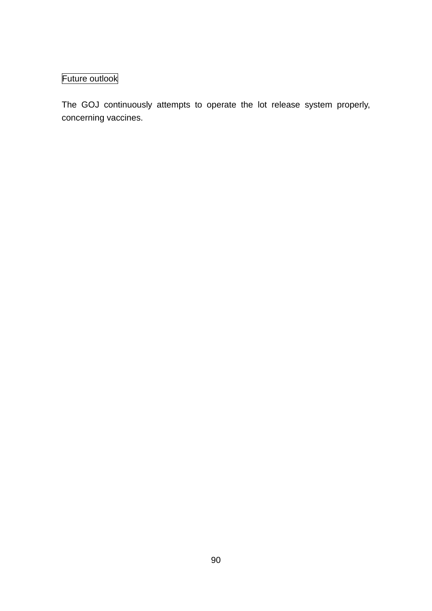# Future outlook

The GOJ continuously attempts to operate the lot release system properly, concerning vaccines.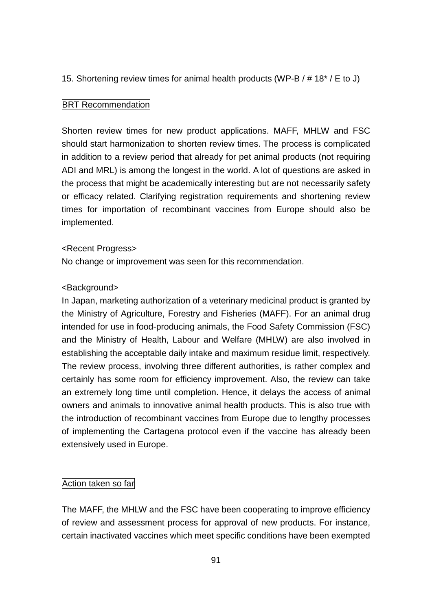15. Shortening review times for animal health products (WP-B / # 18\* / E to J)

### **BRT Recommendation**

Shorten review times for new product applications. MAFF, MHLW and FSC should start harmonization to shorten review times. The process is complicated in addition to a review period that already for pet animal products (not requiring ADI and MRL) is among the longest in the world. A lot of questions are asked in the process that might be academically interesting but are not necessarily safety or efficacy related. Clarifying registration requirements and shortening review times for importation of recombinant vaccines from Europe should also be implemented.

### <Recent Progress>

No change or improvement was seen for this recommendation.

### <Background>

In Japan, marketing authorization of a veterinary medicinal product is granted by the Ministry of Agriculture, Forestry and Fisheries (MAFF). For an animal drug intended for use in food-producing animals, the Food Safety Commission (FSC) and the Ministry of Health, Labour and Welfare (MHLW) are also involved in establishing the acceptable daily intake and maximum residue limit, respectively. The review process, involving three different authorities, is rather complex and certainly has some room for efficiency improvement. Also, the review can take an extremely long time until completion. Hence, it delays the access of animal owners and animals to innovative animal health products. This is also true with the introduction of recombinant vaccines from Europe due to lengthy processes of implementing the Cartagena protocol even if the vaccine has already been extensively used in Europe.

### Action taken so far

The MAFF, the MHLW and the FSC have been cooperating to improve efficiency of review and assessment process for approval of new products. For instance, certain inactivated vaccines which meet specific conditions have been exempted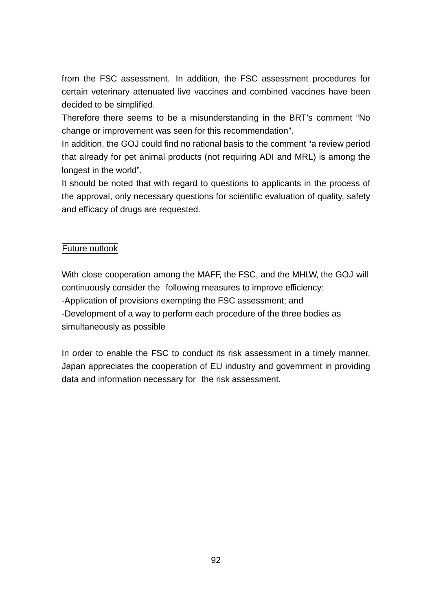from the FSC assessment. In addition, the FSC assessment procedures for certain veterinary attenuated live vaccines and combined vaccines have been decided to be simplified.

Therefore there seems to be a misunderstanding in the BRT's comment "No change or improvement was seen for this recommendation".

In addition, the GOJ could find no rational basis to the comment "a review period that already for pet animal products (not requiring ADI and MRL) is among the longest in the world".

It should be noted that with regard to questions to applicants in the process of the approval, only necessary questions for scientific evaluation of quality, safety and efficacy of drugs are requested.

## Future outlook

With close cooperation among the MAFF, the FSC, and the MHLW, the GOJ will continuously consider the following measures to improve efficiency: -Application of provisions exempting the FSC assessment; and -Development of a way to perform each procedure of the three bodies as simultaneously as possible

In order to enable the FSC to conduct its risk assessment in a timely manner, Japan appreciates the cooperation of EU industry and government in providing data and information necessary for the risk assessment.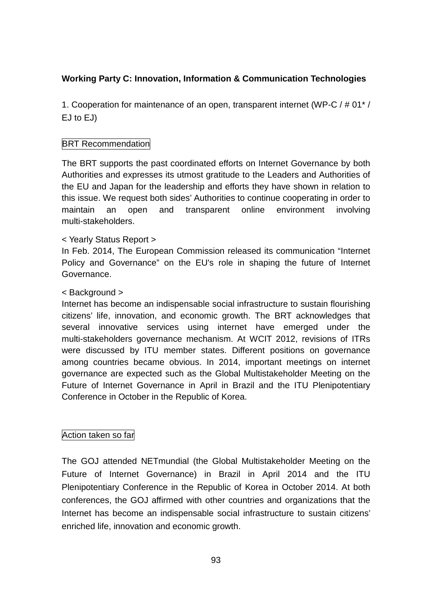## **Working Party C: Innovation, Information & Communication Technologies**

1. Cooperation for maintenance of an open, transparent internet (WP-C / # 01\* / EJ to EJ)

## **BRT Recommendation**

The BRT supports the past coordinated efforts on Internet Governance by both Authorities and expresses its utmost gratitude to the Leaders and Authorities of the EU and Japan for the leadership and efforts they have shown in relation to this issue. We request both sides' Authorities to continue cooperating in order to maintain an open and transparent online environment involving multi-stakeholders.

### < Yearly Status Report >

In Feb. 2014, The European Commission released its communication "Internet Policy and Governance" on the EU's role in shaping the future of Internet Governance.

### < Background >

Internet has become an indispensable social infrastructure to sustain flourishing citizens' life, innovation, and economic growth. The BRT acknowledges that several innovative services using internet have emerged under the multi-stakeholders governance mechanism. At WCIT 2012, revisions of ITRs were discussed by ITU member states. Different positions on governance among countries became obvious. In 2014, important meetings on internet governance are expected such as the Global Multistakeholder Meeting on the Future of Internet Governance in April in Brazil and the ITU Plenipotentiary Conference in October in the Republic of Korea.

### Action taken so far

The GOJ attended NETmundial (the Global Multistakeholder Meeting on the Future of Internet Governance) in Brazil in April 2014 and the ITU Plenipotentiary Conference in the Republic of Korea in October 2014. At both conferences, the GOJ affirmed with other countries and organizations that the Internet has become an indispensable social infrastructure to sustain citizens' enriched life, innovation and economic growth.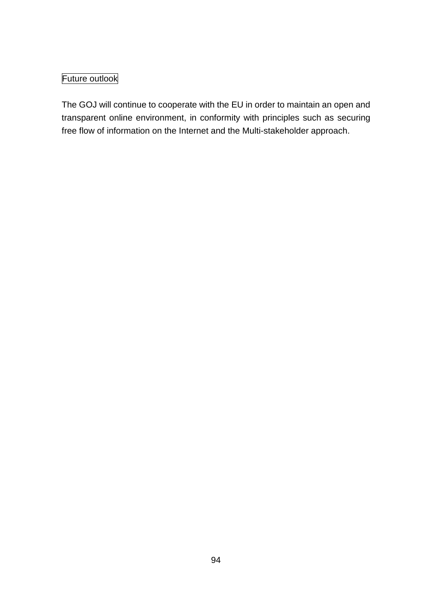# Future outlook

The GOJ will continue to cooperate with the EU in order to maintain an open and transparent online environment, in conformity with principles such as securing free flow of information on the Internet and the Multi-stakeholder approach.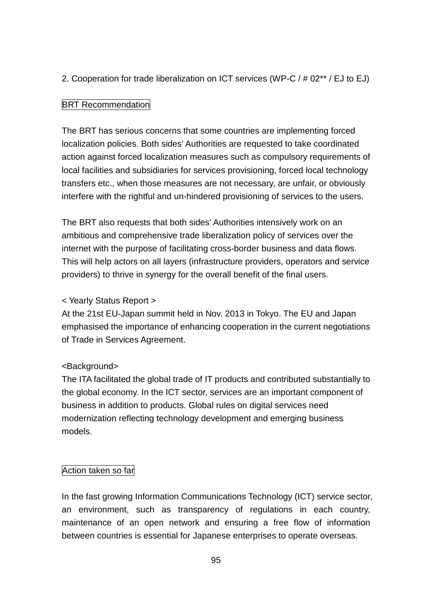## 2. Cooperation for trade liberalization on ICT services (WP-C / # 02\*\* / EJ to EJ)

## **BRT Recommendation**

The BRT has serious concerns that some countries are implementing forced localization policies. Both sides' Authorities are requested to take coordinated action against forced localization measures such as compulsory requirements of local facilities and subsidiaries for services provisioning, forced local technology transfers etc., when those measures are not necessary, are unfair, or obviously interfere with the rightful and un-hindered provisioning of services to the users.

The BRT also requests that both sides' Authorities intensively work on an ambitious and comprehensive trade liberalization policy of services over the internet with the purpose of facilitating cross-border business and data flows. This will help actors on all layers (infrastructure providers, operators and service providers) to thrive in synergy for the overall benefit of the final users.

## < Yearly Status Report >

At the 21st EU-Japan summit held in Nov. 2013 in Tokyo. The EU and Japan emphasised the importance of enhancing cooperation in the current negotiations of Trade in Services Agreement.

## <Background>

The ITA facilitated the global trade of IT products and contributed substantially to the global economy. In the ICT sector, services are an important component of business in addition to products. Global rules on digital services need modernization reflecting technology development and emerging business models.

### Action taken so far

In the fast growing Information Communications Technology (ICT) service sector, an environment, such as transparency of regulations in each country, maintenance of an open network and ensuring a free flow of information between countries is essential for Japanese enterprises to operate overseas.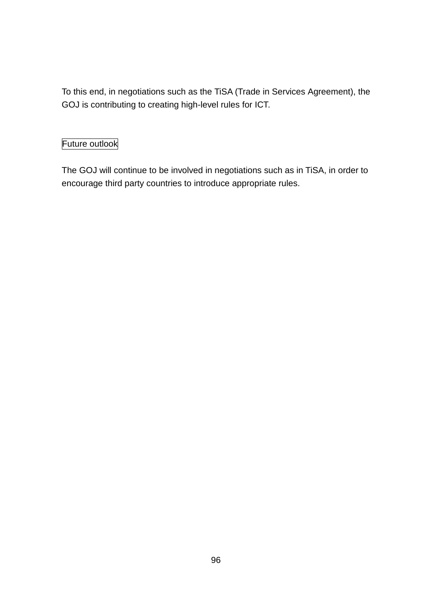To this end, in negotiations such as the TiSA (Trade in Services Agreement), the GOJ is contributing to creating high-level rules for ICT.

# Future outlook

The GOJ will continue to be involved in negotiations such as in TiSA, in order to encourage third party countries to introduce appropriate rules.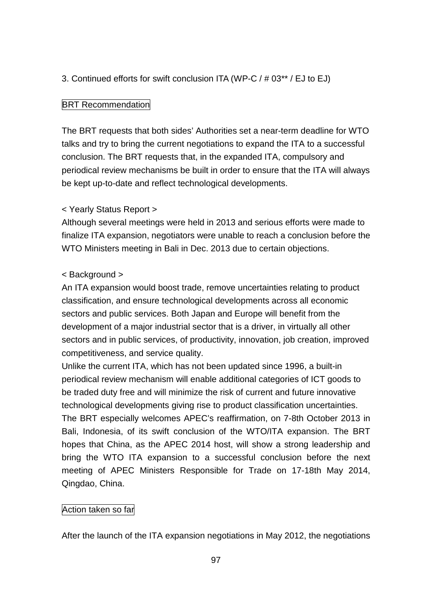## 3. Continued efforts for swift conclusion ITA (WP-C / # 03\*\* / EJ to EJ)

### **BRT Recommendation**

The BRT requests that both sides' Authorities set a near-term deadline for WTO talks and try to bring the current negotiations to expand the ITA to a successful conclusion. The BRT requests that, in the expanded ITA, compulsory and periodical review mechanisms be built in order to ensure that the ITA will always be kept up-to-date and reflect technological developments.

## < Yearly Status Report >

Although several meetings were held in 2013 and serious efforts were made to finalize ITA expansion, negotiators were unable to reach a conclusion before the WTO Ministers meeting in Bali in Dec. 2013 due to certain objections.

### < Background >

An ITA expansion would boost trade, remove uncertainties relating to product classification, and ensure technological developments across all economic sectors and public services. Both Japan and Europe will benefit from the development of a major industrial sector that is a driver, in virtually all other sectors and in public services, of productivity, innovation, job creation, improved competitiveness, and service quality.

Unlike the current ITA, which has not been updated since 1996, a built-in periodical review mechanism will enable additional categories of ICT goods to be traded duty free and will minimize the risk of current and future innovative technological developments giving rise to product classification uncertainties. The BRT especially welcomes APEC's reaffirmation, on 7-8th October 2013 in Bali, Indonesia, of its swift conclusion of the WTO/ITA expansion. The BRT hopes that China, as the APEC 2014 host, will show a strong leadership and bring the WTO ITA expansion to a successful conclusion before the next meeting of APEC Ministers Responsible for Trade on 17-18th May 2014, Qingdao, China.

### Action taken so far

After the launch of the ITA expansion negotiations in May 2012, the negotiations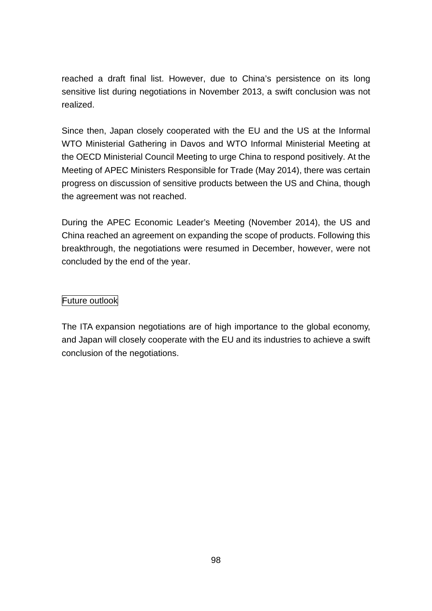reached a draft final list. However, due to China's persistence on its long sensitive list during negotiations in November 2013, a swift conclusion was not realized.

Since then, Japan closely cooperated with the EU and the US at the Informal WTO Ministerial Gathering in Davos and WTO Informal Ministerial Meeting at the OECD Ministerial Council Meeting to urge China to respond positively. At the Meeting of APEC Ministers Responsible for Trade (May 2014), there was certain progress on discussion of sensitive products between the US and China, though the agreement was not reached.

During the APEC Economic Leader's Meeting (November 2014), the US and China reached an agreement on expanding the scope of products. Following this breakthrough, the negotiations were resumed in December, however, were not concluded by the end of the year.

## Future outlook

The ITA expansion negotiations are of high importance to the global economy, and Japan will closely cooperate with the EU and its industries to achieve a swift conclusion of the negotiations.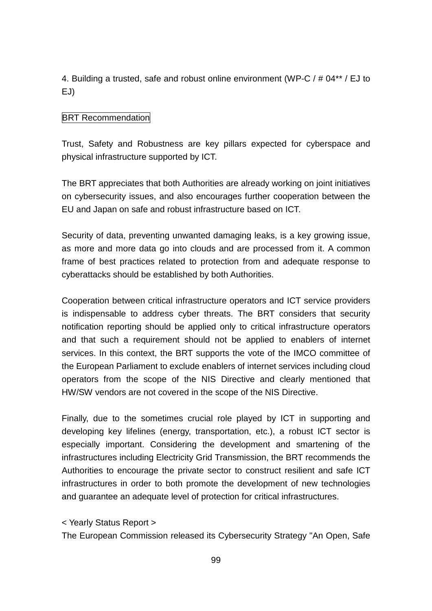4. Building a trusted, safe and robust online environment (WP-C / # 04\*\* / EJ to EJ)

## **BRT Recommendation**

Trust, Safety and Robustness are key pillars expected for cyberspace and physical infrastructure supported by ICT.

The BRT appreciates that both Authorities are already working on joint initiatives on cybersecurity issues, and also encourages further cooperation between the EU and Japan on safe and robust infrastructure based on ICT.

Security of data, preventing unwanted damaging leaks, is a key growing issue, as more and more data go into clouds and are processed from it. A common frame of best practices related to protection from and adequate response to cyberattacks should be established by both Authorities.

Cooperation between critical infrastructure operators and ICT service providers is indispensable to address cyber threats. The BRT considers that security notification reporting should be applied only to critical infrastructure operators and that such a requirement should not be applied to enablers of internet services. In this context, the BRT supports the vote of the IMCO committee of the European Parliament to exclude enablers of internet services including cloud operators from the scope of the NIS Directive and clearly mentioned that HW/SW vendors are not covered in the scope of the NIS Directive.

Finally, due to the sometimes crucial role played by ICT in supporting and developing key lifelines (energy, transportation, etc.), a robust ICT sector is especially important. Considering the development and smartening of the infrastructures including Electricity Grid Transmission, the BRT recommends the Authorities to encourage the private sector to construct resilient and safe ICT infrastructures in order to both promote the development of new technologies and guarantee an adequate level of protection for critical infrastructures.

< Yearly Status Report >

The European Commission released its Cybersecurity Strategy "An Open, Safe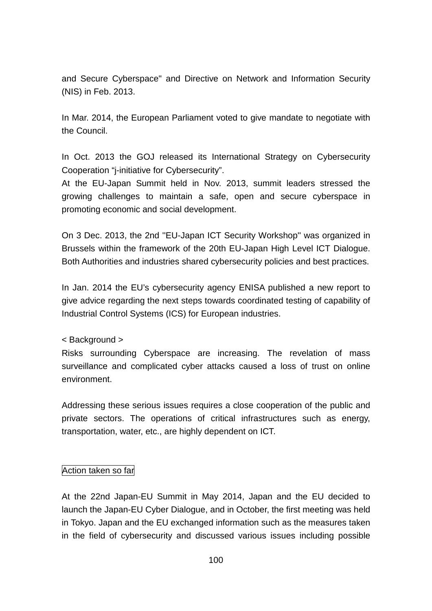and Secure Cyberspace" and Directive on Network and Information Security (NIS) in Feb. 2013.

In Mar. 2014, the European Parliament voted to give mandate to negotiate with the Council.

In Oct. 2013 the GOJ released its International Strategy on Cybersecurity Cooperation "j-initiative for Cybersecurity".

At the EU-Japan Summit held in Nov. 2013, summit leaders stressed the growing challenges to maintain a safe, open and secure cyberspace in promoting economic and social development.

On 3 Dec. 2013, the 2nd ''EU-Japan ICT Security Workshop'' was organized in Brussels within the framework of the 20th EU-Japan High Level ICT Dialogue. Both Authorities and industries shared cybersecurity policies and best practices.

In Jan. 2014 the EU's cybersecurity agency ENISA published a new report to give advice regarding the next steps towards coordinated testing of capability of Industrial Control Systems (ICS) for European industries.

< Background >

Risks surrounding Cyberspace are increasing. The revelation of mass surveillance and complicated cyber attacks caused a loss of trust on online environment.

Addressing these serious issues requires a close cooperation of the public and private sectors. The operations of critical infrastructures such as energy, transportation, water, etc., are highly dependent on ICT.

### Action taken so far

At the 22nd Japan-EU Summit in May 2014, Japan and the EU decided to launch the Japan-EU Cyber Dialogue, and in October, the first meeting was held in Tokyo. Japan and the EU exchanged information such as the measures taken in the field of cybersecurity and discussed various issues including possible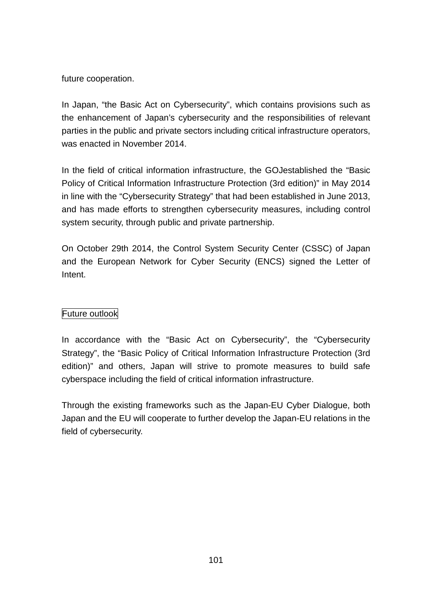future cooperation.

In Japan, "the Basic Act on Cybersecurity", which contains provisions such as the enhancement of Japan's cybersecurity and the responsibilities of relevant parties in the public and private sectors including critical infrastructure operators, was enacted in November 2014.

In the field of critical information infrastructure, the GOJestablished the "Basic Policy of Critical Information Infrastructure Protection (3rd edition)" in May 2014 in line with the "Cybersecurity Strategy" that had been established in June 2013, and has made efforts to strengthen cybersecurity measures, including control system security, through public and private partnership.

On October 29th 2014, the Control System Security Center (CSSC) of Japan and the European Network for Cyber Security (ENCS) signed the Letter of Intent.

## Future outlook

In accordance with the "Basic Act on Cybersecurity", the "Cybersecurity Strategy", the "Basic Policy of Critical Information Infrastructure Protection (3rd edition)" and others, Japan will strive to promote measures to build safe cyberspace including the field of critical information infrastructure.

Through the existing frameworks such as the Japan-EU Cyber Dialogue, both Japan and the EU will cooperate to further develop the Japan-EU relations in the field of cybersecurity.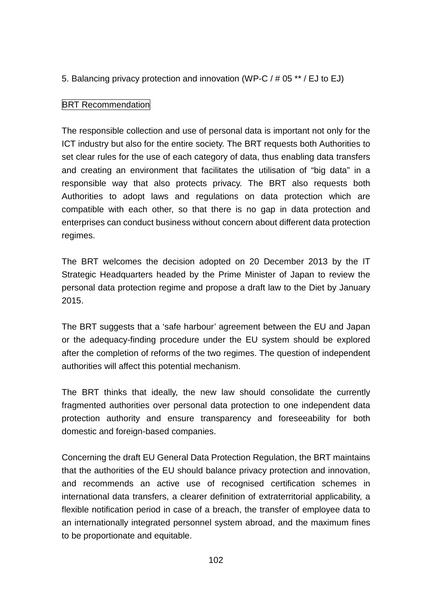5. Balancing privacy protection and innovation (WP-C / # 05 \*\* / EJ to EJ)

## **BRT Recommendation**

The responsible collection and use of personal data is important not only for the ICT industry but also for the entire society. The BRT requests both Authorities to set clear rules for the use of each category of data, thus enabling data transfers and creating an environment that facilitates the utilisation of "big data" in a responsible way that also protects privacy. The BRT also requests both Authorities to adopt laws and regulations on data protection which are compatible with each other, so that there is no gap in data protection and enterprises can conduct business without concern about different data protection regimes.

The BRT welcomes the decision adopted on 20 December 2013 by the IT Strategic Headquarters headed by the Prime Minister of Japan to review the personal data protection regime and propose a draft law to the Diet by January 2015.

The BRT suggests that a 'safe harbour' agreement between the EU and Japan or the adequacy-finding procedure under the EU system should be explored after the completion of reforms of the two regimes. The question of independent authorities will affect this potential mechanism.

The BRT thinks that ideally, the new law should consolidate the currently fragmented authorities over personal data protection to one independent data protection authority and ensure transparency and foreseeability for both domestic and foreign-based companies.

Concerning the draft EU General Data Protection Regulation, the BRT maintains that the authorities of the EU should balance privacy protection and innovation, and recommends an active use of recognised certification schemes in international data transfers, a clearer definition of extraterritorial applicability, a flexible notification period in case of a breach, the transfer of employee data to an internationally integrated personnel system abroad, and the maximum fines to be proportionate and equitable.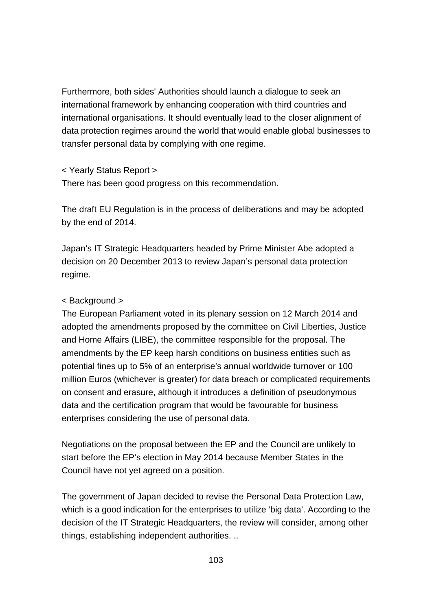Furthermore, both sides' Authorities should launch a dialogue to seek an international framework by enhancing cooperation with third countries and international organisations. It should eventually lead to the closer alignment of data protection regimes around the world that would enable global businesses to transfer personal data by complying with one regime.

< Yearly Status Report >

There has been good progress on this recommendation.

The draft EU Regulation is in the process of deliberations and may be adopted by the end of 2014.

Japan's IT Strategic Headquarters headed by Prime Minister Abe adopted a decision on 20 December 2013 to review Japan's personal data protection regime.

### < Background >

The European Parliament voted in its plenary session on 12 March 2014 and adopted the amendments proposed by the committee on Civil Liberties, Justice and Home Affairs (LIBE), the committee responsible for the proposal. The amendments by the EP keep harsh conditions on business entities such as potential fines up to 5% of an enterprise's annual worldwide turnover or 100 million Euros (whichever is greater) for data breach or complicated requirements on consent and erasure, although it introduces a definition of pseudonymous data and the certification program that would be favourable for business enterprises considering the use of personal data.

Negotiations on the proposal between the EP and the Council are unlikely to start before the EP's election in May 2014 because Member States in the Council have not yet agreed on a position.

The government of Japan decided to revise the Personal Data Protection Law, which is a good indication for the enterprises to utilize 'big data'. According to the decision of the IT Strategic Headquarters, the review will consider, among other things, establishing independent authorities. ..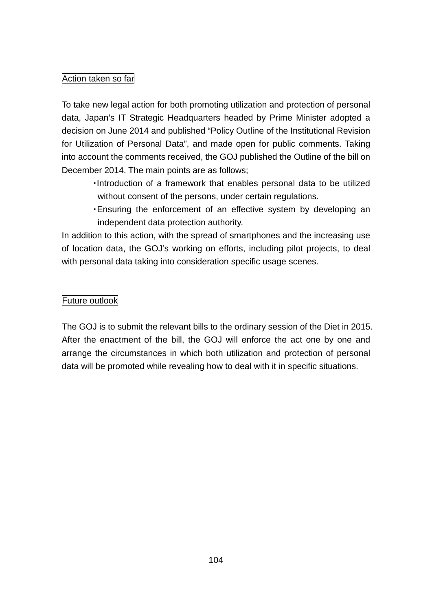## Action taken so far

To take new legal action for both promoting utilization and protection of personal data, Japan's IT Strategic Headquarters headed by Prime Minister adopted a decision on June 2014 and published "Policy Outline of the Institutional Revision for Utilization of Personal Data", and made open for public comments. Taking into account the comments received, the GOJ published the Outline of the bill on December 2014. The main points are as follows;

- ・Introduction of a framework that enables personal data to be utilized without consent of the persons, under certain regulations.
- ・Ensuring the enforcement of an effective system by developing an independent data protection authority.

In addition to this action, with the spread of smartphones and the increasing use of location data, the GOJ's working on efforts, including pilot projects, to deal with personal data taking into consideration specific usage scenes.

## Future outlook

The GOJ is to submit the relevant bills to the ordinary session of the Diet in 2015. After the enactment of the bill, the GOJ will enforce the act one by one and arrange the circumstances in which both utilization and protection of personal data will be promoted while revealing how to deal with it in specific situations.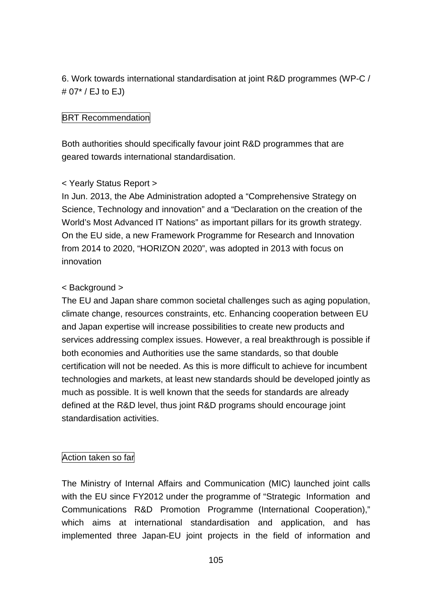6. Work towards international standardisation at joint R&D programmes (WP-C / # 07\* / EJ to EJ)

## BRT Recommendation

Both authorities should specifically favour joint R&D programmes that are geared towards international standardisation.

## < Yearly Status Report >

In Jun. 2013, the Abe Administration adopted a "Comprehensive Strategy on Science, Technology and innovation" and a "Declaration on the creation of the World's Most Advanced IT Nations" as important pillars for its growth strategy. On the EU side, a new Framework Programme for Research and Innovation from 2014 to 2020, "HORIZON 2020", was adopted in 2013 with focus on innovation

### < Background >

The EU and Japan share common societal challenges such as aging population, climate change, resources constraints, etc. Enhancing cooperation between EU and Japan expertise will increase possibilities to create new products and services addressing complex issues. However, a real breakthrough is possible if both economies and Authorities use the same standards, so that double certification will not be needed. As this is more difficult to achieve for incumbent technologies and markets, at least new standards should be developed jointly as much as possible. It is well known that the seeds for standards are already defined at the R&D level, thus joint R&D programs should encourage joint standardisation activities.

### Action taken so far

The Ministry of Internal Affairs and Communication (MIC) launched joint calls with the EU since FY2012 under the programme of "Strategic Information and Communications R&D Promotion Programme (International Cooperation)," which aims at international standardisation and application, and has implemented three Japan-EU joint projects in the field of information and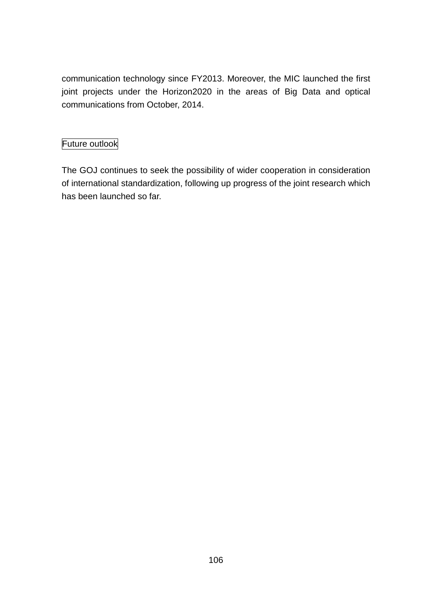communication technology since FY2013. Moreover, the MIC launched the first joint projects under the Horizon2020 in the areas of Big Data and optical communications from October, 2014.

## Future outlook

The GOJ continues to seek the possibility of wider cooperation in consideration of international standardization, following up progress of the joint research which has been launched so far.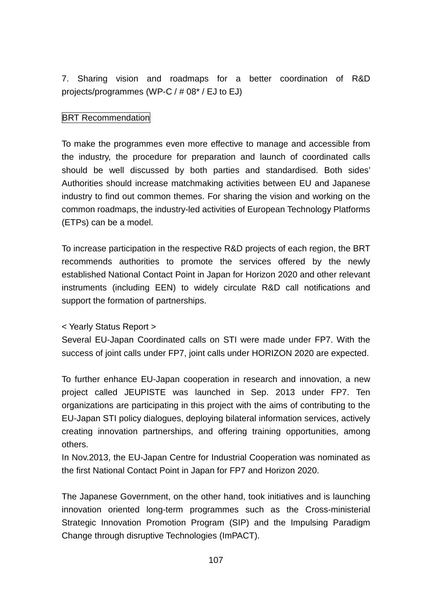7. Sharing vision and roadmaps for a better coordination of R&D projects/programmes (WP-C / # 08\* / EJ to EJ)

## **BRT Recommendation**

To make the programmes even more effective to manage and accessible from the industry, the procedure for preparation and launch of coordinated calls should be well discussed by both parties and standardised. Both sides' Authorities should increase matchmaking activities between EU and Japanese industry to find out common themes. For sharing the vision and working on the common roadmaps, the industry-led activities of European Technology Platforms (ETPs) can be a model.

To increase participation in the respective R&D projects of each region, the BRT recommends authorities to promote the services offered by the newly established National Contact Point in Japan for Horizon 2020 and other relevant instruments (including EEN) to widely circulate R&D call notifications and support the formation of partnerships.

## < Yearly Status Report >

Several EU-Japan Coordinated calls on STI were made under FP7. With the success of joint calls under FP7, joint calls under HORIZON 2020 are expected.

To further enhance EU-Japan cooperation in research and innovation, a new project called JEUPISTE was launched in Sep. 2013 under FP7. Ten organizations are participating in this project with the aims of contributing to the EU-Japan STI policy dialogues, deploying bilateral information services, actively creating innovation partnerships, and offering training opportunities, among others.

In Nov.2013, the EU-Japan Centre for Industrial Cooperation was nominated as the first National Contact Point in Japan for FP7 and Horizon 2020.

The Japanese Government, on the other hand, took initiatives and is launching innovation oriented long-term programmes such as the Cross-ministerial Strategic Innovation Promotion Program (SIP) and the Impulsing Paradigm Change through disruptive Technologies (ImPACT).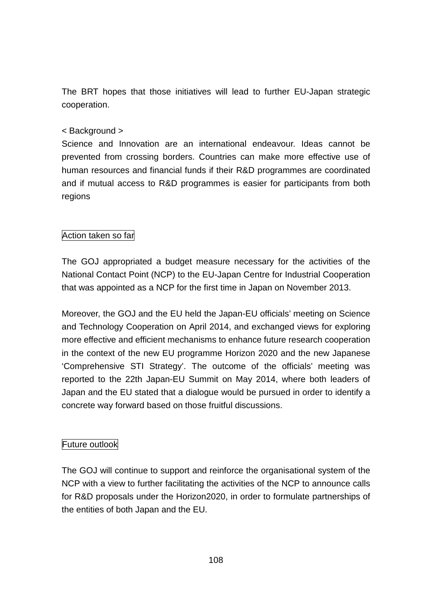The BRT hopes that those initiatives will lead to further EU-Japan strategic cooperation.

## < Background >

Science and Innovation are an international endeavour. Ideas cannot be prevented from crossing borders. Countries can make more effective use of human resources and financial funds if their R&D programmes are coordinated and if mutual access to R&D programmes is easier for participants from both regions

## Action taken so far

The GOJ appropriated a budget measure necessary for the activities of the National Contact Point (NCP) to the EU-Japan Centre for Industrial Cooperation that was appointed as a NCP for the first time in Japan on November 2013.

Moreover, the GOJ and the EU held the Japan-EU officials' meeting on Science and Technology Cooperation on April 2014, and exchanged views for exploring more effective and efficient mechanisms to enhance future research cooperation in the context of the new EU programme Horizon 2020 and the new Japanese 'Comprehensive STI Strategy'. The outcome of the officials' meeting was reported to the 22th Japan-EU Summit on May 2014, where both leaders of Japan and the EU stated that a dialogue would be pursued in order to identify a concrete way forward based on those fruitful discussions.

## Future outlook

The GOJ will continue to support and reinforce the organisational system of the NCP with a view to further facilitating the activities of the NCP to announce calls for R&D proposals under the Horizon2020, in order to formulate partnerships of the entities of both Japan and the EU.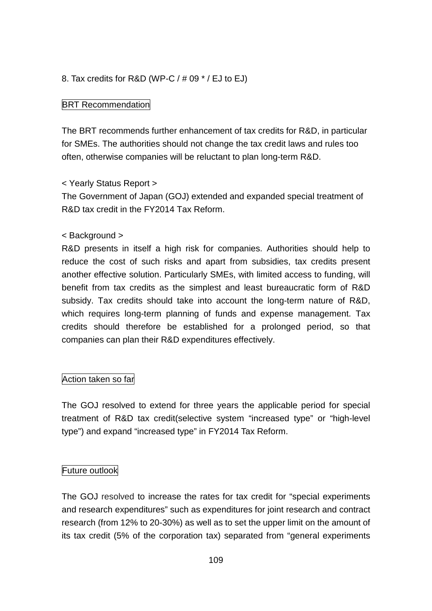### 8. Tax credits for R&D (WP-C  $/$  # 09  $^*$  / EJ to EJ)

#### **BRT Recommendation**

The BRT recommends further enhancement of tax credits for R&D, in particular for SMEs. The authorities should not change the tax credit laws and rules too often, otherwise companies will be reluctant to plan long-term R&D.

#### < Yearly Status Report >

The Government of Japan (GOJ) extended and expanded special treatment of R&D tax credit in the FY2014 Tax Reform.

#### < Background >

R&D presents in itself a high risk for companies. Authorities should help to reduce the cost of such risks and apart from subsidies, tax credits present another effective solution. Particularly SMEs, with limited access to funding, will benefit from tax credits as the simplest and least bureaucratic form of R&D subsidy. Tax credits should take into account the long-term nature of R&D, which requires long-term planning of funds and expense management. Tax credits should therefore be established for a prolonged period, so that companies can plan their R&D expenditures effectively.

#### Action taken so far

The GOJ resolved to extend for three years the applicable period for special treatment of R&D tax credit(selective system "increased type" or "high-level type") and expand "increased type" in FY2014 Tax Reform.

#### Future outlook

The GOJ resolved to increase the rates for tax credit for "special experiments and research expenditures" such as expenditures for joint research and contract research (from 12% to 20-30%) as well as to set the upper limit on the amount of its tax credit (5% of the corporation tax) separated from "general experiments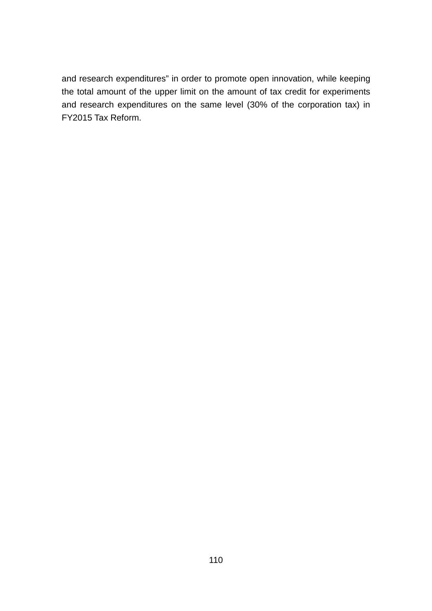and research expenditures" in order to promote open innovation, while keeping the total amount of the upper limit on the amount of tax credit for experiments and research expenditures on the same level (30% of the corporation tax) in FY2015 Tax Reform.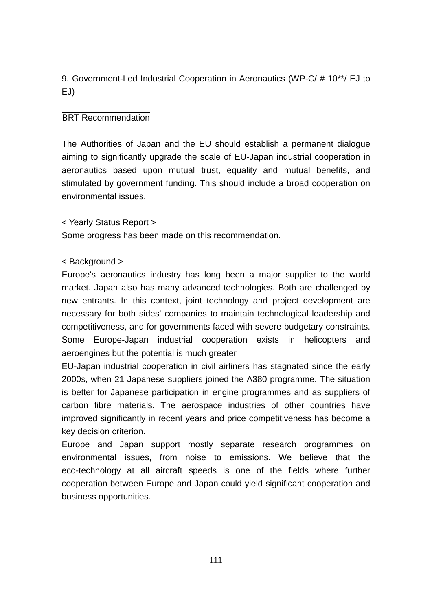9. Government-Led Industrial Cooperation in Aeronautics (WP-C/ # 10\*\*/ EJ to EJ)

## **BRT Recommendation**

The Authorities of Japan and the EU should establish a permanent dialogue aiming to significantly upgrade the scale of EU-Japan industrial cooperation in aeronautics based upon mutual trust, equality and mutual benefits, and stimulated by government funding. This should include a broad cooperation on environmental issues.

< Yearly Status Report >

Some progress has been made on this recommendation.

### < Background >

Europe's aeronautics industry has long been a major supplier to the world market. Japan also has many advanced technologies. Both are challenged by new entrants. In this context, joint technology and project development are necessary for both sides' companies to maintain technological leadership and competitiveness, and for governments faced with severe budgetary constraints. Some Europe-Japan industrial cooperation exists in helicopters and aeroengines but the potential is much greater

EU-Japan industrial cooperation in civil airliners has stagnated since the early 2000s, when 21 Japanese suppliers joined the A380 programme. The situation is better for Japanese participation in engine programmes and as suppliers of carbon fibre materials. The aerospace industries of other countries have improved significantly in recent years and price competitiveness has become a key decision criterion.

Europe and Japan support mostly separate research programmes on environmental issues, from noise to emissions. We believe that the eco-technology at all aircraft speeds is one of the fields where further cooperation between Europe and Japan could yield significant cooperation and business opportunities.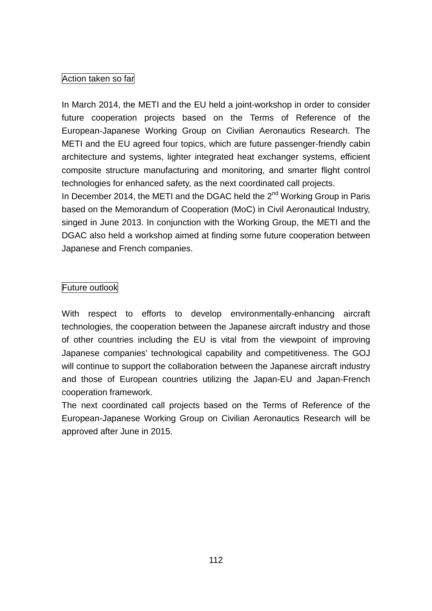## Action taken so far

In March 2014, the METI and the EU held a joint-workshop in order to consider future cooperation projects based on the Terms of Reference of the European-Japanese Working Group on Civilian Aeronautics Research. The METI and the EU agreed four topics, which are future passenger-friendly cabin architecture and systems, lighter integrated heat exchanger systems, efficient composite structure manufacturing and monitoring, and smarter flight control technologies for enhanced safety, as the next coordinated call projects.

In December 2014, the METI and the DGAC held the  $2<sup>nd</sup>$  Working Group in Paris based on the Memorandum of Cooperation (MoC) in Civil Aeronautical Industry, singed in June 2013. In conjunction with the Working Group, the METI and the DGAC also held a workshop aimed at finding some future cooperation between Japanese and French companies.

## Future outlook

With respect to efforts to develop environmentally-enhancing aircraft technologies, the cooperation between the Japanese aircraft industry and those of other countries including the EU is vital from the viewpoint of improving Japanese companies' technological capability and competitiveness. The GOJ will continue to support the collaboration between the Japanese aircraft industry and those of European countries utilizing the Japan-EU and Japan-French cooperation framework.

The next coordinated call projects based on the Terms of Reference of the European-Japanese Working Group on Civilian Aeronautics Research will be approved after June in 2015.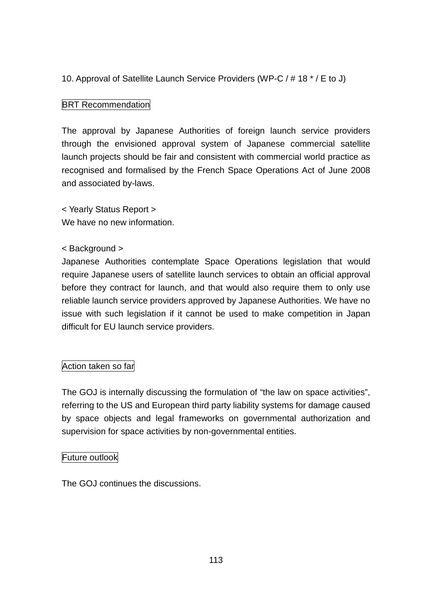## 10. Approval of Satellite Launch Service Providers (WP-C / # 18 \* / E to J)

## **BRT Recommendation**

The approval by Japanese Authorities of foreign launch service providers through the envisioned approval system of Japanese commercial satellite launch projects should be fair and consistent with commercial world practice as recognised and formalised by the French Space Operations Act of June 2008 and associated by-laws.

< Yearly Status Report > We have no new information.

#### < Background >

Japanese Authorities contemplate Space Operations legislation that would require Japanese users of satellite launch services to obtain an official approval before they contract for launch, and that would also require them to only use reliable launch service providers approved by Japanese Authorities. We have no issue with such legislation if it cannot be used to make competition in Japan difficult for EU launch service providers.

## Action taken so far

The GOJ is internally discussing the formulation of "the law on space activities", referring to the US and European third party liability systems for damage caused by space objects and legal frameworks on governmental authorization and supervision for space activities by non-governmental entities.

#### Future outlook

The GOJ continues the discussions.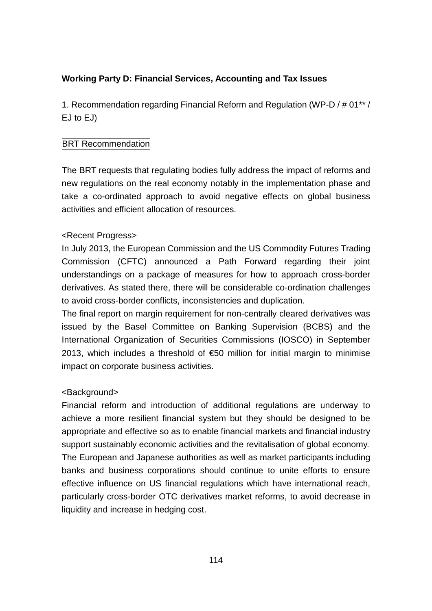## **Working Party D: Financial Services, Accounting and Tax Issues**

1. Recommendation regarding Financial Reform and Regulation (WP-D / # 01\*\* / EJ to EJ)

### **BRT Recommendation**

The BRT requests that regulating bodies fully address the impact of reforms and new regulations on the real economy notably in the implementation phase and take a co-ordinated approach to avoid negative effects on global business activities and efficient allocation of resources.

### <Recent Progress>

In July 2013, the European Commission and the US Commodity Futures Trading Commission (CFTC) announced a Path Forward regarding their joint understandings on a package of measures for how to approach cross-border derivatives. As stated there, there will be considerable co-ordination challenges to avoid cross-border conflicts, inconsistencies and duplication.

The final report on margin requirement for non-centrally cleared derivatives was issued by the Basel Committee on Banking Supervision (BCBS) and the International Organization of Securities Commissions (IOSCO) in September 2013, which includes a threshold of  $$50$  million for initial margin to minimise impact on corporate business activities.

#### <Background>

Financial reform and introduction of additional regulations are underway to achieve a more resilient financial system but they should be designed to be appropriate and effective so as to enable financial markets and financial industry support sustainably economic activities and the revitalisation of global economy. The European and Japanese authorities as well as market participants including banks and business corporations should continue to unite efforts to ensure effective influence on US financial regulations which have international reach, particularly cross-border OTC derivatives market reforms, to avoid decrease in liquidity and increase in hedging cost.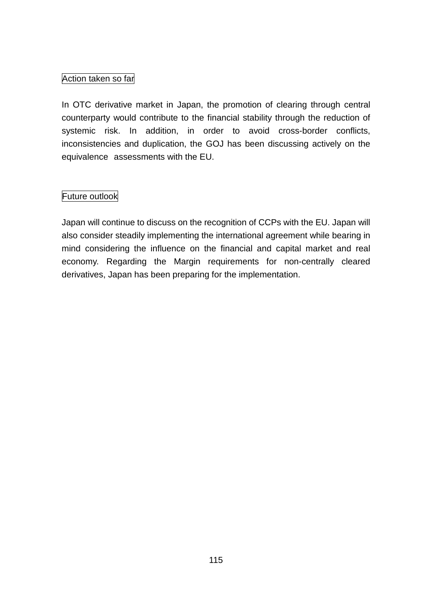## Action taken so far

In OTC derivative market in Japan, the promotion of clearing through central counterparty would contribute to the financial stability through the reduction of systemic risk. In addition, in order to avoid cross-border conflicts, inconsistencies and duplication, the GOJ has been discussing actively on the equivalence assessments with the EU.

### Future outlook

Japan will continue to discuss on the recognition of CCPs with the EU. Japan will also consider steadily implementing the international agreement while bearing in mind considering the influence on the financial and capital market and real economy. Regarding the Margin requirements for non-centrally cleared derivatives, Japan has been preparing for the implementation.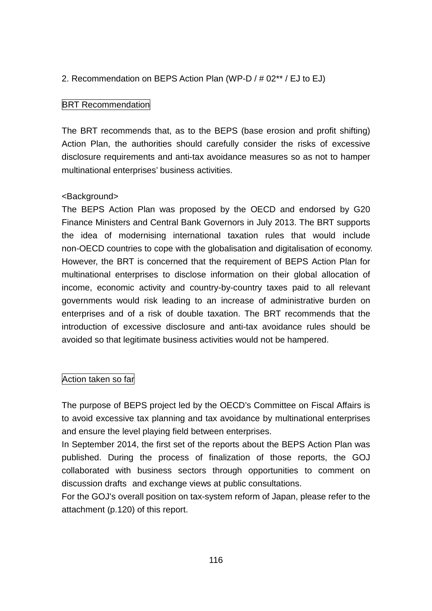### 2. Recommendation on BEPS Action Plan (WP-D / # 02\*\* / EJ to EJ)

#### **BRT Recommendation**

The BRT recommends that, as to the BEPS (base erosion and profit shifting) Action Plan, the authorities should carefully consider the risks of excessive disclosure requirements and anti-tax avoidance measures so as not to hamper multinational enterprises' business activities.

#### <Background>

The BEPS Action Plan was proposed by the OECD and endorsed by G20 Finance Ministers and Central Bank Governors in July 2013. The BRT supports the idea of modernising international taxation rules that would include non-OECD countries to cope with the globalisation and digitalisation of economy. However, the BRT is concerned that the requirement of BEPS Action Plan for multinational enterprises to disclose information on their global allocation of income, economic activity and country-by-country taxes paid to all relevant governments would risk leading to an increase of administrative burden on enterprises and of a risk of double taxation. The BRT recommends that the introduction of excessive disclosure and anti-tax avoidance rules should be avoided so that legitimate business activities would not be hampered.

#### Action taken so far

The purpose of BEPS project led by the OECD's Committee on Fiscal Affairs is to avoid excessive tax planning and tax avoidance by multinational enterprises and ensure the level playing field between enterprises.

In September 2014, the first set of the reports about the BEPS Action Plan was published. During the process of finalization of those reports, the GOJ collaborated with business sectors through opportunities to comment on discussion drafts and exchange views at public consultations.

For the GOJ's overall position on tax-system reform of Japan, please refer to the attachment (p.120) of this report.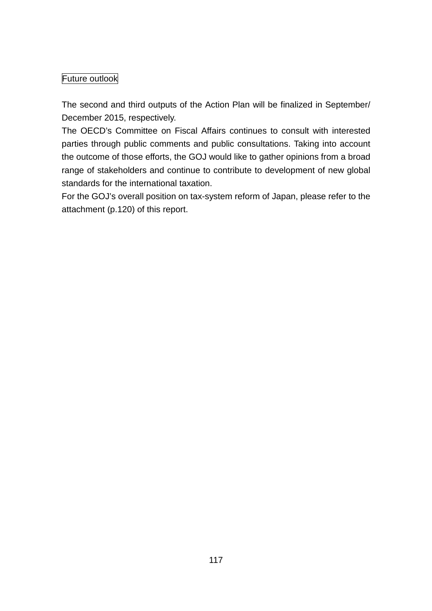## Future outlook

The second and third outputs of the Action Plan will be finalized in September/ December 2015, respectively.

The OECD's Committee on Fiscal Affairs continues to consult with interested parties through public comments and public consultations. Taking into account the outcome of those efforts, the GOJ would like to gather opinions from a broad range of stakeholders and continue to contribute to development of new global standards for the international taxation.

For the GOJ's overall position on tax-system reform of Japan, please refer to the attachment (p.120) of this report.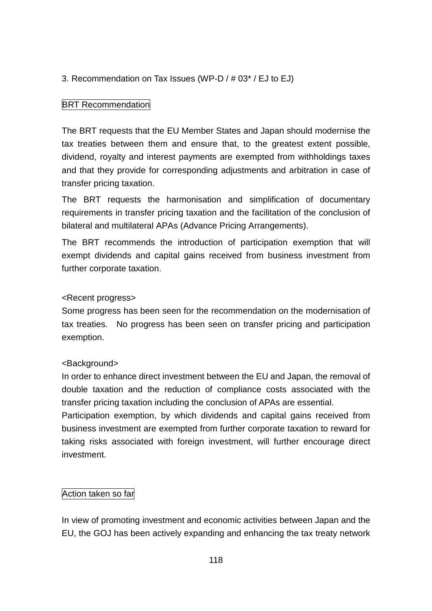## 3. Recommendation on Tax Issues (WP-D / # 03\* / EJ to EJ)

### **BRT Recommendation**

The BRT requests that the EU Member States and Japan should modernise the tax treaties between them and ensure that, to the greatest extent possible, dividend, royalty and interest payments are exempted from withholdings taxes and that they provide for corresponding adjustments and arbitration in case of transfer pricing taxation.

The BRT requests the harmonisation and simplification of documentary requirements in transfer pricing taxation and the facilitation of the conclusion of bilateral and multilateral APAs (Advance Pricing Arrangements).

The BRT recommends the introduction of participation exemption that will exempt dividends and capital gains received from business investment from further corporate taxation.

#### <Recent progress>

Some progress has been seen for the recommendation on the modernisation of tax treaties. No progress has been seen on transfer pricing and participation exemption.

#### <Background>

In order to enhance direct investment between the EU and Japan, the removal of double taxation and the reduction of compliance costs associated with the transfer pricing taxation including the conclusion of APAs are essential.

Participation exemption, by which dividends and capital gains received from business investment are exempted from further corporate taxation to reward for taking risks associated with foreign investment, will further encourage direct investment.

## Action taken so far

In view of promoting investment and economic activities between Japan and the EU, the GOJ has been actively expanding and enhancing the tax treaty network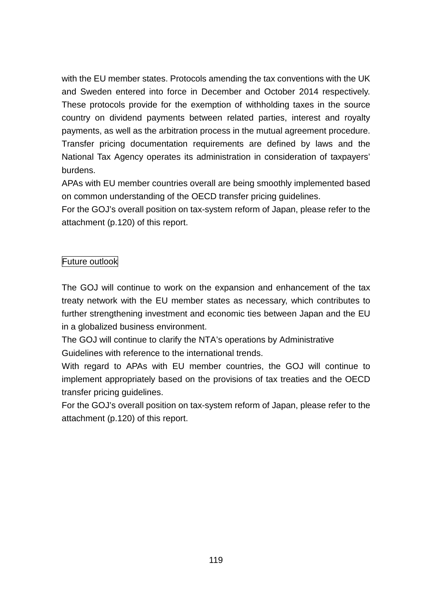with the EU member states. Protocols amending the tax conventions with the UK and Sweden entered into force in December and October 2014 respectively. These protocols provide for the exemption of withholding taxes in the source country on dividend payments between related parties, interest and royalty payments, as well as the arbitration process in the mutual agreement procedure. Transfer pricing documentation requirements are defined by laws and the National Tax Agency operates its administration in consideration of taxpayers' burdens.

APAs with EU member countries overall are being smoothly implemented based on common understanding of the OECD transfer pricing guidelines.

For the GOJ's overall position on tax-system reform of Japan, please refer to the attachment (p.120) of this report.

## Future outlook

The GOJ will continue to work on the expansion and enhancement of the tax treaty network with the EU member states as necessary, which contributes to further strengthening investment and economic ties between Japan and the EU in a globalized business environment.

The GOJ will continue to clarify the NTA's operations by Administrative Guidelines with reference to the international trends.

With regard to APAs with EU member countries, the GOJ will continue to implement appropriately based on the provisions of tax treaties and the OECD transfer pricing guidelines.

For the GOJ's overall position on tax-system reform of Japan, please refer to the attachment (p.120) of this report.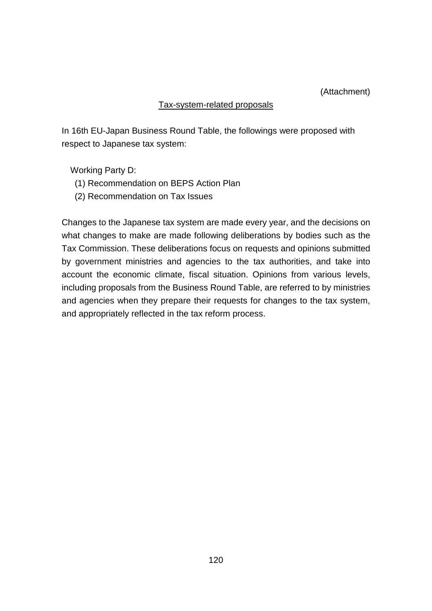#### (Attachment)

#### Tax-system-related proposals

In 16th EU-Japan Business Round Table, the followings were proposed with respect to Japanese tax system:

Working Party D:

- (1) Recommendation on BEPS Action Plan
- (2) Recommendation on Tax Issues

Changes to the Japanese tax system are made every year, and the decisions on what changes to make are made following deliberations by bodies such as the Tax Commission. These deliberations focus on requests and opinions submitted by government ministries and agencies to the tax authorities, and take into account the economic climate, fiscal situation. Opinions from various levels, including proposals from the Business Round Table, are referred to by ministries and agencies when they prepare their requests for changes to the tax system, and appropriately reflected in the tax reform process.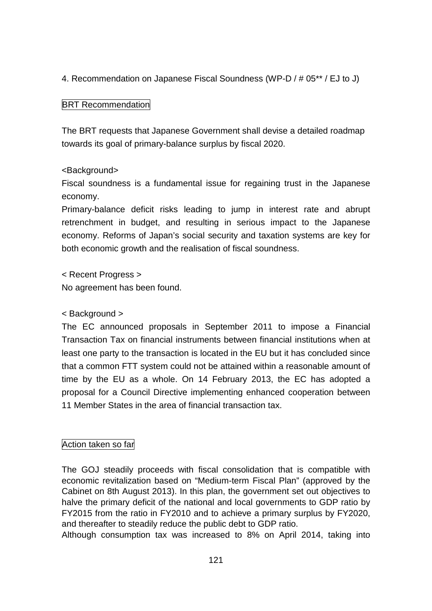4. Recommendation on Japanese Fiscal Soundness (WP-D / # 05\*\* / EJ to J)

## **BRT Recommendation**

The BRT requests that Japanese Government shall devise a detailed roadmap towards its goal of primary-balance surplus by fiscal 2020.

## <Background>

Fiscal soundness is a fundamental issue for regaining trust in the Japanese economy.

Primary-balance deficit risks leading to jump in interest rate and abrupt retrenchment in budget, and resulting in serious impact to the Japanese economy. Reforms of Japan's social security and taxation systems are key for both economic growth and the realisation of fiscal soundness.

< Recent Progress >

No agreement has been found.

## < Background >

The EC announced proposals in September 2011 to impose a Financial Transaction Tax on financial instruments between financial institutions when at least one party to the transaction is located in the EU but it has concluded since that a common FTT system could not be attained within a reasonable amount of time by the EU as a whole. On 14 February 2013, the EC has adopted a proposal for a Council Directive implementing enhanced cooperation between 11 Member States in the area of financial transaction tax.

## Action taken so far

The GOJ steadily proceeds with fiscal consolidation that is compatible with economic revitalization based on "Medium-term Fiscal Plan" (approved by the Cabinet on 8th August 2013). In this plan, the government set out objectives to halve the primary deficit of the national and local governments to GDP ratio by FY2015 from the ratio in FY2010 and to achieve a primary surplus by FY2020, and thereafter to steadily reduce the public debt to GDP ratio.

Although consumption tax was increased to 8% on April 2014, taking into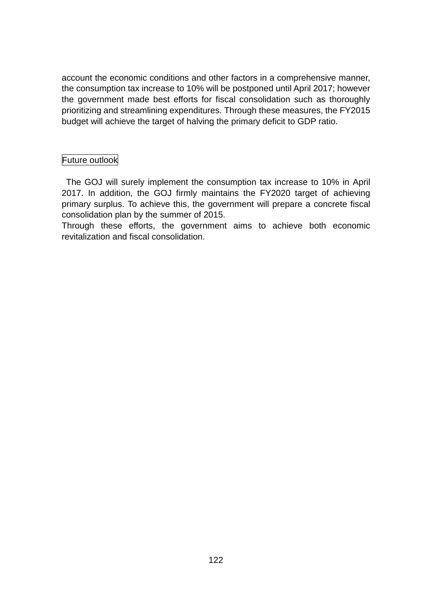account the economic conditions and other factors in a comprehensive manner, the consumption tax increase to 10% will be postponed until April 2017; however the government made best efforts for fiscal consolidation such as thoroughly prioritizing and streamlining expenditures. Through these measures, the FY2015 budget will achieve the target of halving the primary deficit to GDP ratio.

### Future outlook

The GOJ will surely implement the consumption tax increase to 10% in April 2017. In addition, the GOJ firmly maintains the FY2020 target of achieving primary surplus. To achieve this, the government will prepare a concrete fiscal consolidation plan by the summer of 2015.

Through these efforts, the government aims to achieve both economic revitalization and fiscal consolidation.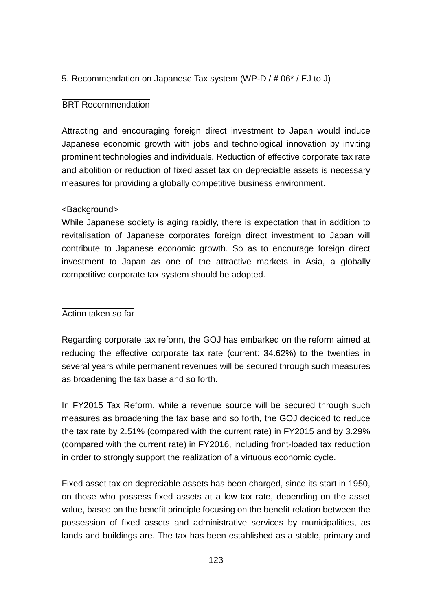### 5. Recommendation on Japanese Tax system (WP-D / # 06\* / EJ to J)

#### **BRT Recommendation**

Attracting and encouraging foreign direct investment to Japan would induce Japanese economic growth with jobs and technological innovation by inviting prominent technologies and individuals. Reduction of effective corporate tax rate and abolition or reduction of fixed asset tax on depreciable assets is necessary measures for providing a globally competitive business environment.

#### <Background>

While Japanese society is aging rapidly, there is expectation that in addition to revitalisation of Japanese corporates foreign direct investment to Japan will contribute to Japanese economic growth. So as to encourage foreign direct investment to Japan as one of the attractive markets in Asia, a globally competitive corporate tax system should be adopted.

## Action taken so far

Regarding corporate tax reform, the GOJ has embarked on the reform aimed at reducing the effective corporate tax rate (current: 34.62%) to the twenties in several years while permanent revenues will be secured through such measures as broadening the tax base and so forth.

In FY2015 Tax Reform, while a revenue source will be secured through such measures as broadening the tax base and so forth, the GOJ decided to reduce the tax rate by 2.51% (compared with the current rate) in FY2015 and by 3.29% (compared with the current rate) in FY2016, including front-loaded tax reduction in order to strongly support the realization of a virtuous economic cycle.

Fixed asset tax on depreciable assets has been charged, since its start in 1950, on those who possess fixed assets at a low tax rate, depending on the asset value, based on the benefit principle focusing on the benefit relation between the possession of fixed assets and administrative services by municipalities, as lands and buildings are. The tax has been established as a stable, primary and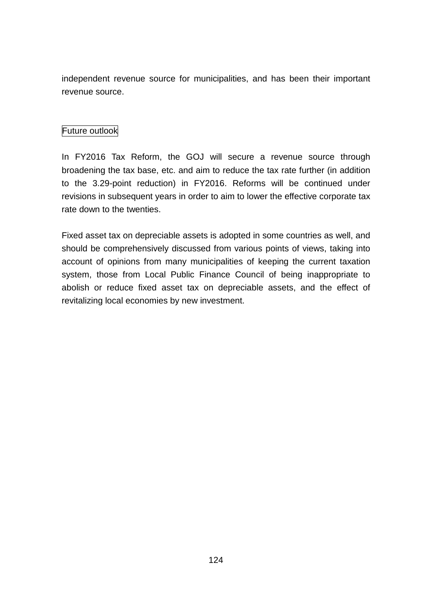independent revenue source for municipalities, and has been their important revenue source.

## Future outlook

In FY2016 Tax Reform, the GOJ will secure a revenue source through broadening the tax base, etc. and aim to reduce the tax rate further (in addition to the 3.29-point reduction) in FY2016. Reforms will be continued under revisions in subsequent years in order to aim to lower the effective corporate tax rate down to the twenties.

Fixed asset tax on depreciable assets is adopted in some countries as well, and should be comprehensively discussed from various points of views, taking into account of opinions from many municipalities of keeping the current taxation system, those from Local Public Finance Council of being inappropriate to abolish or reduce fixed asset tax on depreciable assets, and the effect of revitalizing local economies by new investment.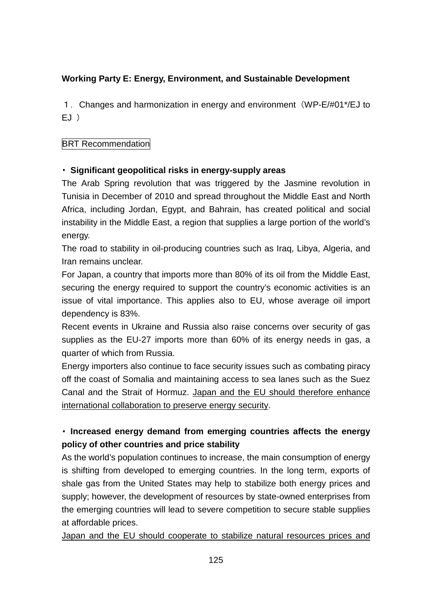## **Working Party E: Energy, Environment, and Sustainable Development**

1. Changes and harmonization in energy and environment (WP-E/#01\*/EJ to EJ )

## **BRT Recommendation**

## ・ **Significant geopolitical risks in energy-supply areas**

The Arab Spring revolution that was triggered by the Jasmine revolution in Tunisia in December of 2010 and spread throughout the Middle East and North Africa, including Jordan, Egypt, and Bahrain, has created political and social instability in the Middle East, a region that supplies a large portion of the world's energy.

The road to stability in oil-producing countries such as Iraq, Libya, Algeria, and Iran remains unclear.

For Japan, a country that imports more than 80% of its oil from the Middle East, securing the energy required to support the country's economic activities is an issue of vital importance. This applies also to EU, whose average oil import dependency is 83%.

Recent events in Ukraine and Russia also raise concerns over security of gas supplies as the EU-27 imports more than 60% of its energy needs in gas, a quarter of which from Russia.

Energy importers also continue to face security issues such as combating piracy off the coast of Somalia and maintaining access to sea lanes such as the Suez Canal and the Strait of Hormuz. Japan and the EU should therefore enhance international collaboration to preserve energy security.

# ・ **Increased energy demand from emerging countries affects the energy policy of other countries and price stability**

As the world's population continues to increase, the main consumption of energy is shifting from developed to emerging countries. In the long term, exports of shale gas from the United States may help to stabilize both energy prices and supply; however, the development of resources by state-owned enterprises from the emerging countries will lead to severe competition to secure stable supplies at affordable prices.

Japan and the EU should cooperate to stabilize natural resources prices and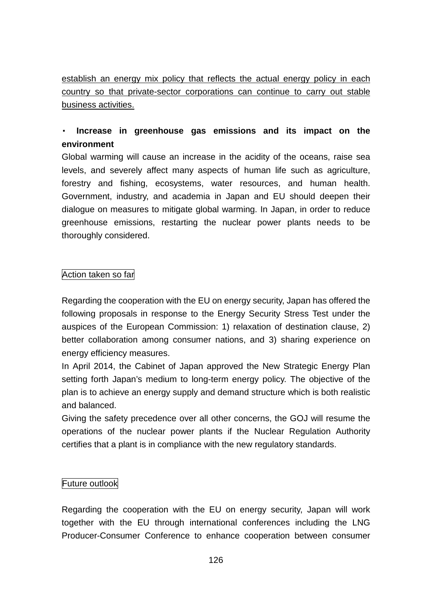establish an energy mix policy that reflects the actual energy policy in each country so that private-sector corporations can continue to carry out stable business activities.

# ・ **Increase in greenhouse gas emissions and its impact on the environment**

Global warming will cause an increase in the acidity of the oceans, raise sea levels, and severely affect many aspects of human life such as agriculture, forestry and fishing, ecosystems, water resources, and human health. Government, industry, and academia in Japan and EU should deepen their dialogue on measures to mitigate global warming. In Japan, in order to reduce greenhouse emissions, restarting the nuclear power plants needs to be thoroughly considered.

### Action taken so far

Regarding the cooperation with the EU on energy security, Japan has offered the following proposals in response to the Energy Security Stress Test under the auspices of the European Commission: 1) relaxation of destination clause, 2) better collaboration among consumer nations, and 3) sharing experience on energy efficiency measures.

In April 2014, the Cabinet of Japan approved the New Strategic Energy Plan setting forth Japan's medium to long-term energy policy. The objective of the plan is to achieve an energy supply and demand structure which is both realistic and balanced.

Giving the safety precedence over all other concerns, the GOJ will resume the operations of the nuclear power plants if the Nuclear Regulation Authority certifies that a plant is in compliance with the new regulatory standards.

#### Future outlook

Regarding the cooperation with the EU on energy security, Japan will work together with the EU through international conferences including the LNG Producer-Consumer Conference to enhance cooperation between consumer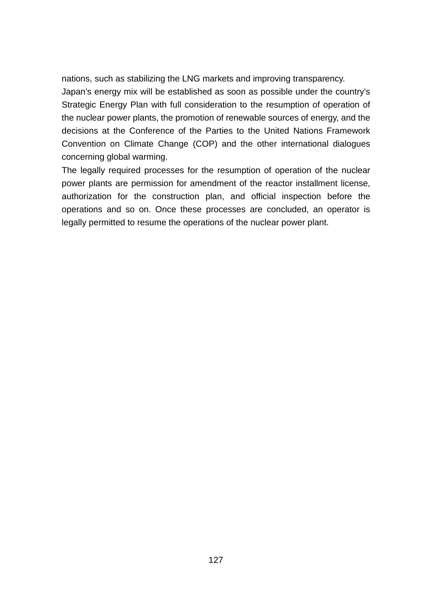nations, such as stabilizing the LNG markets and improving transparency.

Japan's energy mix will be established as soon as possible under the country's Strategic Energy Plan with full consideration to the resumption of operation of the nuclear power plants, the promotion of renewable sources of energy, and the decisions at the Conference of the Parties to the United Nations Framework Convention on Climate Change (COP) and the other international dialogues concerning global warming.

The legally required processes for the resumption of operation of the nuclear power plants are permission for amendment of the reactor installment license, authorization for the construction plan, and official inspection before the operations and so on. Once these processes are concluded, an operator is legally permitted to resume the operations of the nuclear power plant.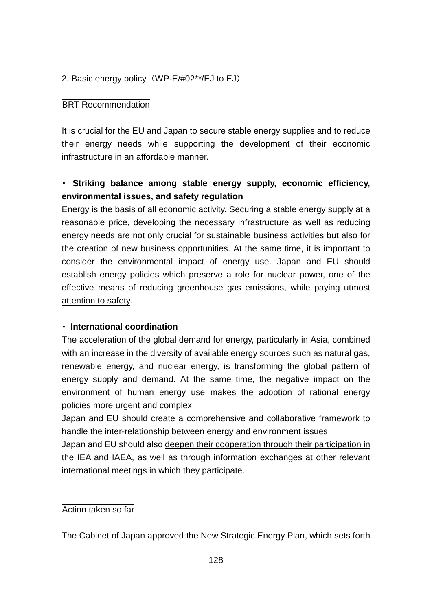### 2. Basic energy policy (WP-E/#02\*\*/EJ to EJ)

#### **BRT Recommendation**

It is crucial for the EU and Japan to secure stable energy supplies and to reduce their energy needs while supporting the development of their economic infrastructure in an affordable manner.

# ・ **Striking balance among stable energy supply, economic efficiency, environmental issues, and safety regulation**

Energy is the basis of all economic activity. Securing a stable energy supply at a reasonable price, developing the necessary infrastructure as well as reducing energy needs are not only crucial for sustainable business activities but also for the creation of new business opportunities. At the same time, it is important to consider the environmental impact of energy use. Japan and EU should establish energy policies which preserve a role for nuclear power, one of the effective means of reducing greenhouse gas emissions, while paying utmost attention to safety.

#### ・ **International coordination**

The acceleration of the global demand for energy, particularly in Asia, combined with an increase in the diversity of available energy sources such as natural gas, renewable energy, and nuclear energy, is transforming the global pattern of energy supply and demand. At the same time, the negative impact on the environment of human energy use makes the adoption of rational energy policies more urgent and complex.

Japan and EU should create a comprehensive and collaborative framework to handle the inter-relationship between energy and environment issues.

Japan and EU should also deepen their cooperation through their participation in the IEA and IAEA, as well as through information exchanges at other relevant international meetings in which they participate.

#### Action taken so far

The Cabinet of Japan approved the New Strategic Energy Plan, which sets forth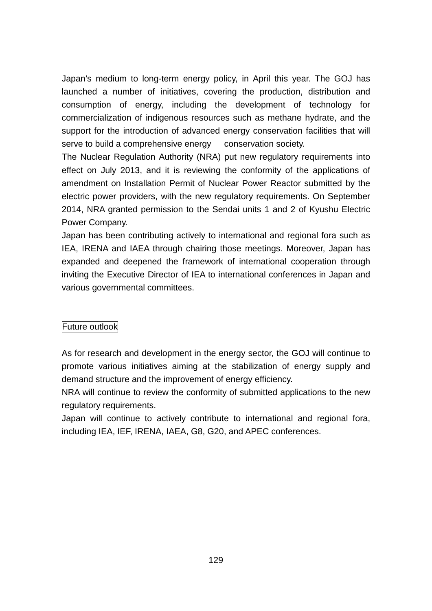Japan's medium to long-term energy policy, in April this year. The GOJ has launched a number of initiatives, covering the production, distribution and consumption of energy, including the development of technology for commercialization of indigenous resources such as methane hydrate, and the support for the introduction of advanced energy conservation facilities that will serve to build a comprehensive energy conservation society.

The Nuclear Regulation Authority (NRA) put new regulatory requirements into effect on July 2013, and it is reviewing the conformity of the applications of amendment on Installation Permit of Nuclear Power Reactor submitted by the electric power providers, with the new regulatory requirements. On September 2014, NRA granted permission to the Sendai units 1 and 2 of Kyushu Electric Power Company.

Japan has been contributing actively to international and regional fora such as IEA, IRENA and IAEA through chairing those meetings. Moreover, Japan has expanded and deepened the framework of international cooperation through inviting the Executive Director of IEA to international conferences in Japan and various governmental committees.

## Future outlook

As for research and development in the energy sector, the GOJ will continue to promote various initiatives aiming at the stabilization of energy supply and demand structure and the improvement of energy efficiency.

NRA will continue to review the conformity of submitted applications to the new regulatory requirements.

Japan will continue to actively contribute to international and regional fora, including IEA, IEF, IRENA, IAEA, G8, G20, and APEC conferences.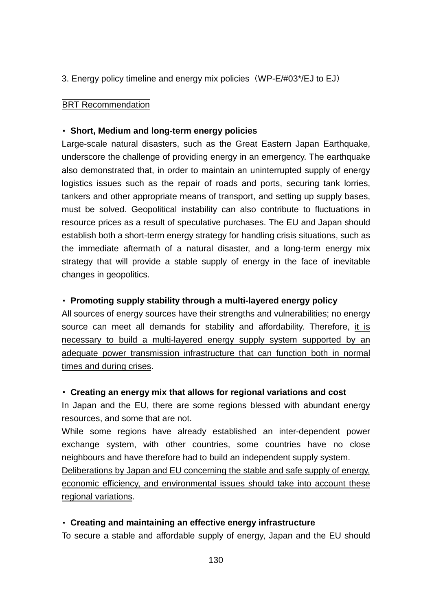3. Energy policy timeline and energy mix policies (WP-E/#03\*/EJ to EJ)

#### **BRT Recommendation**

#### ・ **Short, Medium and long-term energy policies**

Large-scale natural disasters, such as the Great Eastern Japan Earthquake, underscore the challenge of providing energy in an emergency. The earthquake also demonstrated that, in order to maintain an uninterrupted supply of energy logistics issues such as the repair of roads and ports, securing tank lorries, tankers and other appropriate means of transport, and setting up supply bases, must be solved. Geopolitical instability can also contribute to fluctuations in resource prices as a result of speculative purchases. The EU and Japan should establish both a short-term energy strategy for handling crisis situations, such as the immediate aftermath of a natural disaster, and a long-term energy mix strategy that will provide a stable supply of energy in the face of inevitable changes in geopolitics.

#### ・ **Promoting supply stability through a multi-layered energy policy**

All sources of energy sources have their strengths and vulnerabilities; no energy source can meet all demands for stability and affordability. Therefore, it is necessary to build a multi-layered energy supply system supported by an adequate power transmission infrastructure that can function both in normal times and during crises.

#### ・ **Creating an energy mix that allows for regional variations and cost**

In Japan and the EU, there are some regions blessed with abundant energy resources, and some that are not.

While some regions have already established an inter-dependent power exchange system, with other countries, some countries have no close neighbours and have therefore had to build an independent supply system.

Deliberations by Japan and EU concerning the stable and safe supply of energy, economic efficiency, and environmental issues should take into account these regional variations.

#### ・ **Creating and maintaining an effective energy infrastructure**

To secure a stable and affordable supply of energy, Japan and the EU should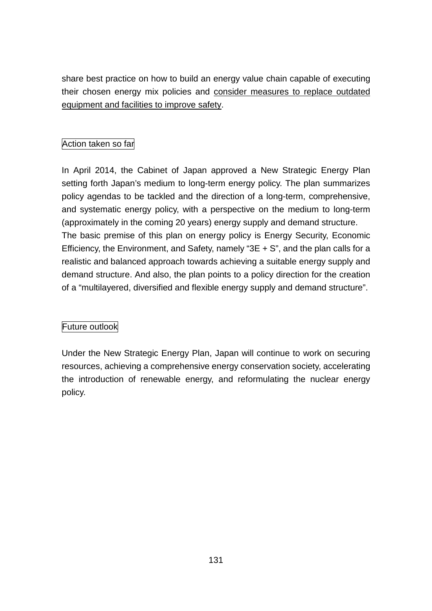share best practice on how to build an energy value chain capable of executing their chosen energy mix policies and consider measures to replace outdated equipment and facilities to improve safety.

## Action taken so far

In April 2014, the Cabinet of Japan approved a New Strategic Energy Plan setting forth Japan's medium to long-term energy policy. The plan summarizes policy agendas to be tackled and the direction of a long-term, comprehensive, and systematic energy policy, with a perspective on the medium to long-term (approximately in the coming 20 years) energy supply and demand structure. The basic premise of this plan on energy policy is Energy Security, Economic Efficiency, the Environment, and Safety, namely "3E + S", and the plan calls for a realistic and balanced approach towards achieving a suitable energy supply and demand structure. And also, the plan points to a policy direction for the creation of a "multilayered, diversified and flexible energy supply and demand structure".

## Future outlook

Under the New Strategic Energy Plan, Japan will continue to work on securing resources, achieving a comprehensive energy conservation society, accelerating the introduction of renewable energy, and reformulating the nuclear energy policy.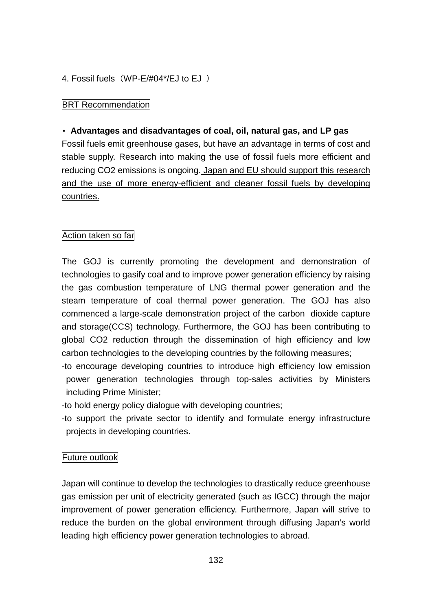4. Fossil fuels (WP-E/#04\*/EJ to EJ)

### **BRT Recommendation**

### ・ **Advantages and disadvantages of coal, oil, natural gas, and LP gas**

Fossil fuels emit greenhouse gases, but have an advantage in terms of cost and stable supply. Research into making the use of fossil fuels more efficient and reducing CO2 emissions is ongoing. Japan and EU should support this research and the use of more energy-efficient and cleaner fossil fuels by developing countries.

### Action taken so far

The GOJ is currently promoting the development and demonstration of technologies to gasify coal and to improve power generation efficiency by raising the gas combustion temperature of LNG thermal power generation and the steam temperature of coal thermal power generation. The GOJ has also commenced a large-scale demonstration project of the carbon dioxide capture and storage(CCS) technology. Furthermore, the GOJ has been contributing to global CO2 reduction through the dissemination of high efficiency and low carbon technologies to the developing countries by the following measures;

- -to encourage developing countries to introduce high efficiency low emission power generation technologies through top-sales activities by Ministers including Prime Minister;
- -to hold energy policy dialogue with developing countries;
- -to support the private sector to identify and formulate energy infrastructure projects in developing countries.

#### Future outlook

Japan will continue to develop the technologies to drastically reduce greenhouse gas emission per unit of electricity generated (such as IGCC) through the major improvement of power generation efficiency. Furthermore, Japan will strive to reduce the burden on the global environment through diffusing Japan's world leading high efficiency power generation technologies to abroad.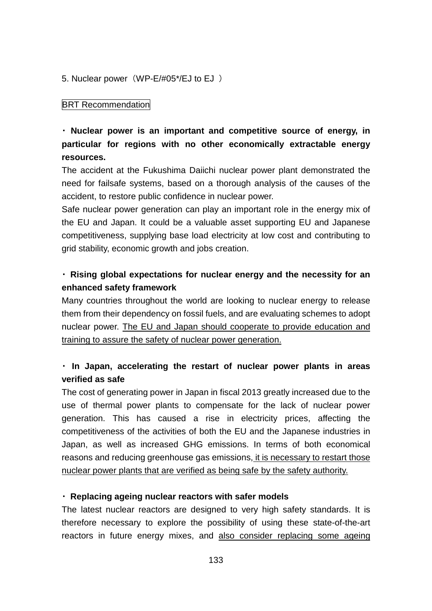5. Nuclear power (WP-E/#05\*/EJ to EJ)

#### **BRT Recommendation**

# ・ **Nuclear power is an important and competitive source of energy, in particular for regions with no other economically extractable energy resources.**

The accident at the Fukushima Daiichi nuclear power plant demonstrated the need for failsafe systems, based on a thorough analysis of the causes of the accident, to restore public confidence in nuclear power.

Safe nuclear power generation can play an important role in the energy mix of the EU and Japan. It could be a valuable asset supporting EU and Japanese competitiveness, supplying base load electricity at low cost and contributing to grid stability, economic growth and jobs creation.

## ・ **Rising global expectations for nuclear energy and the necessity for an enhanced safety framework**

Many countries throughout the world are looking to nuclear energy to release them from their dependency on fossil fuels, and are evaluating schemes to adopt nuclear power. The EU and Japan should cooperate to provide education and training to assure the safety of nuclear power generation.

# ・ **In Japan, accelerating the restart of nuclear power plants in areas verified as safe**

The cost of generating power in Japan in fiscal 2013 greatly increased due to the use of thermal power plants to compensate for the lack of nuclear power generation. This has caused a rise in electricity prices, affecting the competitiveness of the activities of both the EU and the Japanese industries in Japan, as well as increased GHG emissions. In terms of both economical reasons and reducing greenhouse gas emissions, it is necessary to restart those nuclear power plants that are verified as being safe by the safety authority.

#### ・ **Replacing ageing nuclear reactors with safer models**

The latest nuclear reactors are designed to very high safety standards. It is therefore necessary to explore the possibility of using these state-of-the-art reactors in future energy mixes, and also consider replacing some ageing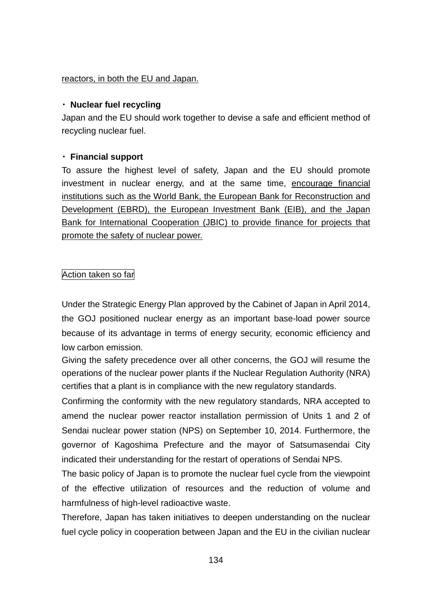#### reactors, in both the EU and Japan.

### ・ **Nuclear fuel recycling**

Japan and the EU should work together to devise a safe and efficient method of recycling nuclear fuel.

### ・ **Financial support**

To assure the highest level of safety, Japan and the EU should promote investment in nuclear energy, and at the same time, encourage financial institutions such as the World Bank, the European Bank for Reconstruction and Development (EBRD), the European Investment Bank (EIB), and the Japan Bank for International Cooperation (JBIC) to provide finance for projects that promote the safety of nuclear power.

### Action taken so far

Under the Strategic Energy Plan approved by the Cabinet of Japan in April 2014, the GOJ positioned nuclear energy as an important base-load power source because of its advantage in terms of energy security, economic efficiency and low carbon emission.

Giving the safety precedence over all other concerns, the GOJ will resume the operations of the nuclear power plants if the Nuclear Regulation Authority (NRA) certifies that a plant is in compliance with the new regulatory standards.

Confirming the conformity with the new regulatory standards, NRA accepted to amend the nuclear power reactor installation permission of Units 1 and 2 of Sendai nuclear power station (NPS) on September 10, 2014. Furthermore, the governor of Kagoshima Prefecture and the mayor of Satsumasendai City indicated their understanding for the restart of operations of Sendai NPS.

The basic policy of Japan is to promote the nuclear fuel cycle from the viewpoint of the effective utilization of resources and the reduction of volume and harmfulness of high-level radioactive waste.

Therefore, Japan has taken initiatives to deepen understanding on the nuclear fuel cycle policy in cooperation between Japan and the EU in the civilian nuclear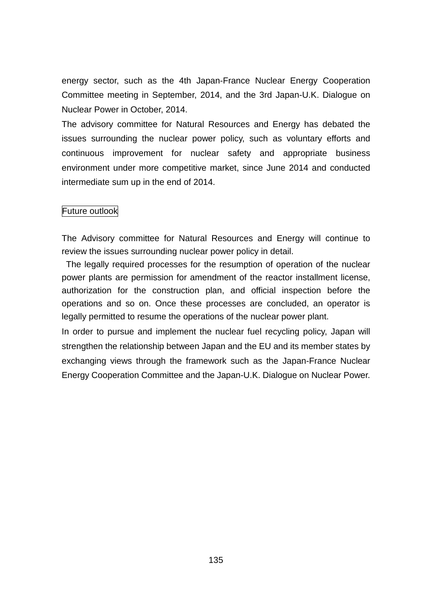energy sector, such as the 4th Japan-France Nuclear Energy Cooperation Committee meeting in September, 2014, and the 3rd Japan-U.K. Dialogue on Nuclear Power in October, 2014.

The advisory committee for Natural Resources and Energy has debated the issues surrounding the nuclear power policy, such as voluntary efforts and continuous improvement for nuclear safety and appropriate business environment under more competitive market, since June 2014 and conducted intermediate sum up in the end of 2014.

#### Future outlook

The Advisory committee for Natural Resources and Energy will continue to review the issues surrounding nuclear power policy in detail.

The legally required processes for the resumption of operation of the nuclear power plants are permission for amendment of the reactor installment license, authorization for the construction plan, and official inspection before the operations and so on. Once these processes are concluded, an operator is legally permitted to resume the operations of the nuclear power plant.

In order to pursue and implement the nuclear fuel recycling policy, Japan will strengthen the relationship between Japan and the EU and its member states by exchanging views through the framework such as the Japan-France Nuclear Energy Cooperation Committee and the Japan-U.K. Dialogue on Nuclear Power.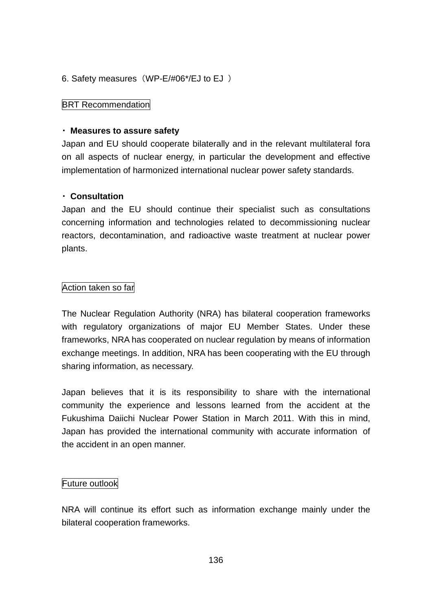### 6. Safety measures (WP-E/#06\*/EJ to EJ)

#### **BRT Recommendation**

#### ・ **Measures to assure safety**

Japan and EU should cooperate bilaterally and in the relevant multilateral fora on all aspects of nuclear energy, in particular the development and effective implementation of harmonized international nuclear power safety standards.

### ・ **Consultation**

Japan and the EU should continue their specialist such as consultations concerning information and technologies related to decommissioning nuclear reactors, decontamination, and radioactive waste treatment at nuclear power plants.

### Action taken so far

The Nuclear Regulation Authority (NRA) has bilateral cooperation frameworks with regulatory organizations of major EU Member States. Under these frameworks, NRA has cooperated on nuclear regulation by means of information exchange meetings. In addition, NRA has been cooperating with the EU through sharing information, as necessary.

Japan believes that it is its responsibility to share with the international community the experience and lessons learned from the accident at the Fukushima Daiichi Nuclear Power Station in March 2011. With this in mind, Japan has provided the international community with accurate information of the accident in an open manner.

#### Future outlook

NRA will continue its effort such as information exchange mainly under the bilateral cooperation frameworks.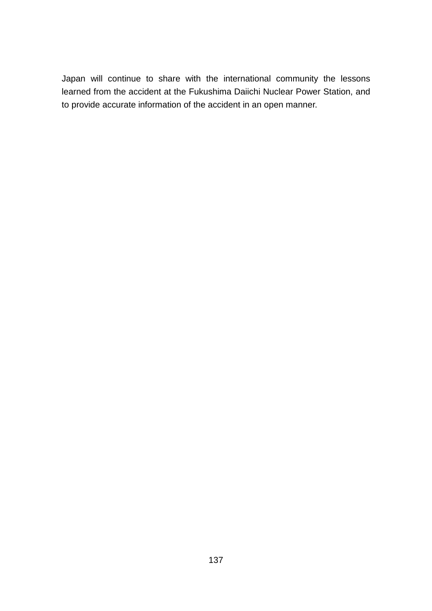Japan will continue to share with the international community the lessons learned from the accident at the Fukushima Daiichi Nuclear Power Station, and to provide accurate information of the accident in an open manner.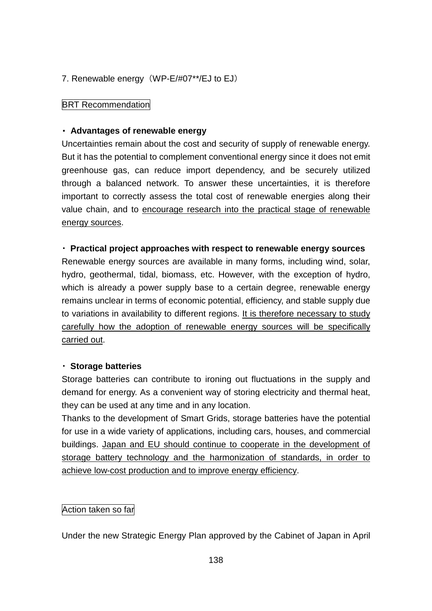### 7. Renewable energy (WP-E/#07\*\*/EJ to EJ)

#### **BRT Recommendation**

#### ・ **Advantages of renewable energy**

Uncertainties remain about the cost and security of supply of renewable energy. But it has the potential to complement conventional energy since it does not emit greenhouse gas, can reduce import dependency, and be securely utilized through a balanced network. To answer these uncertainties, it is therefore important to correctly assess the total cost of renewable energies along their value chain, and to encourage research into the practical stage of renewable energy sources.

#### ・ **Practical project approaches with respect to renewable energy sources**

Renewable energy sources are available in many forms, including wind, solar, hydro, geothermal, tidal, biomass, etc. However, with the exception of hydro, which is already a power supply base to a certain degree, renewable energy remains unclear in terms of economic potential, efficiency, and stable supply due to variations in availability to different regions. It is therefore necessary to study carefully how the adoption of renewable energy sources will be specifically carried out.

#### ・ **Storage batteries**

Storage batteries can contribute to ironing out fluctuations in the supply and demand for energy. As a convenient way of storing electricity and thermal heat, they can be used at any time and in any location.

Thanks to the development of Smart Grids, storage batteries have the potential for use in a wide variety of applications, including cars, houses, and commercial buildings. Japan and EU should continue to cooperate in the development of storage battery technology and the harmonization of standards, in order to achieve low-cost production and to improve energy efficiency.

#### Action taken so far

Under the new Strategic Energy Plan approved by the Cabinet of Japan in April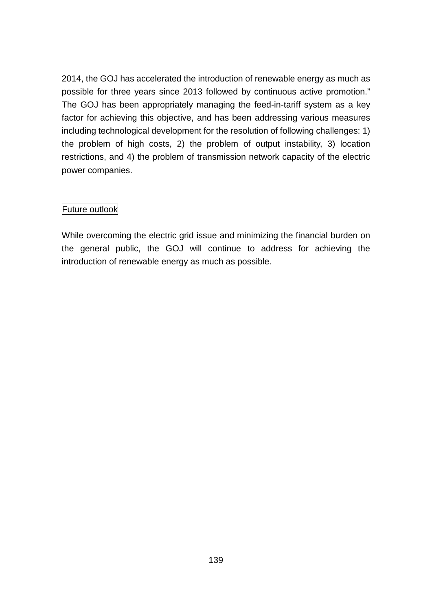2014, the GOJ has accelerated the introduction of renewable energy as much as possible for three years since 2013 followed by continuous active promotion." The GOJ has been appropriately managing the feed-in-tariff system as a key factor for achieving this objective, and has been addressing various measures including technological development for the resolution of following challenges: 1) the problem of high costs, 2) the problem of output instability, 3) location restrictions, and 4) the problem of transmission network capacity of the electric power companies.

## Future outlook

While overcoming the electric grid issue and minimizing the financial burden on the general public, the GOJ will continue to address for achieving the introduction of renewable energy as much as possible.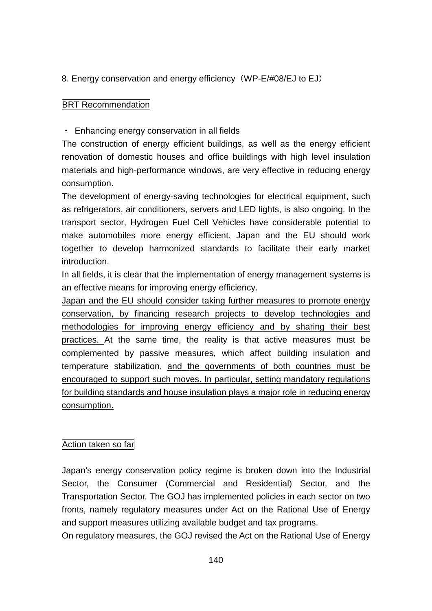## 8. Energy conservation and energy efficiency (WP-E/#08/EJ to EJ)

## **BRT Recommendation**

### ・ Enhancing energy conservation in all fields

The construction of energy efficient buildings, as well as the energy efficient renovation of domestic houses and office buildings with high level insulation materials and high-performance windows, are very effective in reducing energy consumption.

The development of energy-saving technologies for electrical equipment, such as refrigerators, air conditioners, servers and LED lights, is also ongoing. In the transport sector, Hydrogen Fuel Cell Vehicles have considerable potential to make automobiles more energy efficient. Japan and the EU should work together to develop harmonized standards to facilitate their early market introduction.

In all fields, it is clear that the implementation of energy management systems is an effective means for improving energy efficiency.

Japan and the EU should consider taking further measures to promote energy conservation, by financing research projects to develop technologies and methodologies for improving energy efficiency and by sharing their best practices. At the same time, the reality is that active measures must be complemented by passive measures, which affect building insulation and temperature stabilization, and the governments of both countries must be encouraged to support such moves. In particular, setting mandatory regulations for building standards and house insulation plays a major role in reducing energy consumption.

## Action taken so far

Japan's energy conservation policy regime is broken down into the Industrial Sector, the Consumer (Commercial and Residential) Sector, and the Transportation Sector. The GOJ has implemented policies in each sector on two fronts, namely regulatory measures under Act on the Rational Use of Energy and support measures utilizing available budget and tax programs.

On regulatory measures, the GOJ revised the Act on the Rational Use of Energy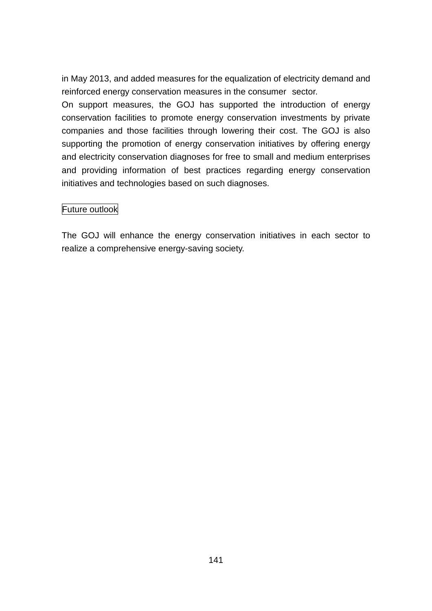in May 2013, and added measures for the equalization of electricity demand and reinforced energy conservation measures in the consumer sector.

On support measures, the GOJ has supported the introduction of energy conservation facilities to promote energy conservation investments by private companies and those facilities through lowering their cost. The GOJ is also supporting the promotion of energy conservation initiatives by offering energy and electricity conservation diagnoses for free to small and medium enterprises and providing information of best practices regarding energy conservation initiatives and technologies based on such diagnoses.

### Future outlook

The GOJ will enhance the energy conservation initiatives in each sector to realize a comprehensive energy-saving society.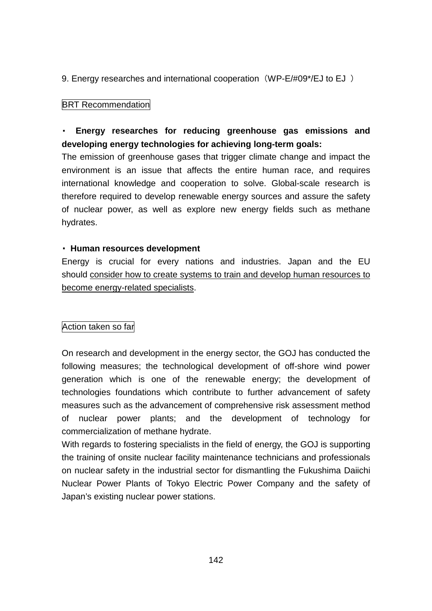9. Energy researches and international cooperation (WP-E/#09\*/EJ to EJ)

### **BRT Recommendation**

# ・ **Energy researches for reducing greenhouse gas emissions and developing energy technologies for achieving long-term goals:**

The emission of greenhouse gases that trigger climate change and impact the environment is an issue that affects the entire human race, and requires international knowledge and cooperation to solve. Global-scale research is therefore required to develop renewable energy sources and assure the safety of nuclear power, as well as explore new energy fields such as methane hydrates.

#### ・ **Human resources development**

Energy is crucial for every nations and industries. Japan and the EU should consider how to create systems to train and develop human resources to become energy-related specialists.

## Action taken so far

On research and development in the energy sector, the GOJ has conducted the following measures; the technological development of off-shore wind power generation which is one of the renewable energy; the development of technologies foundations which contribute to further advancement of safety measures such as the advancement of comprehensive risk assessment method of nuclear power plants; and the development of technology for commercialization of methane hydrate.

With regards to fostering specialists in the field of energy, the GOJ is supporting the training of onsite nuclear facility maintenance technicians and professionals on nuclear safety in the industrial sector for dismantling the Fukushima Daiichi Nuclear Power Plants of Tokyo Electric Power Company and the safety of Japan's existing nuclear power stations.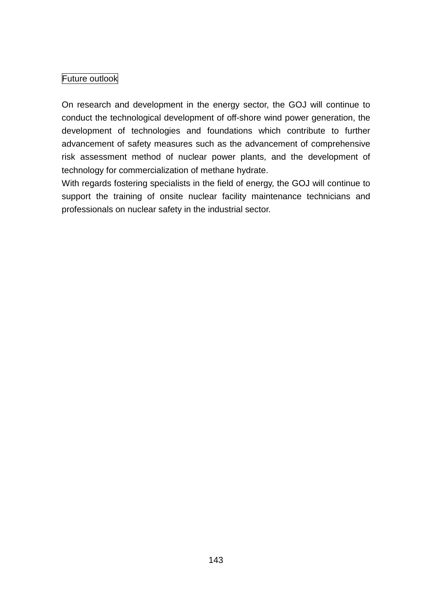## Future outlook

On research and development in the energy sector, the GOJ will continue to conduct the technological development of off-shore wind power generation, the development of technologies and foundations which contribute to further advancement of safety measures such as the advancement of comprehensive risk assessment method of nuclear power plants, and the development of technology for commercialization of methane hydrate.

With regards fostering specialists in the field of energy, the GOJ will continue to support the training of onsite nuclear facility maintenance technicians and professionals on nuclear safety in the industrial sector.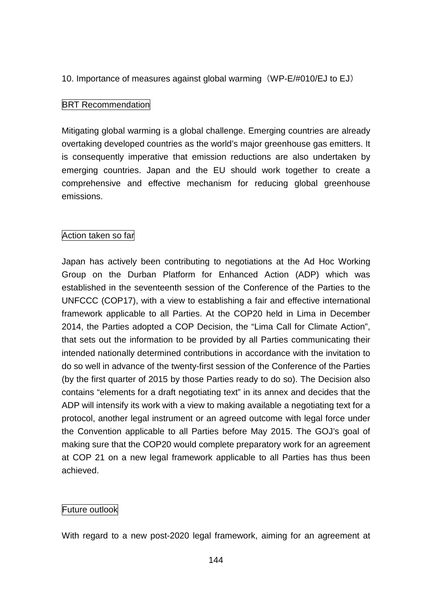### 10. Importance of measures against global warming (WP-E/#010/EJ to EJ)

### **BRT Recommendation**

Mitigating global warming is a global challenge. Emerging countries are already overtaking developed countries as the world's major greenhouse gas emitters. It is consequently imperative that emission reductions are also undertaken by emerging countries. Japan and the EU should work together to create a comprehensive and effective mechanism for reducing global greenhouse emissions.

## Action taken so far

Japan has actively been contributing to negotiations at the Ad Hoc Working Group on the Durban Platform for Enhanced Action (ADP) which was established in the seventeenth session of the Conference of the Parties to the UNFCCC (COP17), with a view to establishing a fair and effective international framework applicable to all Parties. At the COP20 held in Lima in December 2014, the Parties adopted a COP Decision, the "Lima Call for Climate Action", that sets out the information to be provided by all Parties communicating their intended nationally determined contributions in accordance with the invitation to do so well in advance of the twenty-first session of the Conference of the Parties (by the first quarter of 2015 by those Parties ready to do so). The Decision also contains "elements for a draft negotiating text" in its annex and decides that the ADP will intensify its work with a view to making available a negotiating text for a protocol, another legal instrument or an agreed outcome with legal force under the Convention applicable to all Parties before May 2015. The GOJ's goal of making sure that the COP20 would complete preparatory work for an agreement at COP 21 on a new legal framework applicable to all Parties has thus been achieved.

### Future outlook

With regard to a new post-2020 legal framework, aiming for an agreement at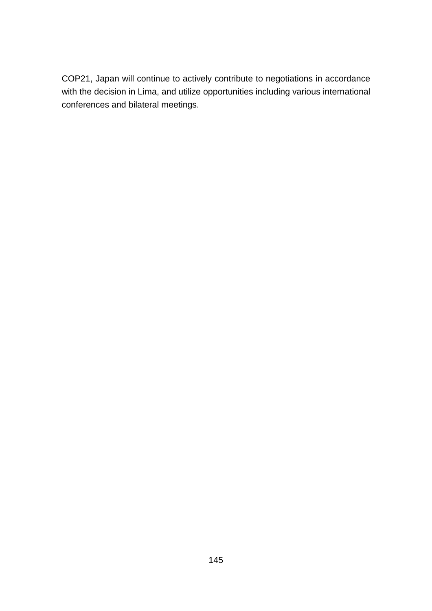COP21, Japan will continue to actively contribute to negotiations in accordance with the decision in Lima, and utilize opportunities including various international conferences and bilateral meetings.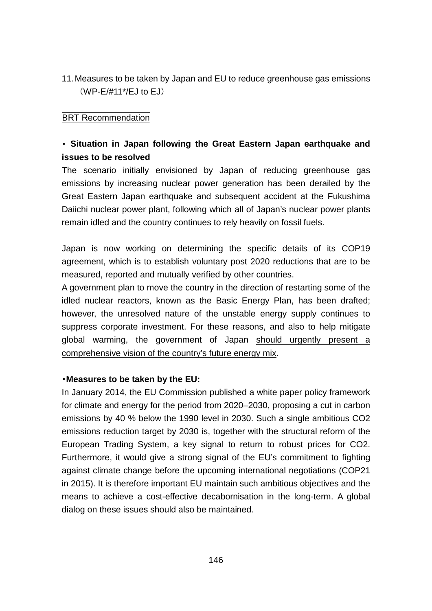11.Measures to be taken by Japan and EU to reduce greenhouse gas emissions (WP-E/#11\*/EJ to EJ)

## **BRT Recommendation**

# ・ **Situation in Japan following the Great Eastern Japan earthquake and issues to be resolved**

The scenario initially envisioned by Japan of reducing greenhouse gas emissions by increasing nuclear power generation has been derailed by the Great Eastern Japan earthquake and subsequent accident at the Fukushima Daiichi nuclear power plant, following which all of Japan's nuclear power plants remain idled and the country continues to rely heavily on fossil fuels.

Japan is now working on determining the specific details of its COP19 agreement, which is to establish voluntary post 2020 reductions that are to be measured, reported and mutually verified by other countries.

A government plan to move the country in the direction of restarting some of the idled nuclear reactors, known as the Basic Energy Plan, has been drafted; however, the unresolved nature of the unstable energy supply continues to suppress corporate investment. For these reasons, and also to help mitigate global warming, the government of Japan should urgently present a comprehensive vision of the country's future energy mix.

#### ・**Measures to be taken by the EU:**

In January 2014, the EU Commission published a white paper policy framework for climate and energy for the period from 2020–2030, proposing a cut in carbon emissions by 40 % below the 1990 level in 2030. Such a single ambitious CO2 emissions reduction target by 2030 is, together with the structural reform of the European Trading System, a key signal to return to robust prices for CO2. Furthermore, it would give a strong signal of the EU's commitment to fighting against climate change before the upcoming international negotiations (COP21 in 2015). It is therefore important EU maintain such ambitious objectives and the means to achieve a cost-effective decabornisation in the long-term. A global dialog on these issues should also be maintained.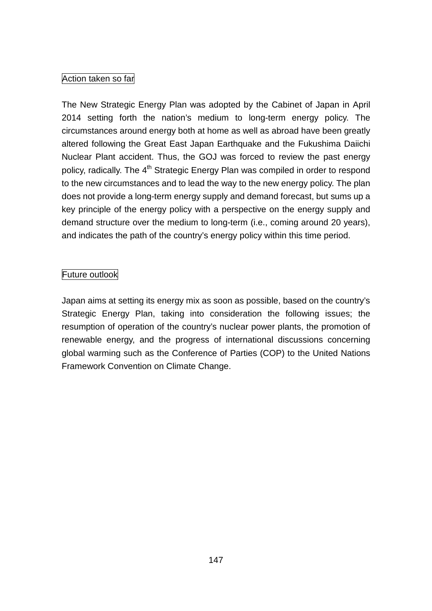## Action taken so far

The New Strategic Energy Plan was adopted by the Cabinet of Japan in April 2014 setting forth the nation's medium to long-term energy policy. The circumstances around energy both at home as well as abroad have been greatly altered following the Great East Japan Earthquake and the Fukushima Daiichi Nuclear Plant accident. Thus, the GOJ was forced to review the past energy policy, radically. The 4<sup>th</sup> Strategic Energy Plan was compiled in order to respond to the new circumstances and to lead the way to the new energy policy. The plan does not provide a long-term energy supply and demand forecast, but sums up a key principle of the energy policy with a perspective on the energy supply and demand structure over the medium to long-term (i.e., coming around 20 years), and indicates the path of the country's energy policy within this time period.

## Future outlook

Japan aims at setting its energy mix as soon as possible, based on the country's Strategic Energy Plan, taking into consideration the following issues; the resumption of operation of the country's nuclear power plants, the promotion of renewable energy, and the progress of international discussions concerning global warming such as the Conference of Parties (COP) to the United Nations Framework Convention on Climate Change.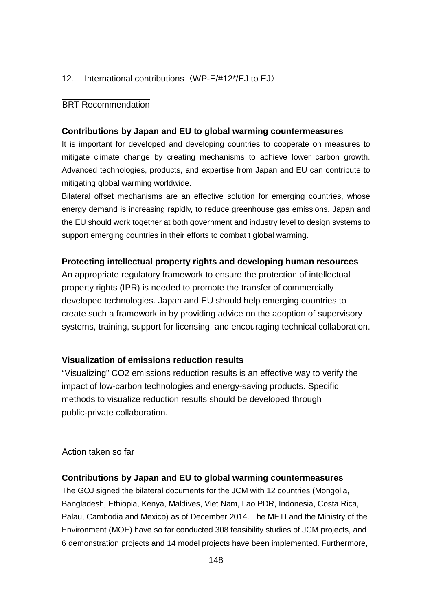### 12. International contributions (WP-E/#12\*/EJ to EJ)

#### **BRT Recommendation**

#### **Contributions by Japan and EU to global warming countermeasures**

It is important for developed and developing countries to cooperate on measures to mitigate climate change by creating mechanisms to achieve lower carbon growth. Advanced technologies, products, and expertise from Japan and EU can contribute to mitigating global warming worldwide.

Bilateral offset mechanisms are an effective solution for emerging countries, whose energy demand is increasing rapidly, to reduce greenhouse gas emissions. Japan and the EU should work together at both government and industry level to design systems to support emerging countries in their efforts to combat t global warming.

#### **Protecting intellectual property rights and developing human resources**

An appropriate regulatory framework to ensure the protection of intellectual property rights (IPR) is needed to promote the transfer of commercially developed technologies. Japan and EU should help emerging countries to create such a framework in by providing advice on the adoption of supervisory systems, training, support for licensing, and encouraging technical collaboration.

#### **Visualization of emissions reduction results**

"Visualizing" CO2 emissions reduction results is an effective way to verify the impact of low-carbon technologies and energy-saving products. Specific methods to visualize reduction results should be developed through public-private collaboration.

### Action taken so far

#### **Contributions by Japan and EU to global warming countermeasures**

The GOJ signed the bilateral documents for the JCM with 12 countries (Mongolia, Bangladesh, Ethiopia, Kenya, Maldives, Viet Nam, Lao PDR, Indonesia, Costa Rica, Palau, Cambodia and Mexico) as of December 2014. The METI and the Ministry of the Environment (MOE) have so far conducted 308 feasibility studies of JCM projects, and 6 demonstration projects and 14 model projects have been implemented. Furthermore,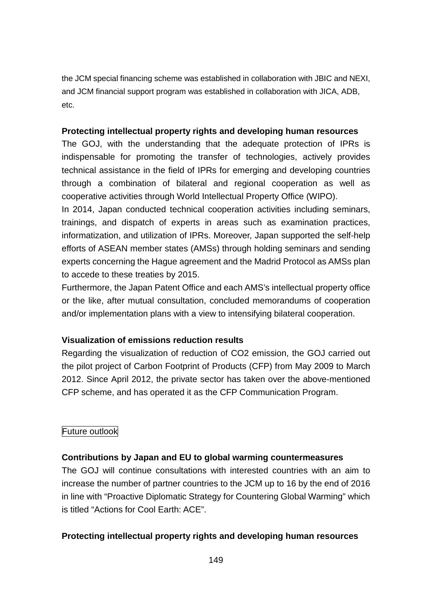the JCM special financing scheme was established in collaboration with JBIC and NEXI, and JCM financial support program was established in collaboration with JICA, ADB, etc.

### **Protecting intellectual property rights and developing human resources**

The GOJ, with the understanding that the adequate protection of IPRs is indispensable for promoting the transfer of technologies, actively provides technical assistance in the field of IPRs for emerging and developing countries through a combination of bilateral and regional cooperation as well as cooperative activities through World Intellectual Property Office (WIPO).

In 2014, Japan conducted technical cooperation activities including seminars, trainings, and dispatch of experts in areas such as examination practices, informatization, and utilization of IPRs. Moreover, Japan supported the self-help efforts of ASEAN member states (AMSs) through holding seminars and sending experts concerning the Hague agreement and the Madrid Protocol as AMSs plan to accede to these treaties by 2015.

Furthermore, the Japan Patent Office and each AMS's intellectual property office or the like, after mutual consultation, concluded memorandums of cooperation and/or implementation plans with a view to intensifying bilateral cooperation.

## **Visualization of emissions reduction results**

Regarding the visualization of reduction of CO2 emission, the GOJ carried out the pilot project of Carbon Footprint of Products (CFP) from May 2009 to March 2012. Since April 2012, the private sector has taken over the above-mentioned CFP scheme, and has operated it as the CFP Communication Program.

## Future outlook

### **Contributions by Japan and EU to global warming countermeasures**

The GOJ will continue consultations with interested countries with an aim to increase the number of partner countries to the JCM up to 16 by the end of 2016 in line with "Proactive Diplomatic Strategy for Countering Global Warming" which is titled "Actions for Cool Earth: ACE".

### **Protecting intellectual property rights and developing human resources**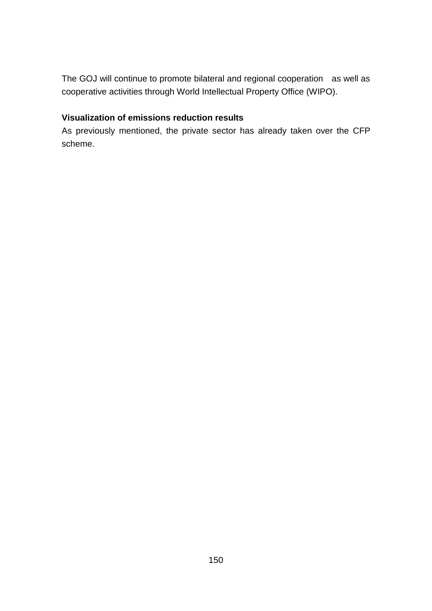The GOJ will continue to promote bilateral and regional cooperation as well as cooperative activities through World Intellectual Property Office (WIPO).

## **Visualization of emissions reduction results**

As previously mentioned, the private sector has already taken over the CFP scheme.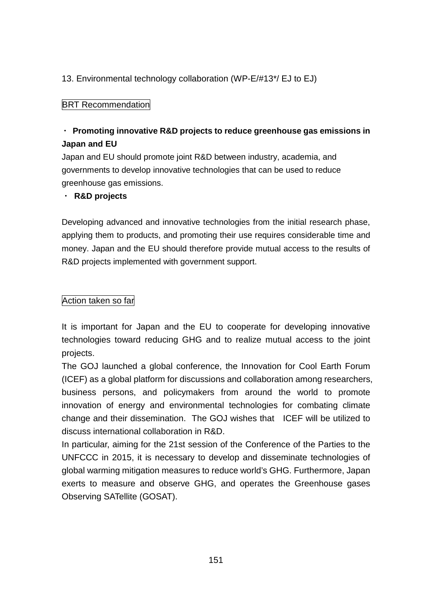## 13. Environmental technology collaboration (WP-E/#13\*/ EJ to EJ)

## **BRT Recommendation**

# ・ **Promoting innovative R&D projects to reduce greenhouse gas emissions in Japan and EU**

Japan and EU should promote joint R&D between industry, academia, and governments to develop innovative technologies that can be used to reduce greenhouse gas emissions.

### ・ **R&D projects**

Developing advanced and innovative technologies from the initial research phase, applying them to products, and promoting their use requires considerable time and money. Japan and the EU should therefore provide mutual access to the results of R&D projects implemented with government support.

### Action taken so far

It is important for Japan and the EU to cooperate for developing innovative technologies toward reducing GHG and to realize mutual access to the joint projects.

The GOJ launched a global conference, the Innovation for Cool Earth Forum (ICEF) as a global platform for discussions and collaboration among researchers, business persons, and policymakers from around the world to promote innovation of energy and environmental technologies for combating climate change and their dissemination. The GOJ wishes that ICEF will be utilized to discuss international collaboration in R&D.

In particular, aiming for the 21st session of the Conference of the Parties to the UNFCCC in 2015, it is necessary to develop and disseminate technologies of global warming mitigation measures to reduce world's GHG. Furthermore, Japan exerts to measure and observe GHG, and operates the Greenhouse gases Observing SATellite (GOSAT).